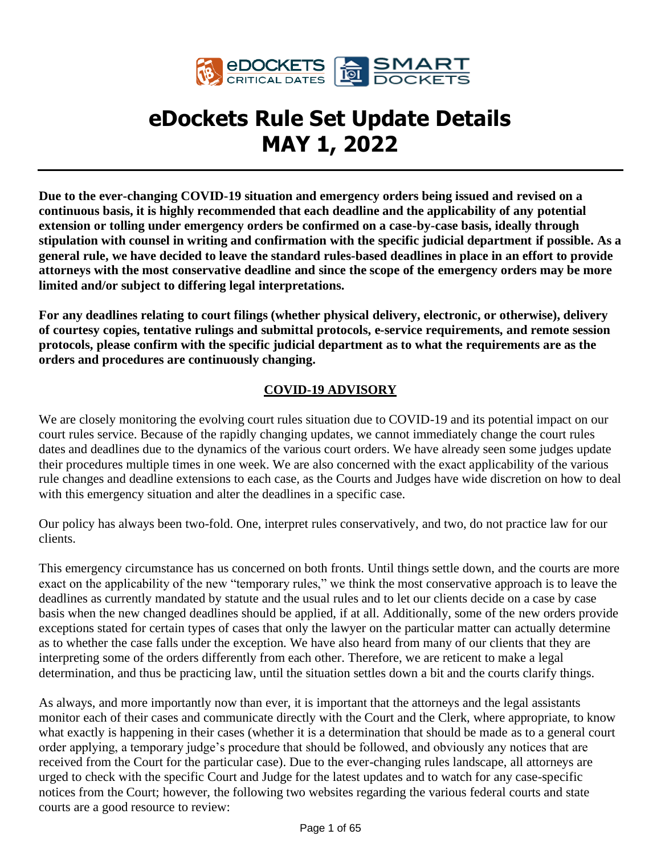

# **eDockets Rule Set Update Details MAY 1, 2022**

**Due to the ever-changing COVID-19 situation and emergency orders being issued and revised on a continuous basis, it is highly recommended that each deadline and the applicability of any potential extension or tolling under emergency orders be confirmed on a case-by-case basis, ideally through stipulation with counsel in writing and confirmation with the specific judicial department if possible. As a general rule, we have decided to leave the standard rules-based deadlines in place in an effort to provide attorneys with the most conservative deadline and since the scope of the emergency orders may be more limited and/or subject to differing legal interpretations.**

**For any deadlines relating to court filings (whether physical delivery, electronic, or otherwise), delivery of courtesy copies, tentative rulings and submittal protocols, e-service requirements, and remote session protocols, please confirm with the specific judicial department as to what the requirements are as the orders and procedures are continuously changing.**

## **COVID-19 ADVISORY**

We are closely monitoring the evolving court rules situation due to COVID-19 and its potential impact on our court rules service. Because of the rapidly changing updates, we cannot immediately change the court rules dates and deadlines due to the dynamics of the various court orders. We have already seen some judges update their procedures multiple times in one week. We are also concerned with the exact applicability of the various rule changes and deadline extensions to each case, as the Courts and Judges have wide discretion on how to deal with this emergency situation and alter the deadlines in a specific case.

Our policy has always been two-fold. One, interpret rules conservatively, and two, do not practice law for our clients.

This emergency circumstance has us concerned on both fronts. Until things settle down, and the courts are more exact on the applicability of the new "temporary rules," we think the most conservative approach is to leave the deadlines as currently mandated by statute and the usual rules and to let our clients decide on a case by case basis when the new changed deadlines should be applied, if at all. Additionally, some of the new orders provide exceptions stated for certain types of cases that only the lawyer on the particular matter can actually determine as to whether the case falls under the exception. We have also heard from many of our clients that they are interpreting some of the orders differently from each other. Therefore, we are reticent to make a legal determination, and thus be practicing law, until the situation settles down a bit and the courts clarify things.

As always, and more importantly now than ever, it is important that the attorneys and the legal assistants monitor each of their cases and communicate directly with the Court and the Clerk, where appropriate, to know what exactly is happening in their cases (whether it is a determination that should be made as to a general court order applying, a temporary judge's procedure that should be followed, and obviously any notices that are received from the Court for the particular case). Due to the ever-changing rules landscape, all attorneys are urged to check with the specific Court and Judge for the latest updates and to watch for any case-specific notices from the Court; however, the following two websites regarding the various federal courts and state courts are a good resource to review: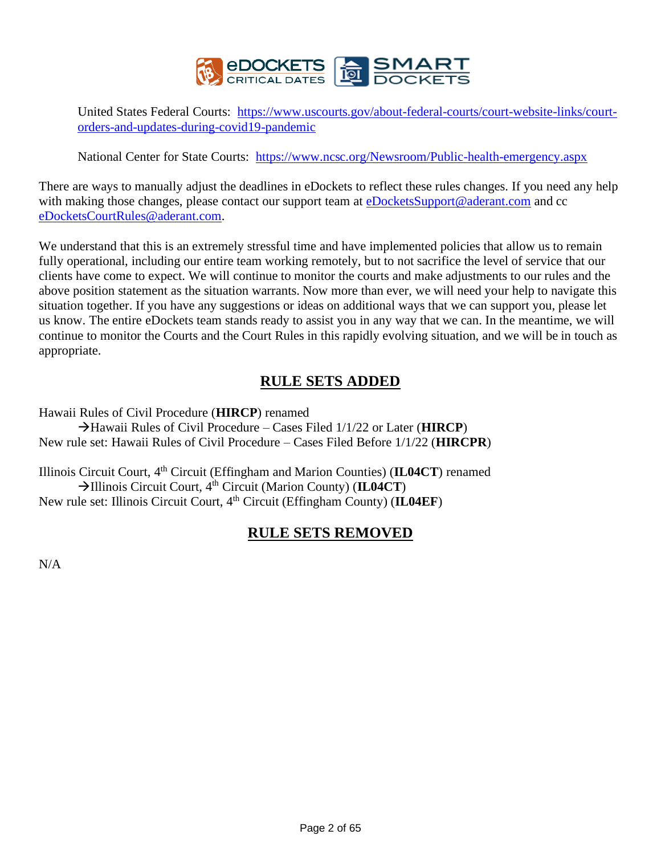

United States Federal Courts: [https://www.uscourts.gov/about-federal-courts/court-website-links/court](https://www.uscourts.gov/about-federal-courts/court-website-links/court-orders-and-updates-during-covid19-pandemic)[orders-and-updates-during-covid19-pandemic](https://www.uscourts.gov/about-federal-courts/court-website-links/court-orders-and-updates-during-covid19-pandemic)

National Center for State Courts: <https://www.ncsc.org/Newsroom/Public-health-emergency.aspx>

There are ways to manually adjust the deadlines in eDockets to reflect these rules changes. If you need any help with making those changes, please contact our support team at **eDocketsSupport@aderant.com** and cc [eDocketsCourtRules@aderant.com.](mailto:eDocketsCourtRules@aderant.com)

We understand that this is an extremely stressful time and have implemented policies that allow us to remain fully operational, including our entire team working remotely, but to not sacrifice the level of service that our clients have come to expect. We will continue to monitor the courts and make adjustments to our rules and the above position statement as the situation warrants. Now more than ever, we will need your help to navigate this situation together. If you have any suggestions or ideas on additional ways that we can support you, please let us know. The entire eDockets team stands ready to assist you in any way that we can. In the meantime, we will continue to monitor the Courts and the Court Rules in this rapidly evolving situation, and we will be in touch as appropriate.

# **RULE SETS ADDED**

Hawaii Rules of Civil Procedure (**HIRCP**) renamed

→Hawaii Rules of Civil Procedure – Cases Filed 1/1/22 or Later (**HIRCP**) New rule set: Hawaii Rules of Civil Procedure – Cases Filed Before 1/1/22 (**HIRCPR**)

Illinois Circuit Court, 4<sup>th</sup> Circuit (Effingham and Marion Counties) (IL04CT) renamed →Illinois Circuit Court, 4th Circuit (Marion County) (**IL04CT**) New rule set: Illinois Circuit Court, 4<sup>th</sup> Circuit (Effingham County) (IL04EF)

# **RULE SETS REMOVED**

N/A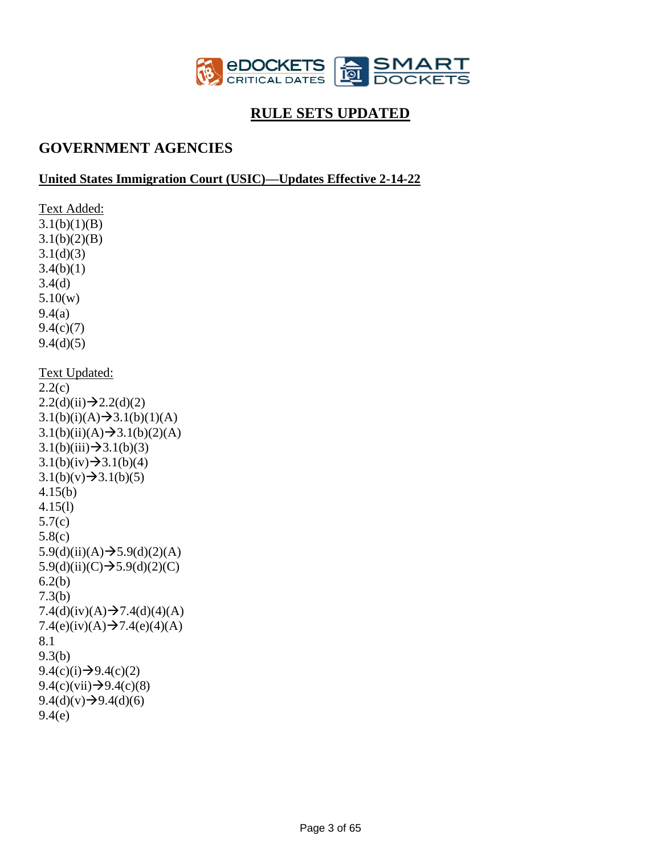

# **RULE SETS UPDATED**

# **GOVERNMENT AGENCIES**

## **United States Immigration Court (USIC)—Updates Effective 2-14-22**

Text Added:  $3.1(b)(1)(B)$  $3.1(b)(2)(B)$  $3.1(d)(3)$  $3.4(b)(1)$ 3.4(d) 5.10(w) 9.4(a) 9.4(c)(7)  $9.4(d)(5)$ Text Updated: 2.2(c)  $2.2(d)(ii) \rightarrow 2.2(d)(2)$  $3.1(b)(i)(A) \rightarrow 3.1(b)(1)(A)$  $3.1(b)(ii)(A) \rightarrow 3.1(b)(2)(A)$  $3.1(b)(iii) \rightarrow 3.1(b)(3)$  $3.1(b)(iv) \rightarrow 3.1(b)(4)$  $3.1(b)(v) \rightarrow 3.1(b)(5)$ 4.15(b) 4.15(l) 5.7(c) 5.8(c) 5.9(d)(ii)(A) $\rightarrow$ 5.9(d)(2)(A) 5.9(d)(ii)(C) $\rightarrow$ 5.9(d)(2)(C) 6.2(b) 7.3(b) 7.4(d)(iv)(A) $\rightarrow$ 7.4(d)(4)(A)  $7.4(e)(iv)(A) \rightarrow 7.4(e)(4)(A)$ 8.1 9.3(b)  $9.4(c)(i) \rightarrow 9.4(c)(2)$  $9.4(c)(vii) \rightarrow 9.4(c)(8)$  $9.4(d)(v) \rightarrow 9.4(d)(6)$ 9.4(e)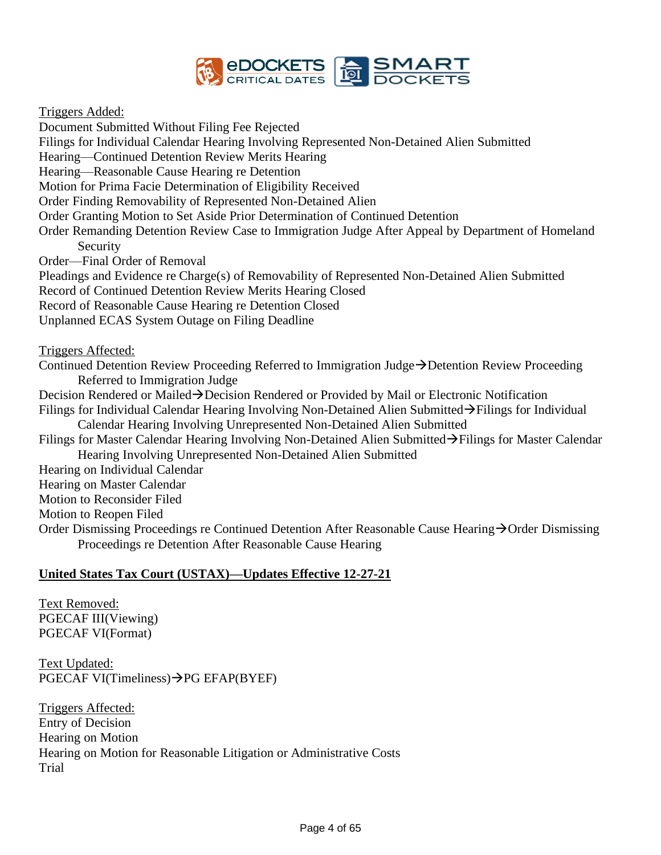

Triggers Added:

Document Submitted Without Filing Fee Rejected Filings for Individual Calendar Hearing Involving Represented Non-Detained Alien Submitted Hearing—Continued Detention Review Merits Hearing Hearing—Reasonable Cause Hearing re Detention Motion for Prima Facie Determination of Eligibility Received Order Finding Removability of Represented Non-Detained Alien Order Granting Motion to Set Aside Prior Determination of Continued Detention Order Remanding Detention Review Case to Immigration Judge After Appeal by Department of Homeland Security Order—Final Order of Removal Pleadings and Evidence re Charge(s) of Removability of Represented Non-Detained Alien Submitted Record of Continued Detention Review Merits Hearing Closed Record of Reasonable Cause Hearing re Detention Closed Unplanned ECAS System Outage on Filing Deadline Triggers Affected: Continued Detention Review Proceeding Referred to Immigration Judge→Detention Review Proceeding Referred to Immigration Judge Decision Rendered or Mailed→Decision Rendered or Provided by Mail or Electronic Notification Filings for Individual Calendar Hearing Involving Non-Detained Alien Submitted→Filings for Individual Calendar Hearing Involving Unrepresented Non-Detained Alien Submitted Filings for Master Calendar Hearing Involving Non-Detained Alien Submitted→Filings for Master Calendar Hearing Involving Unrepresented Non-Detained Alien Submitted Hearing on Individual Calendar Hearing on Master Calendar Motion to Reconsider Filed Motion to Reopen Filed Order Dismissing Proceedings re Continued Detention After Reasonable Cause Hearing→Order Dismissing Proceedings re Detention After Reasonable Cause Hearing

### **United States Tax Court (USTAX)—Updates Effective 12-27-21**

Text Removed: PGECAF III(Viewing) PGECAF VI(Format)

Text Updated: PGECAF VI(Timeliness)→PG EFAP(BYEF)

Triggers Affected: Entry of Decision Hearing on Motion Hearing on Motion for Reasonable Litigation or Administrative Costs Trial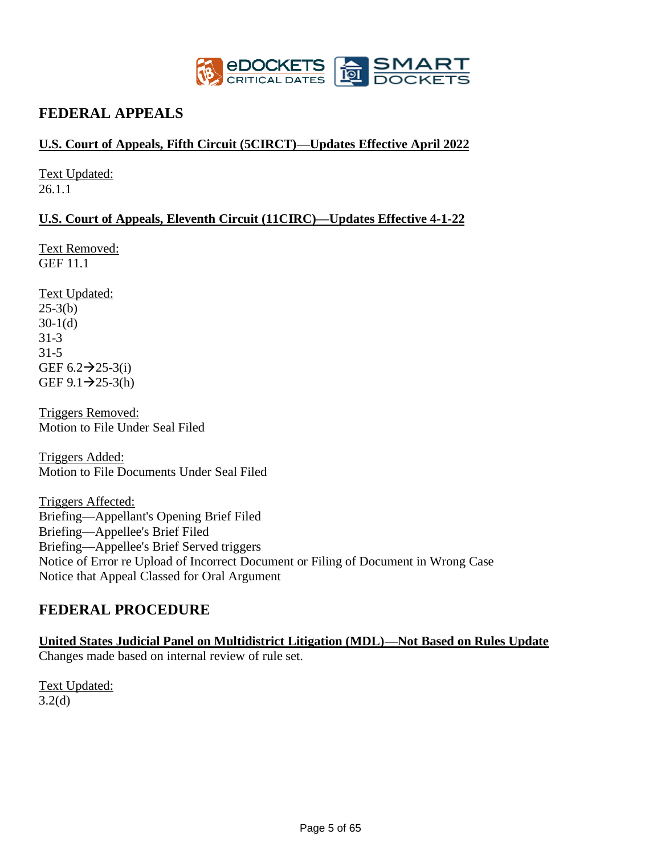

# **FEDERAL APPEALS**

## **U.S. Court of Appeals, Fifth Circuit (5CIRCT)—Updates Effective April 2022**

Text Updated: 26.1.1

## **U.S. Court of Appeals, Eleventh Circuit (11CIRC)—Updates Effective 4-1-22**

Text Removed: GEF 11.1

Text Updated:  $25-3(b)$  $30-1(d)$ 31-3 31-5 GEF  $6.2 \rightarrow 25-3(i)$  $GEF 9.1 \rightarrow 25-3(h)$ 

Triggers Removed: Motion to File Under Seal Filed

Triggers Added: Motion to File Documents Under Seal Filed

Triggers Affected: Briefing—Appellant's Opening Brief Filed Briefing—Appellee's Brief Filed Briefing—Appellee's Brief Served triggers Notice of Error re Upload of Incorrect Document or Filing of Document in Wrong Case Notice that Appeal Classed for Oral Argument

# **FEDERAL PROCEDURE**

**United States Judicial Panel on Multidistrict Litigation (MDL)—Not Based on Rules Update**  Changes made based on internal review of rule set.

Text Updated: 3.2(d)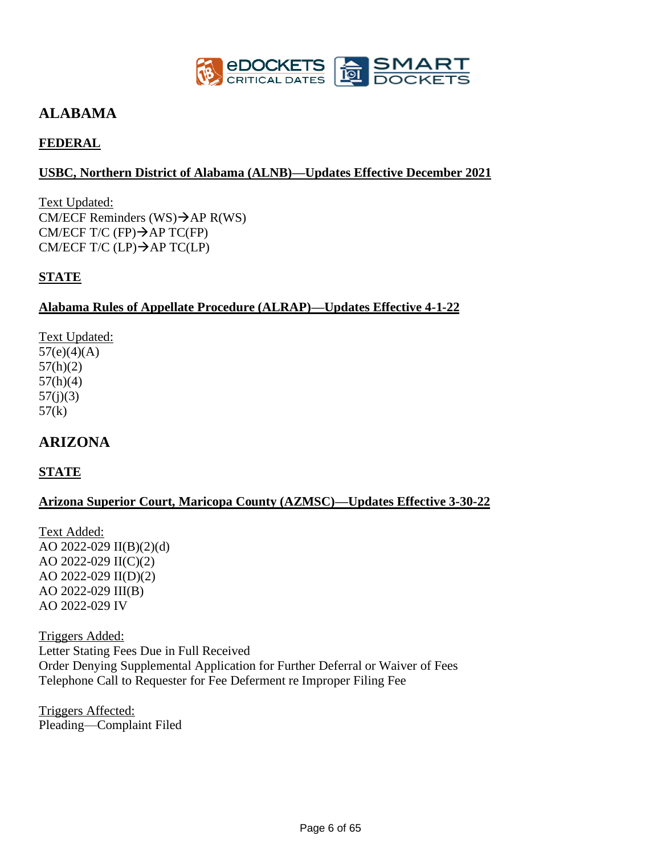

# **ALABAMA**

# **FEDERAL**

## **USBC, Northern District of Alabama (ALNB)—Updates Effective December 2021**

Text Updated: CM/ECF Reminders (WS) $\rightarrow$ AP R(WS) CM/ECF T/C (FP) $\rightarrow$ AP TC(FP) CM/ECF T/C (LP) $\rightarrow$ AP TC(LP)

## **STATE**

### **Alabama Rules of Appellate Procedure (ALRAP)—Updates Effective 4-1-22**

Text Updated:  $57(e)(4)(A)$ 57(h)(2) 57(h)(4)  $57(j)(3)$  $57(k)$ 

# **ARIZONA**

## **STATE**

## **Arizona Superior Court, Maricopa County (AZMSC)—Updates Effective 3-30-22**

Text Added: AO 2022-029 II(B)(2)(d) AO 2022-029 II(C)(2) AO 2022-029 II(D)(2) AO 2022-029 III(B) AO 2022-029 IV

Triggers Added: Letter Stating Fees Due in Full Received Order Denying Supplemental Application for Further Deferral or Waiver of Fees Telephone Call to Requester for Fee Deferment re Improper Filing Fee

Triggers Affected: Pleading—Complaint Filed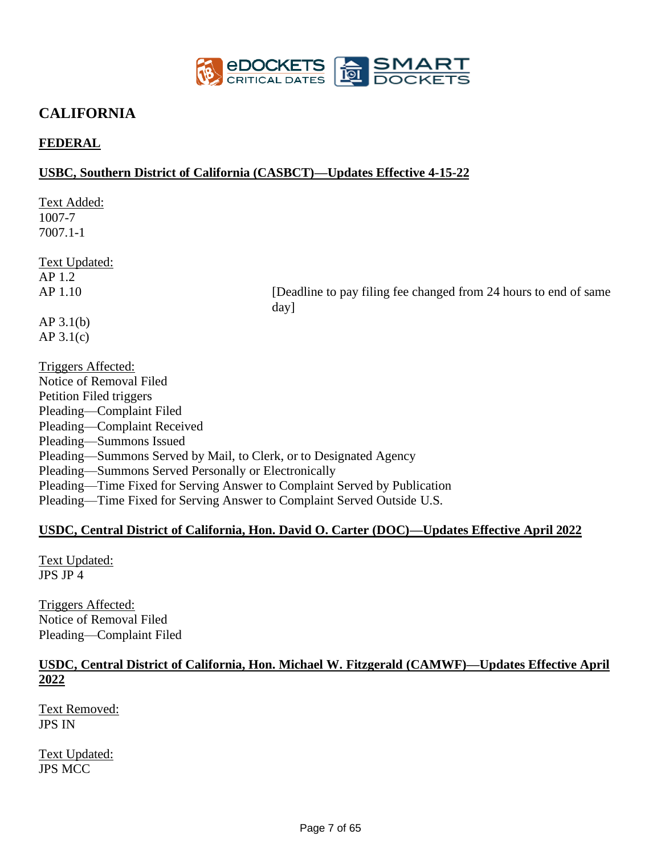

# **CALIFORNIA**

## **FEDERAL**

### **USBC, Southern District of California (CASBCT)—Updates Effective 4-15-22**

Text Added: 1007-7 7007.1-1

Text Updated: AP 1.2

AP 1.10 [Deadline to pay filing fee changed from 24 hours to end of same day]

AP 3.1(b) AP 3.1(c)

Triggers Affected: Notice of Removal Filed Petition Filed triggers Pleading—Complaint Filed Pleading—Complaint Received Pleading—Summons Issued Pleading—Summons Served by Mail, to Clerk, or to Designated Agency Pleading—Summons Served Personally or Electronically Pleading—Time Fixed for Serving Answer to Complaint Served by Publication Pleading—Time Fixed for Serving Answer to Complaint Served Outside U.S.

### **USDC, Central District of California, Hon. David O. Carter (DOC)—Updates Effective April 2022**

Text Updated: JPS JP 4

Triggers Affected: Notice of Removal Filed Pleading—Complaint Filed

## **USDC, Central District of California, Hon. Michael W. Fitzgerald (CAMWF)—Updates Effective April 2022**

Text Removed: JPS IN

Text Updated: JPS MCC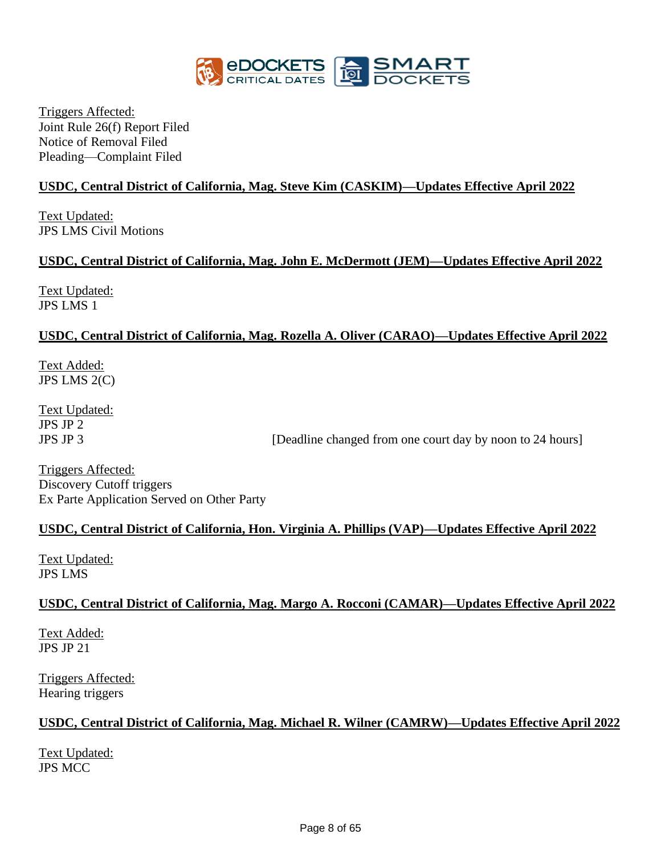

Triggers Affected: Joint Rule 26(f) Report Filed Notice of Removal Filed Pleading—Complaint Filed

## **USDC, Central District of California, Mag. Steve Kim (CASKIM)—Updates Effective April 2022**

Text Updated: JPS LMS Civil Motions

## **USDC, Central District of California, Mag. John E. McDermott (JEM)—Updates Effective April 2022**

Text Updated: JPS LMS 1

## **USDC, Central District of California, Mag. Rozella A. Oliver (CARAO)—Updates Effective April 2022**

Text Added: JPS LMS 2(C)

Text Updated: JPS JP 2

JPS JP 3 [Deadline changed from one court day by noon to 24 hours]

Triggers Affected: Discovery Cutoff triggers Ex Parte Application Served on Other Party

## **USDC, Central District of California, Hon. Virginia A. Phillips (VAP)—Updates Effective April 2022**

Text Updated: JPS LMS

### **USDC, Central District of California, Mag. Margo A. Rocconi (CAMAR)—Updates Effective April 2022**

Text Added: JPS JP 21

Triggers Affected: Hearing triggers

### **USDC, Central District of California, Mag. Michael R. Wilner (CAMRW)—Updates Effective April 2022**

Text Updated: JPS MCC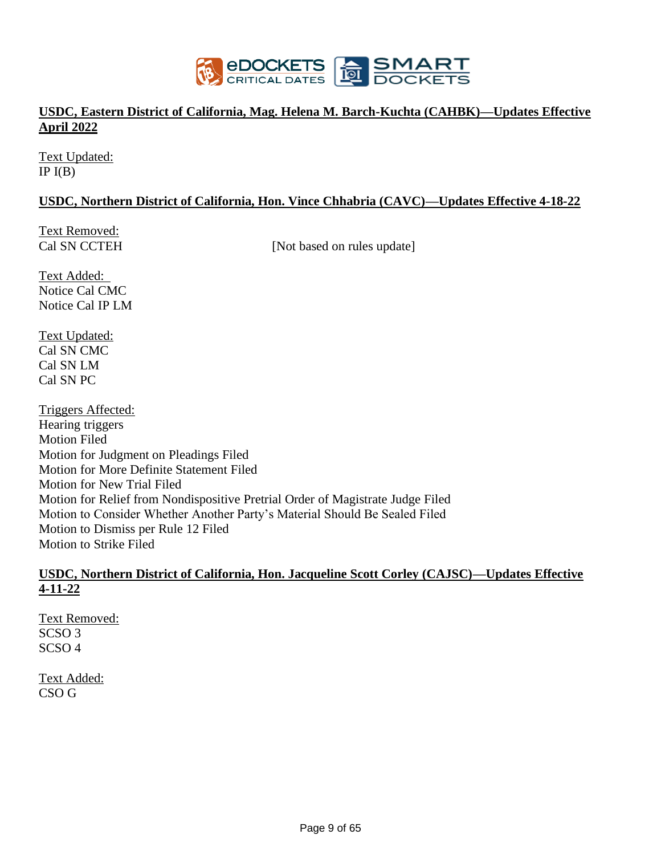

## **USDC, Eastern District of California, Mag. Helena M. Barch-Kuchta (CAHBK)—Updates Effective April 2022**

Text Updated: IP  $I(B)$ 

## **USDC, Northern District of California, Hon. Vince Chhabria (CAVC)—Updates Effective 4-18-22**

Text Removed:

Cal SN CCTEH [Not based on rules update]

Text Added: Notice Cal CMC Notice Cal IP LM

Text Updated: Cal SN CMC Cal SN LM Cal SN PC

Triggers Affected: Hearing triggers Motion Filed Motion for Judgment on Pleadings Filed Motion for More Definite Statement Filed Motion for New Trial Filed Motion for Relief from Nondispositive Pretrial Order of Magistrate Judge Filed Motion to Consider Whether Another Party's Material Should Be Sealed Filed Motion to Dismiss per Rule 12 Filed Motion to Strike Filed

### **USDC, Northern District of California, Hon. Jacqueline Scott Corley (CAJSC)—Updates Effective 4-11-22**

Text Removed: SCSO 3 SCSO 4

Text Added: CSO G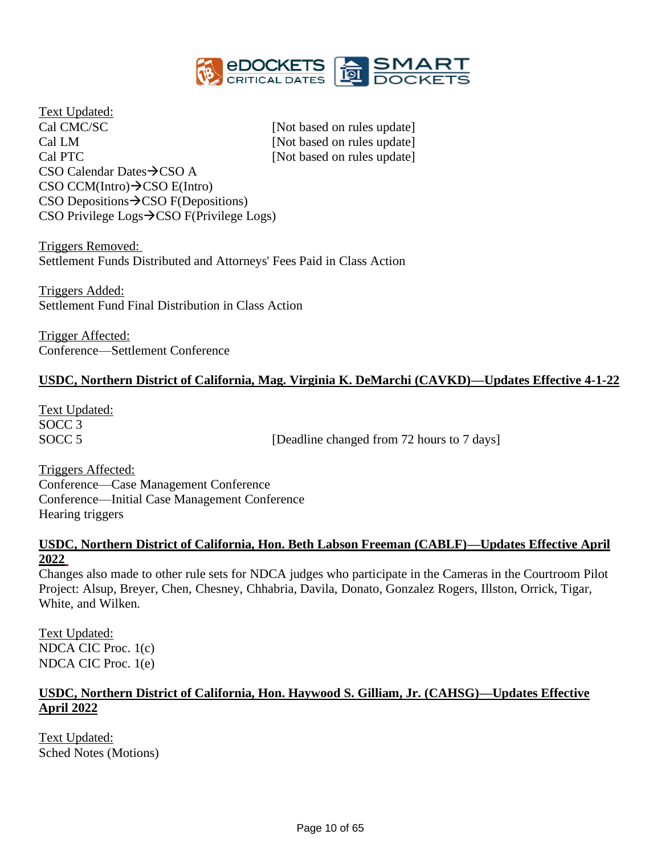

Text Updated: Cal CMC/SC [Not based on rules update] Cal LM [Not based on rules update] Cal PTC [Not based on rules update] CSO Calendar Dates→CSO A CSO CCM(Intro)→CSO E(Intro) CSO Depositions→CSO F(Depositions) CSO Privilege Logs→CSO F(Privilege Logs)

Triggers Removed: Settlement Funds Distributed and Attorneys' Fees Paid in Class Action

Triggers Added: Settlement Fund Final Distribution in Class Action

Trigger Affected: Conference—Settlement Conference

## **USDC, Northern District of California, Mag. Virginia K. DeMarchi (CAVKD)—Updates Effective 4-1-22**

Text Updated: SOCC 3

SOCC 5 [Deadline changed from 72 hours to 7 days]

Triggers Affected: Conference—Case Management Conference Conference—Initial Case Management Conference Hearing triggers

### **USDC, Northern District of California, Hon. Beth Labson Freeman (CABLF)—Updates Effective April 2022**

Changes also made to other rule sets for NDCA judges who participate in the Cameras in the Courtroom Pilot Project: Alsup, Breyer, Chen, Chesney, Chhabria, Davila, Donato, Gonzalez Rogers, Illston, Orrick, Tigar, White, and Wilken.

Text Updated: NDCA CIC Proc. 1(c) NDCA CIC Proc. 1(e)

### **USDC, Northern District of California, Hon. Haywood S. Gilliam, Jr. (CAHSG)—Updates Effective April 2022**

Text Updated: Sched Notes (Motions)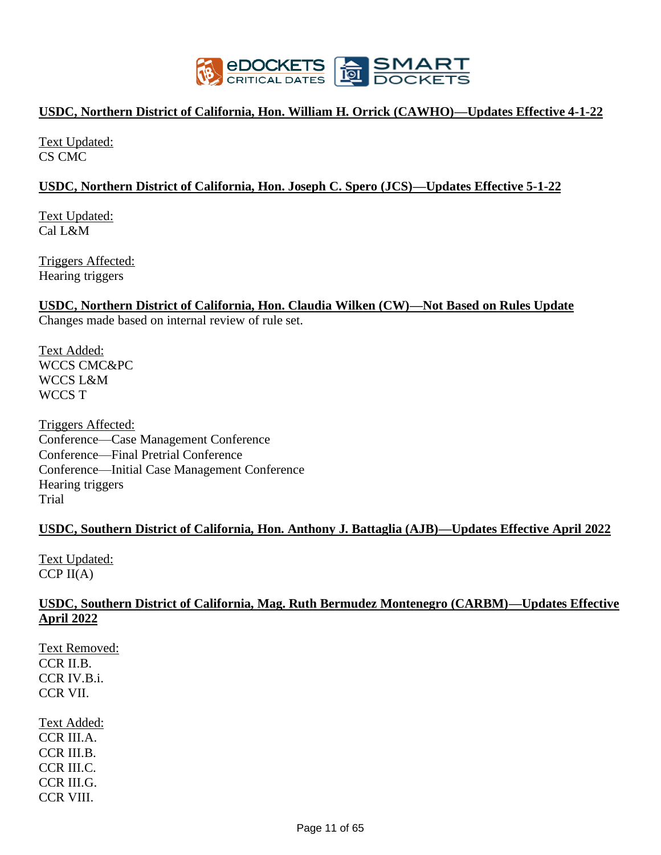

### **USDC, Northern District of California, Hon. William H. Orrick (CAWHO)—Updates Effective 4-1-22**

Text Updated: CS CMC

### **USDC, Northern District of California, Hon. Joseph C. Spero (JCS)—Updates Effective 5-1-22**

Text Updated: Cal L&M

Triggers Affected: Hearing triggers

# **USDC, Northern District of California, Hon. Claudia Wilken (CW)—Not Based on Rules Update**

Changes made based on internal review of rule set.

Text Added: WCCS CMC&PC WCCS L&M WCCS T

Triggers Affected: Conference—Case Management Conference Conference—Final Pretrial Conference Conference—Initial Case Management Conference Hearing triggers Trial

## **USDC, Southern District of California, Hon. Anthony J. Battaglia (AJB)—Updates Effective April 2022**

Text Updated:  $CCP$  II(A)

### **USDC, Southern District of California, Mag. Ruth Bermudez Montenegro (CARBM)—Updates Effective April 2022**

Text Removed: CCR II.B. CCR IV.B.i. CCR VII.

Text Added: CCR III.A. CCR III.B. CCR III.C. CCR III.G. CCR VIII.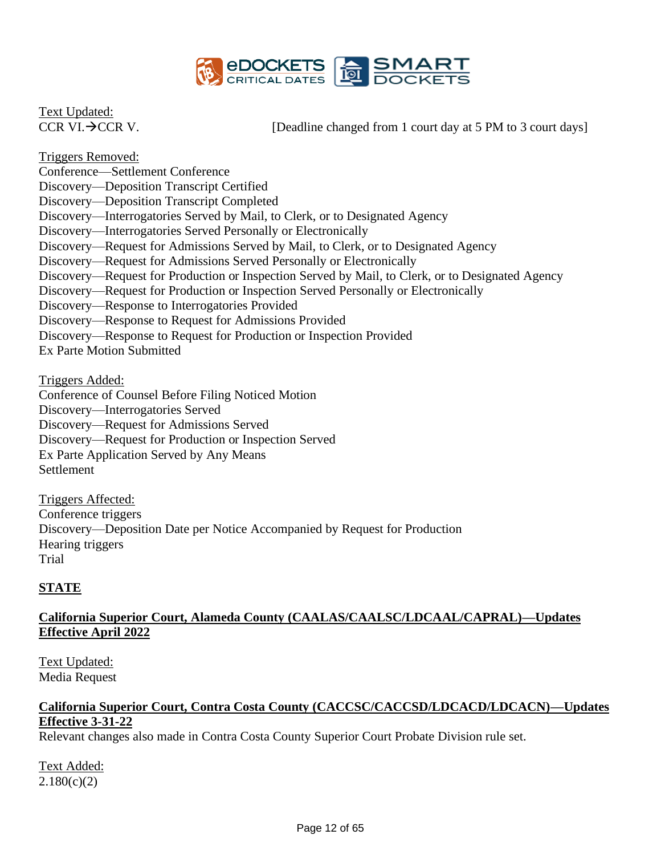

Text Updated:

CCR VI. $\rightarrow$ CCR V. [Deadline changed from 1 court day at 5 PM to 3 court days]

Triggers Removed: Conference—Settlement Conference Discovery—Deposition Transcript Certified Discovery—Deposition Transcript Completed Discovery—Interrogatories Served by Mail, to Clerk, or to Designated Agency Discovery—Interrogatories Served Personally or Electronically Discovery—Request for Admissions Served by Mail, to Clerk, or to Designated Agency Discovery—Request for Admissions Served Personally or Electronically Discovery—Request for Production or Inspection Served by Mail, to Clerk, or to Designated Agency Discovery—Request for Production or Inspection Served Personally or Electronically Discovery—Response to Interrogatories Provided Discovery—Response to Request for Admissions Provided Discovery—Response to Request for Production or Inspection Provided Ex Parte Motion Submitted

Triggers Added:

Conference of Counsel Before Filing Noticed Motion Discovery—Interrogatories Served Discovery—Request for Admissions Served Discovery—Request for Production or Inspection Served Ex Parte Application Served by Any Means Settlement

Triggers Affected: Conference triggers Discovery—Deposition Date per Notice Accompanied by Request for Production Hearing triggers Trial

# **STATE**

## **California Superior Court, Alameda County (CAALAS/CAALSC/LDCAAL/CAPRAL)—Updates Effective April 2022**

Text Updated: Media Request

## **California Superior Court, Contra Costa County (CACCSC/CACCSD/LDCACD/LDCACN)—Updates Effective 3-31-22**

Relevant changes also made in Contra Costa County Superior Court Probate Division rule set.

Text Added:  $2.180(c)(2)$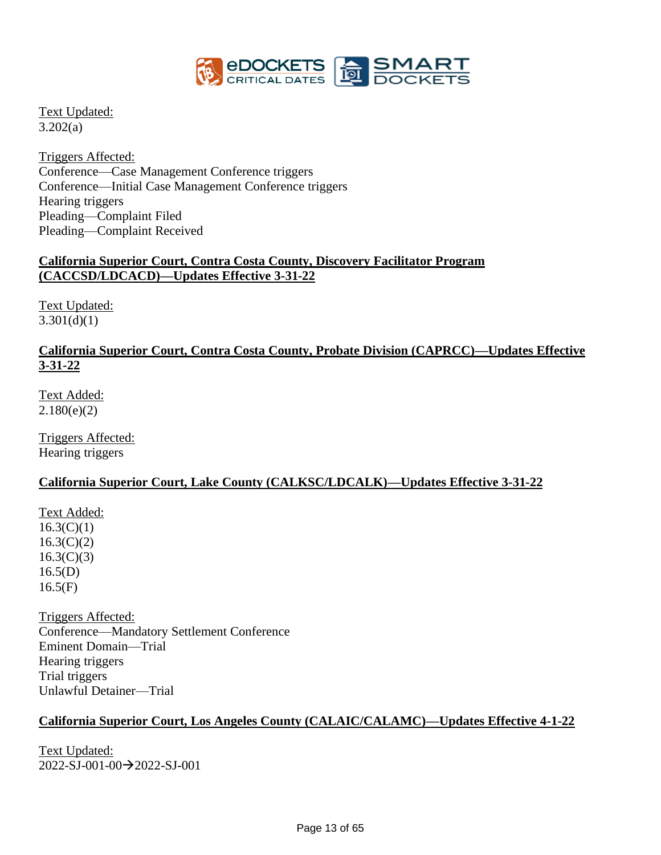

Text Updated: 3.202(a)

Triggers Affected: Conference—Case Management Conference triggers Conference—Initial Case Management Conference triggers Hearing triggers Pleading—Complaint Filed Pleading—Complaint Received

## **California Superior Court, Contra Costa County, Discovery Facilitator Program (CACCSD/LDCACD)—Updates Effective 3-31-22**

Text Updated:  $3.301(d)(1)$ 

## **California Superior Court, Contra Costa County, Probate Division (CAPRCC)—Updates Effective 3-31-22**

Text Added: 2.180(e)(2)

Triggers Affected: Hearing triggers

## **California Superior Court, Lake County (CALKSC/LDCALK)—Updates Effective 3-31-22**

Text Added:  $16.3(C)(1)$  $16.3(C)(2)$  $16.3(C)(3)$  $16.5(D)$  $16.5(F)$ 

Triggers Affected: Conference—Mandatory Settlement Conference Eminent Domain—Trial Hearing triggers Trial triggers Unlawful Detainer—Trial

## **California Superior Court, Los Angeles County (CALAIC/CALAMC)—Updates Effective 4-1-22**

Text Updated: 2022-SJ-001-00→2022-SJ-001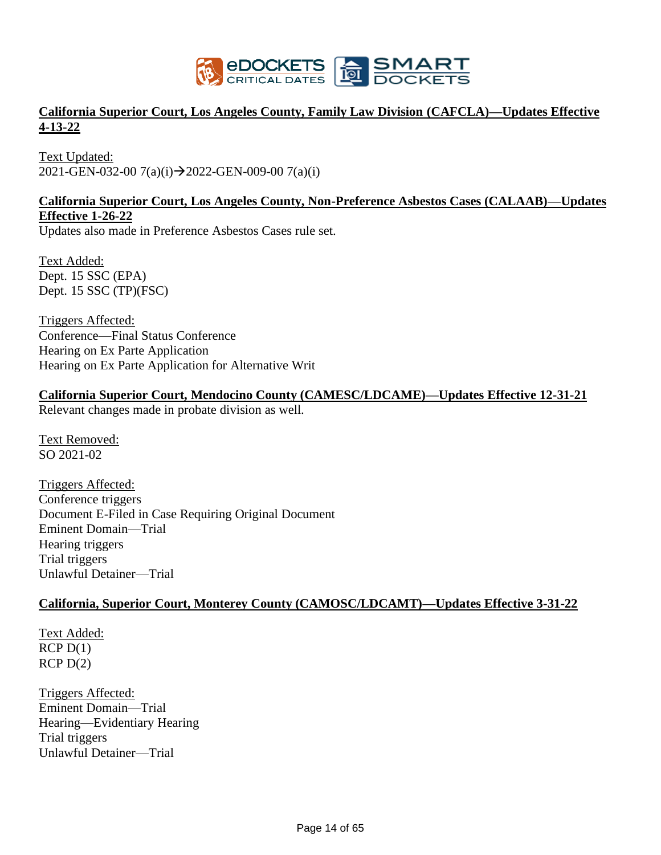

## **California Superior Court, Los Angeles County, Family Law Division (CAFCLA)—Updates Effective 4-13-22**

Text Updated: 2021-GEN-032-00 7(a)(i)→2022-GEN-009-00 7(a)(i)

### **California Superior Court, Los Angeles County, Non-Preference Asbestos Cases (CALAAB)—Updates Effective 1-26-22**

Updates also made in Preference Asbestos Cases rule set.

Text Added: Dept. 15 SSC (EPA) Dept. 15 SSC (TP)(FSC)

Triggers Affected: Conference—Final Status Conference Hearing on Ex Parte Application Hearing on Ex Parte Application for Alternative Writ

## **California Superior Court, Mendocino County (CAMESC/LDCAME)—Updates Effective 12-31-21**

Relevant changes made in probate division as well.

Text Removed: SO 2021-02

Triggers Affected: Conference triggers Document E-Filed in Case Requiring Original Document Eminent Domain—Trial Hearing triggers Trial triggers Unlawful Detainer—Trial

### **California, Superior Court, Monterey County (CAMOSC/LDCAMT)—Updates Effective 3-31-22**

Text Added:  $RCP D(1)$  $RCP D(2)$ 

Triggers Affected: Eminent Domain—Trial Hearing—Evidentiary Hearing Trial triggers Unlawful Detainer—Trial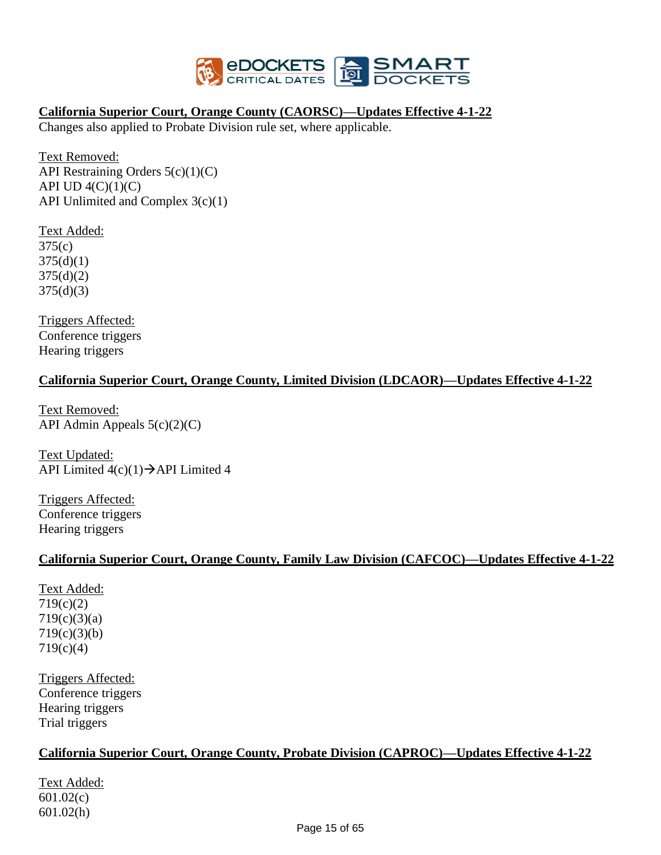

### **California Superior Court, Orange County (CAORSC)—Updates Effective 4-1-22**

Changes also applied to Probate Division rule set, where applicable.

Text Removed: API Restraining Orders 5(c)(1)(C) API UD  $4(C)(1)(C)$ API Unlimited and Complex 3(c)(1)

Text Added: 375(c)  $375(d)(1)$ 375(d)(2) 375(d)(3)

Triggers Affected: Conference triggers Hearing triggers

### **California Superior Court, Orange County, Limited Division (LDCAOR)—Updates Effective 4-1-22**

Text Removed: API Admin Appeals  $5(c)(2)(C)$ 

Text Updated: API Limited  $4(c)(1) \rightarrow$ API Limited 4

Triggers Affected: Conference triggers Hearing triggers

## **California Superior Court, Orange County, Family Law Division (CAFCOC)—Updates Effective 4-1-22**

Text Added: 719(c)(2) 719(c)(3)(a) 719(c)(3)(b) 719(c)(4)

Triggers Affected: Conference triggers Hearing triggers Trial triggers

## **California Superior Court, Orange County, Probate Division (CAPROC)—Updates Effective 4-1-22**

Text Added: 601.02(c) 601.02(h)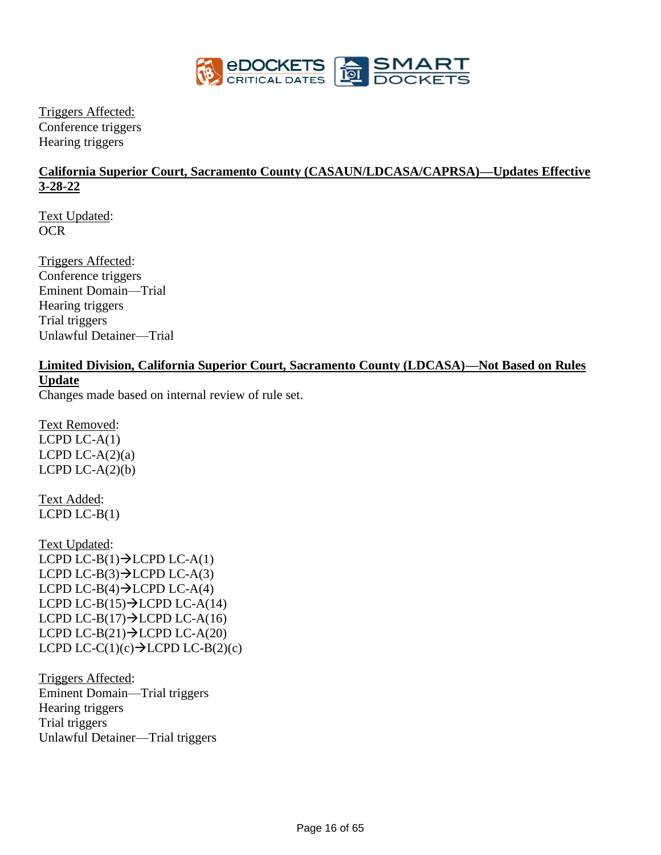

Triggers Affected: Conference triggers Hearing triggers

## **California Superior Court, Sacramento County (CASAUN/LDCASA/CAPRSA)—Updates Effective 3-28-22**

Text Updated: OCR

Triggers Affected: Conference triggers Eminent Domain—Trial Hearing triggers Trial triggers Unlawful Detainer—Trial

# **Limited Division, California Superior Court, Sacramento County (LDCASA)—Not Based on Rules Update**

Changes made based on internal review of rule set.

Text Removed: LCPD  $LC-A(1)$ LCPD LC- $A(2)(a)$ LCPD LC- $A(2)(b)$ 

Text Added:  $LCPD LC-B(1)$ 

Text Updated: LCPD LC-B $(1)$  $\rightarrow$ LCPD LC-A $(1)$ LCPD LC-B $(3)$  $\rightarrow$ LCPD LC-A $(3)$ LCPD LC-B $(4)$  $\rightarrow$ LCPD LC-A $(4)$ LCPD LC-B(15) $\rightarrow$ LCPD LC-A(14) LCPD LC-B(17) $\rightarrow$ LCPD LC-A(16) LCPD LC-B $(21) \rightarrow$ LCPD LC-A $(20)$ LCPD LC-C(1)(c) $\rightarrow$ LCPD LC-B(2)(c)

Triggers Affected: Eminent Domain—Trial triggers Hearing triggers Trial triggers Unlawful Detainer—Trial triggers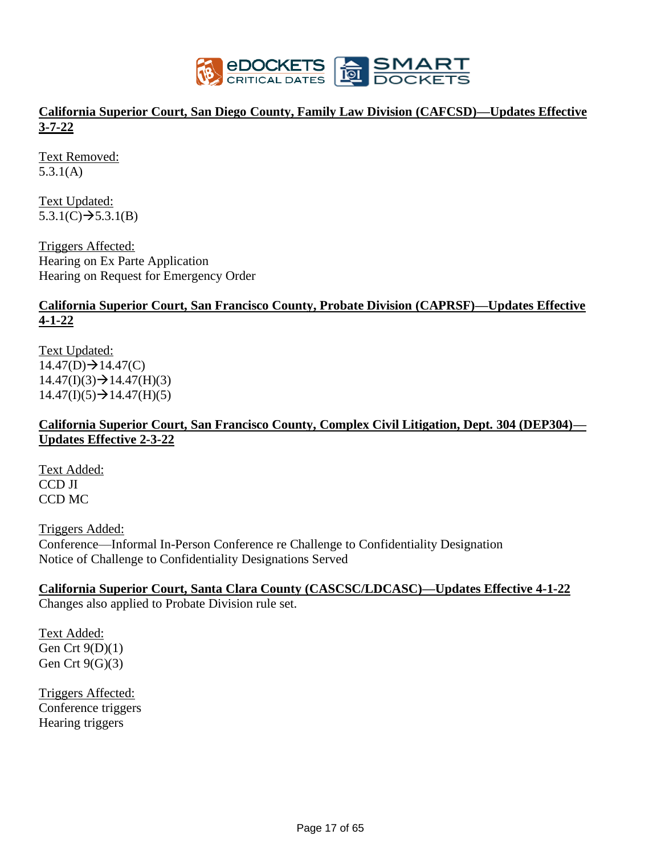

## **California Superior Court, San Diego County, Family Law Division (CAFCSD)—Updates Effective 3-7-22**

Text Removed: 5.3.1(A)

Text Updated:  $5.3.1(C) \rightarrow 5.3.1(B)$ 

Triggers Affected: Hearing on Ex Parte Application Hearing on Request for Emergency Order

### **California Superior Court, San Francisco County, Probate Division (CAPRSF)—Updates Effective 4-1-22**

Text Updated:  $14.47(D) \rightarrow 14.47(C)$  $14.47(I)(3) \rightarrow 14.47(H)(3)$  $14.47(I)(5) \rightarrow 14.47(H)(5)$ 

## **California Superior Court, San Francisco County, Complex Civil Litigation, Dept. 304 (DEP304)— Updates Effective 2-3-22**

Text Added: CCD JI CCD MC

Triggers Added: Conference—Informal In-Person Conference re Challenge to Confidentiality Designation Notice of Challenge to Confidentiality Designations Served

# **California Superior Court, Santa Clara County (CASCSC/LDCASC)—Updates Effective 4-1-22**

Changes also applied to Probate Division rule set.

Text Added: Gen Crt 9(D)(1) Gen Crt  $9(G)(3)$ 

Triggers Affected: Conference triggers Hearing triggers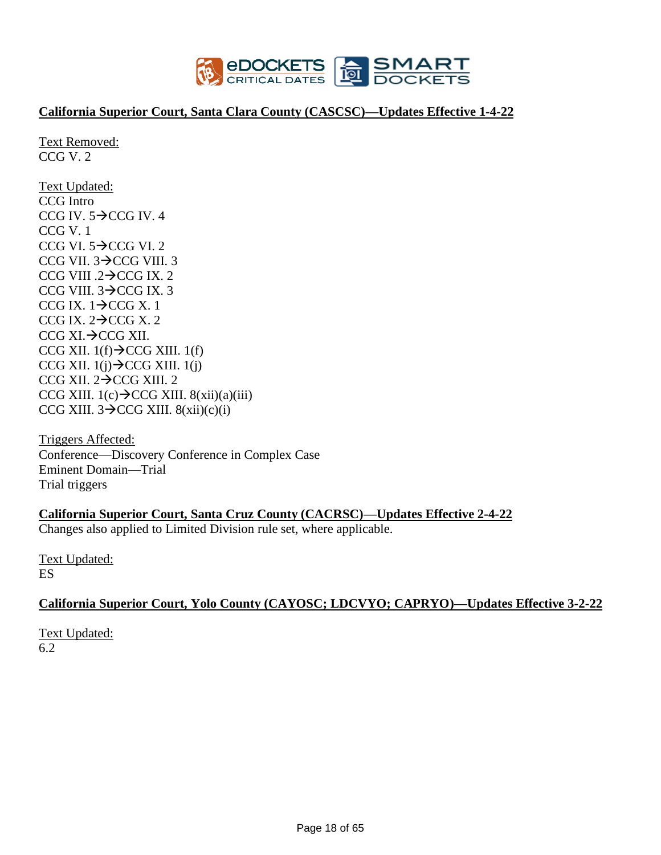

### **California Superior Court, Santa Clara County (CASCSC)—Updates Effective 1-4-22**

Text Removed: CCG V. 2

Text Updated: CCG Intro CCG IV.  $5\rightarrow$ CCG IV. 4 CCG V. 1 CCG VI.  $5 \rightarrow$ CCG VI. 2 CCG VII. 3→CCG VIII. 3 CCG VIII .2→CCG IX. 2 CCG VIII. 3→CCG IX. 3 CCG IX.  $1\rightarrow$ CCG X. 1 CCG IX.  $2 \rightarrow$ CCG X. 2 CCG XI.→CCG XII. CCG XII.  $1(f) \rightarrow$ CCG XIII. 1(f) CCG XII.  $1(i) \rightarrow$ CCG XIII.  $1(i)$ CCG XII. 2→CCG XIII. 2 CCG XIII.  $1(c) \rightarrow$ CCG XIII.  $8(xii)(a)(iii)$ CCG XIII.  $3 \rightarrow$ CCG XIII.  $8(xii)(c)(i)$ 

Triggers Affected: Conference—Discovery Conference in Complex Case Eminent Domain—Trial Trial triggers

**California Superior Court, Santa Cruz County (CACRSC)—Updates Effective 2-4-22** Changes also applied to Limited Division rule set, where applicable.

Text Updated: ES

### **California Superior Court, Yolo County (CAYOSC; LDCVYO; CAPRYO)—Updates Effective 3-2-22**

Text Updated: 6.2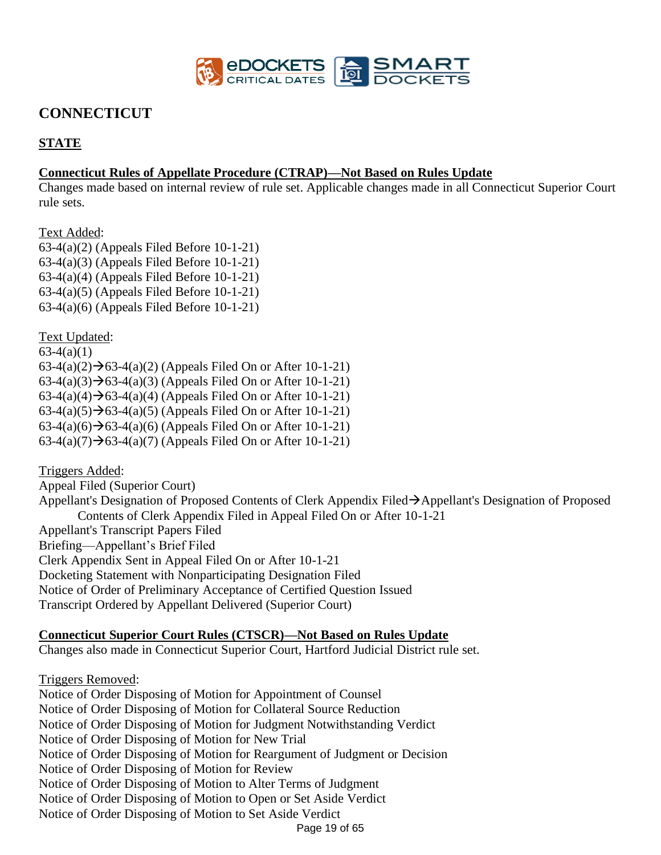

# **CONNECTICUT**

# **STATE**

### **Connecticut Rules of Appellate Procedure (CTRAP)—Not Based on Rules Update**

Changes made based on internal review of rule set. Applicable changes made in all Connecticut Superior Court rule sets.

Text Added:

63-4(a)(2) (Appeals Filed Before 10-1-21) 63-4(a)(3) (Appeals Filed Before 10-1-21) 63-4(a)(4) (Appeals Filed Before 10-1-21) 63-4(a)(5) (Appeals Filed Before 10-1-21) 63-4(a)(6) (Appeals Filed Before 10-1-21)

Text Updated:  $63-4(a)(1)$  $63-4(a)(2)$  →  $63-4(a)(2)$  (Appeals Filed On or After 10-1-21)  $63-4(a)(3) \rightarrow 63-4(a)(3)$  (Appeals Filed On or After 10-1-21) 63-4(a)(4) $\rightarrow$ 63-4(a)(4) (Appeals Filed On or After 10-1-21)  $63-4(a)(5) \rightarrow 63-4(a)(5)$  (Appeals Filed On or After 10-1-21) 63-4(a)(6) $\rightarrow$ 63-4(a)(6) (Appeals Filed On or After 10-1-21) 63-4(a)(7) $\rightarrow$ 63-4(a)(7) (Appeals Filed On or After 10-1-21)

Triggers Added: Appeal Filed (Superior Court) Appellant's Designation of Proposed Contents of Clerk Appendix Filed→Appellant's Designation of Proposed Contents of Clerk Appendix Filed in Appeal Filed On or After 10-1-21 Appellant's Transcript Papers Filed Briefing—Appellant's Brief Filed Clerk Appendix Sent in Appeal Filed On or After 10-1-21 Docketing Statement with Nonparticipating Designation Filed Notice of Order of Preliminary Acceptance of Certified Question Issued Transcript Ordered by Appellant Delivered (Superior Court)

### **Connecticut Superior Court Rules (CTSCR)—Not Based on Rules Update**

Changes also made in Connecticut Superior Court, Hartford Judicial District rule set.

Page 19 of 65 Triggers Removed: Notice of Order Disposing of Motion for Appointment of Counsel Notice of Order Disposing of Motion for Collateral Source Reduction Notice of Order Disposing of Motion for Judgment Notwithstanding Verdict Notice of Order Disposing of Motion for New Trial Notice of Order Disposing of Motion for Reargument of Judgment or Decision Notice of Order Disposing of Motion for Review Notice of Order Disposing of Motion to Alter Terms of Judgment Notice of Order Disposing of Motion to Open or Set Aside Verdict Notice of Order Disposing of Motion to Set Aside Verdict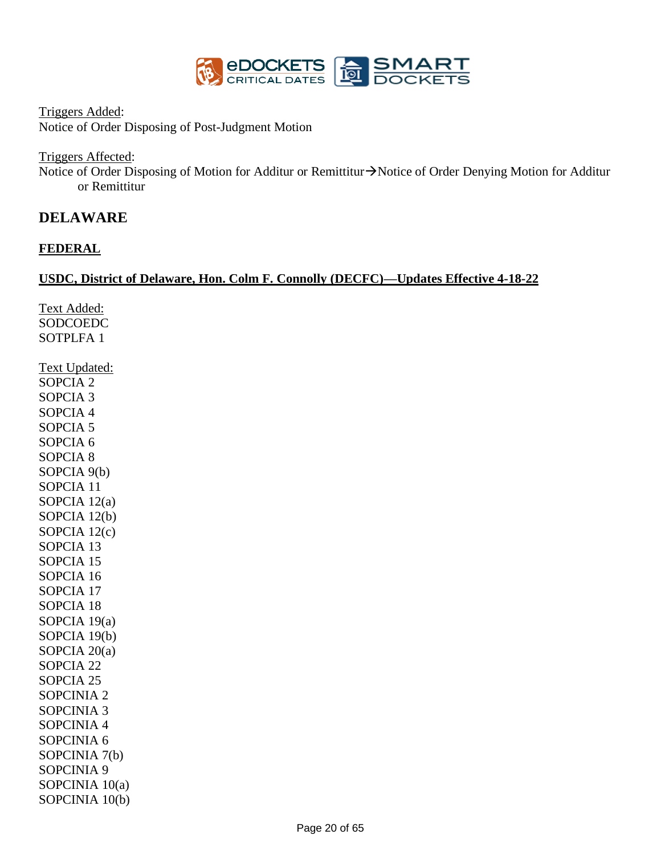

Triggers Added:

Notice of Order Disposing of Post-Judgment Motion

Triggers Affected:

Notice of Order Disposing of Motion for Additur or Remittitur→Notice of Order Denying Motion for Additur or Remittitur

## **DELAWARE**

### **FEDERAL**

### **USDC, District of Delaware, Hon. Colm F. Connolly (DECFC)—Updates Effective 4-18-22**

Text Added: SODCOEDC SOTPLFA 1 Text Updated: SOPCIA 2 SOPCIA 3 SOPCIA 4 SOPCIA 5 SOPCIA 6 SOPCIA 8 SOPCIA 9(b) SOPCIA 11 SOPCIA 12(a) SOPCIA 12(b) SOPCIA 12(c) SOPCIA 13 SOPCIA 15 SOPCIA 16 SOPCIA 17 SOPCIA 18 SOPCIA 19(a) SOPCIA 19(b) SOPCIA 20(a) SOPCIA 22 SOPCIA 25 SOPCINIA 2 SOPCINIA 3 SOPCINIA 4 SOPCINIA 6 SOPCINIA 7(b) SOPCINIA 9 SOPCINIA 10(a) SOPCINIA 10(b)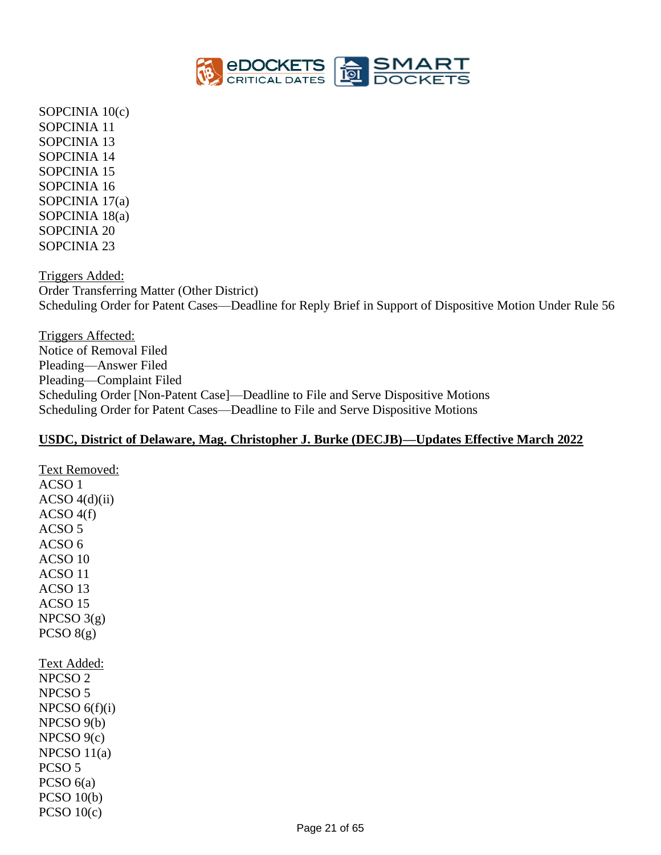

SOPCINIA 10(c) SOPCINIA 11 SOPCINIA 13 SOPCINIA 14 SOPCINIA 15 SOPCINIA 16 SOPCINIA 17(a) SOPCINIA 18(a) SOPCINIA 20 SOPCINIA 23

Triggers Added: Order Transferring Matter (Other District) Scheduling Order for Patent Cases—Deadline for Reply Brief in Support of Dispositive Motion Under Rule 56

Triggers Affected: Notice of Removal Filed Pleading—Answer Filed Pleading—Complaint Filed Scheduling Order [Non-Patent Case]—Deadline to File and Serve Dispositive Motions Scheduling Order for Patent Cases—Deadline to File and Serve Dispositive Motions

### **USDC, District of Delaware, Mag. Christopher J. Burke (DECJB)—Updates Effective March 2022**

ACSO 1 ACSO  $4(d)(ii)$  $ACSO 4(f)$ ACSO 5 ACSO 6 ACSO 10 ACSO 11 ACSO 13 ACSO 15  $NPCSO$  3(g) PCSO  $8(g)$ Text Added: NPCSO 2 NPCSO 5  $NPCSO 6(f)(i)$ NPCSO 9(b) NPCSO 9(c)  $NPCSO 11(a)$ PCSO 5 PCSO  $6(a)$ PCSO 10(b) PCSO  $10(c)$ 

Text Removed: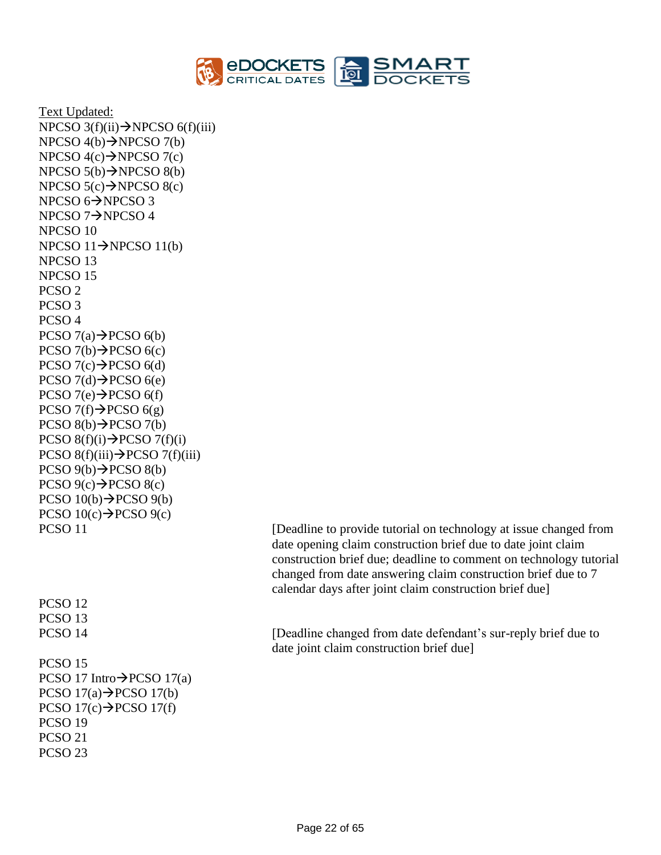

Text Updated: NPCSO  $3(f)(ii) \rightarrow NPCSO(6(f)(iii))$ NPCSO  $4(b) \rightarrow NPCSO 7(b)$ NPCSO  $4(c) \rightarrow$ NPCSO  $7(c)$ NPCSO  $5(b) \rightarrow NPCSO 8(b)$ NPCSO  $5(c) \rightarrow$ NPCSO  $8(c)$ NPCSO 6→NPCSO 3 NPCSO 7→NPCSO 4 NPCSO 10 NPCSO  $11 \rightarrow$ NPCSO  $11(b)$ NPCSO 13 NPCSO 15 PCSO 2 PCSO 3 PCSO 4 PCSO  $7(a) \rightarrow PCSO_6(b)$  $PCSO 7(b) \rightarrow PCSO 6(c)$  $PCSO 7(c) \rightarrow PCSO 6(d)$  $PCSO 7(d) \rightarrow PCSO 6(e)$  $PCSO 7(e) \rightarrow PCSO 6(f)$ PCSO  $7(f) \rightarrow PCSO 6(g)$  $PCSO 8(b) \rightarrow PCSO 7(b)$  $PCSO 8(f)(i) \rightarrow PCSO 7(f)(i)$  $PCSO 8(f)(iii) \rightarrow PCSO 7(f)(iii)$  $PCSO(9(b) \rightarrow PCSO(8(b))$  $PCSO(9(c) \rightarrow PCSO(8(c))$  $PCSO 10(b) \rightarrow PCSO 9(b)$ PCSO  $10(c) \rightarrow PCSO$  9(c) PCSO 12 PCSO 13 PCSO 15 PCSO 17 Intro $\rightarrow$ PCSO 17(a) PCSO  $17(a) \rightarrow PCSO 17(b)$ PCSO  $17(c) \rightarrow PCSO 17(f)$ PCSO 19 PCSO 21 PCSO 23

PCSO 11 [Deadline to provide tutorial on technology at issue changed from date opening claim construction brief due to date joint claim construction brief due; deadline to comment on technology tutorial changed from date answering claim construction brief due to 7 calendar days after joint claim construction brief due]

PCSO 14 [Deadline changed from date defendant's sur-reply brief due to date joint claim construction brief due]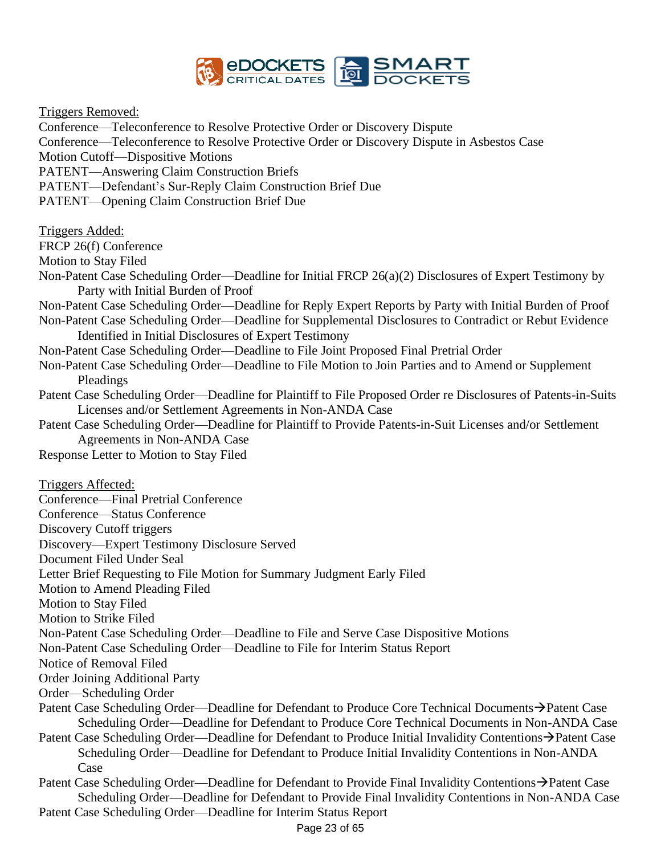

Triggers Removed:

Conference—Teleconference to Resolve Protective Order or Discovery Dispute Conference—Teleconference to Resolve Protective Order or Discovery Dispute in Asbestos Case Motion Cutoff—Dispositive Motions PATENT—Answering Claim Construction Briefs PATENT—Defendant's Sur-Reply Claim Construction Brief Due PATENT—Opening Claim Construction Brief Due Triggers Added: FRCP 26(f) Conference Motion to Stay Filed Non-Patent Case Scheduling Order—Deadline for Initial FRCP 26(a)(2) Disclosures of Expert Testimony by Party with Initial Burden of Proof Non-Patent Case Scheduling Order—Deadline for Reply Expert Reports by Party with Initial Burden of Proof Non-Patent Case Scheduling Order—Deadline for Supplemental Disclosures to Contradict or Rebut Evidence Identified in Initial Disclosures of Expert Testimony Non-Patent Case Scheduling Order—Deadline to File Joint Proposed Final Pretrial Order Non-Patent Case Scheduling Order—Deadline to File Motion to Join Parties and to Amend or Supplement Pleadings Patent Case Scheduling Order—Deadline for Plaintiff to File Proposed Order re Disclosures of Patents-in-Suits Licenses and/or Settlement Agreements in Non-ANDA Case Patent Case Scheduling Order—Deadline for Plaintiff to Provide Patents-in-Suit Licenses and/or Settlement Agreements in Non-ANDA Case Response Letter to Motion to Stay Filed Triggers Affected: Conference—Final Pretrial Conference Conference—Status Conference Discovery Cutoff triggers Discovery—Expert Testimony Disclosure Served Document Filed Under Seal Letter Brief Requesting to File Motion for Summary Judgment Early Filed Motion to Amend Pleading Filed Motion to Stay Filed Motion to Strike Filed Non-Patent Case Scheduling Order—Deadline to File and Serve Case Dispositive Motions Non-Patent Case Scheduling Order—Deadline to File for Interim Status Report Notice of Removal Filed Order Joining Additional Party Order—Scheduling Order Patent Case Scheduling Order—Deadline for Defendant to Produce Core Technical Documents→Patent Case Scheduling Order—Deadline for Defendant to Produce Core Technical Documents in Non-ANDA Case Patent Case Scheduling Order—Deadline for Defendant to Produce Initial Invalidity Contentions→Patent Case Scheduling Order—Deadline for Defendant to Produce Initial Invalidity Contentions in Non-ANDA Case

Patent Case Scheduling Order—Deadline for Defendant to Provide Final Invalidity Contentions→Patent Case Scheduling Order—Deadline for Defendant to Provide Final Invalidity Contentions in Non-ANDA Case

Patent Case Scheduling Order—Deadline for Interim Status Report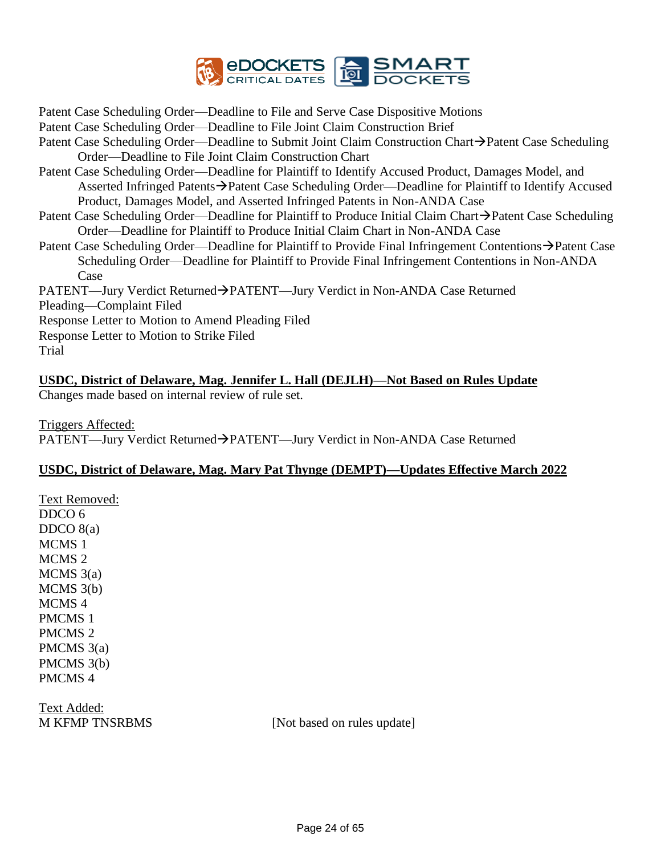

Patent Case Scheduling Order—Deadline to File and Serve Case Dispositive Motions

- Patent Case Scheduling Order—Deadline to File Joint Claim Construction Brief
- Patent Case Scheduling Order—Deadline to Submit Joint Claim Construction Chart→Patent Case Scheduling Order—Deadline to File Joint Claim Construction Chart
- Patent Case Scheduling Order—Deadline for Plaintiff to Identify Accused Product, Damages Model, and Asserted Infringed Patents→Patent Case Scheduling Order—Deadline for Plaintiff to Identify Accused Product, Damages Model, and Asserted Infringed Patents in Non-ANDA Case
- Patent Case Scheduling Order—Deadline for Plaintiff to Produce Initial Claim Chart→Patent Case Scheduling Order—Deadline for Plaintiff to Produce Initial Claim Chart in Non-ANDA Case
- Patent Case Scheduling Order—Deadline for Plaintiff to Provide Final Infringement Contentions→Patent Case Scheduling Order—Deadline for Plaintiff to Provide Final Infringement Contentions in Non-ANDA Case

PATENT—Jury Verdict Returned→PATENT—Jury Verdict in Non-ANDA Case Returned Pleading—Complaint Filed Response Letter to Motion to Amend Pleading Filed Response Letter to Motion to Strike Filed

Trial

# **USDC, District of Delaware, Mag. Jennifer L. Hall (DEJLH)—Not Based on Rules Update**

Changes made based on internal review of rule set.

Triggers Affected: PATENT—Jury Verdict Returned→PATENT—Jury Verdict in Non-ANDA Case Returned

## **USDC, District of Delaware, Mag. Mary Pat Thynge (DEMPT)—Updates Effective March 2022**

Text Removed: DDCO 6 DDCO  $8(a)$ MCMS 1 MCMS 2 MCMS 3(a) MCMS 3(b) MCMS 4 PMCMS 1 PMCMS 2 PMCMS 3(a) PMCMS 3(b) PMCMS 4

Text Added:

M KFMP TNSRBMS [Not based on rules update]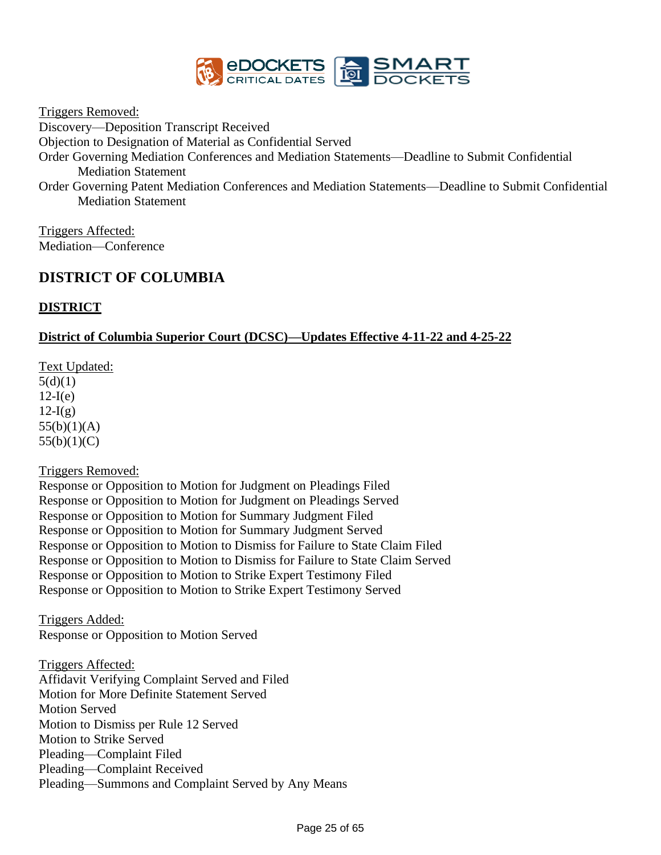

Triggers Removed:

Discovery—Deposition Transcript Received

Objection to Designation of Material as Confidential Served

Order Governing Mediation Conferences and Mediation Statements—Deadline to Submit Confidential Mediation Statement

Order Governing Patent Mediation Conferences and Mediation Statements—Deadline to Submit Confidential Mediation Statement

Triggers Affected: Mediation—Conference

# **DISTRICT OF COLUMBIA**

## **DISTRICT**

## **District of Columbia Superior Court (DCSC)—Updates Effective 4-11-22 and 4-25-22**

Text Updated:  $5(d)(1)$  $12-I(e)$  $12-I(g)$  $55(b)(1)(A)$  $55(b)(1)(C)$ 

Triggers Removed:

Response or Opposition to Motion for Judgment on Pleadings Filed Response or Opposition to Motion for Judgment on Pleadings Served Response or Opposition to Motion for Summary Judgment Filed Response or Opposition to Motion for Summary Judgment Served Response or Opposition to Motion to Dismiss for Failure to State Claim Filed Response or Opposition to Motion to Dismiss for Failure to State Claim Served Response or Opposition to Motion to Strike Expert Testimony Filed Response or Opposition to Motion to Strike Expert Testimony Served

Triggers Added: Response or Opposition to Motion Served

Triggers Affected: Affidavit Verifying Complaint Served and Filed Motion for More Definite Statement Served Motion Served Motion to Dismiss per Rule 12 Served Motion to Strike Served Pleading—Complaint Filed Pleading—Complaint Received Pleading—Summons and Complaint Served by Any Means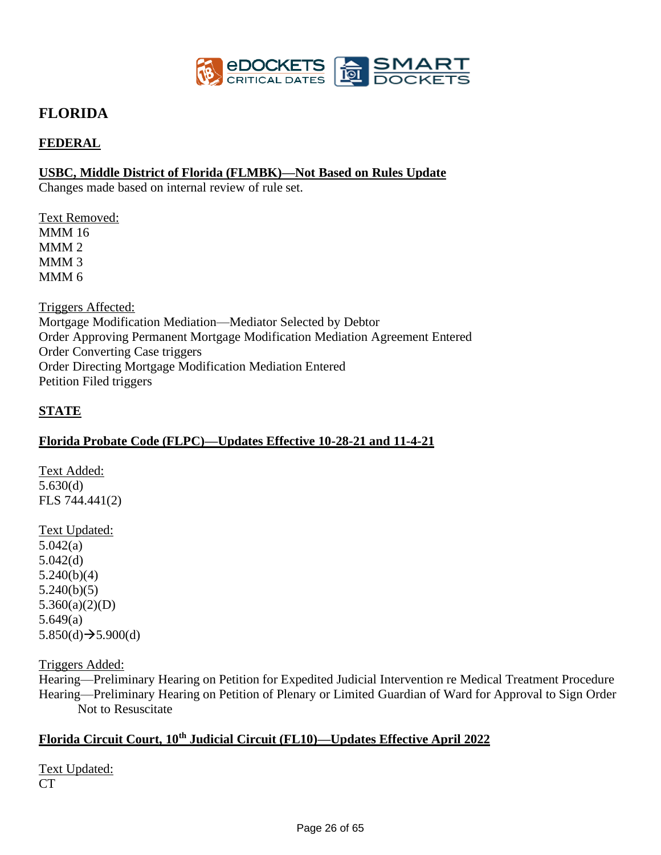

# **FLORIDA**

## **FEDERAL**

### **USBC, Middle District of Florida (FLMBK)—Not Based on Rules Update**

Changes made based on internal review of rule set.

Text Removed: MMM 16 MMM 2 MMM 3 MMM 6

Triggers Affected: Mortgage Modification Mediation—Mediator Selected by Debtor Order Approving Permanent Mortgage Modification Mediation Agreement Entered Order Converting Case triggers Order Directing Mortgage Modification Mediation Entered Petition Filed triggers

### **STATE**

### **Florida Probate Code (FLPC)—Updates Effective 10-28-21 and 11-4-21**

Text Added: 5.630(d) FLS 744.441(2)

Text Updated: 5.042(a) 5.042(d) 5.240(b)(4) 5.240(b)(5) 5.360(a)(2)(D) 5.649(a)  $5.850(d) \rightarrow 5.900(d)$ 

Triggers Added:

Hearing—Preliminary Hearing on Petition for Expedited Judicial Intervention re Medical Treatment Procedure Hearing—Preliminary Hearing on Petition of Plenary or Limited Guardian of Ward for Approval to Sign Order Not to Resuscitate

# **Florida Circuit Court, 10th Judicial Circuit (FL10)—Updates Effective April 2022**

Text Updated: CT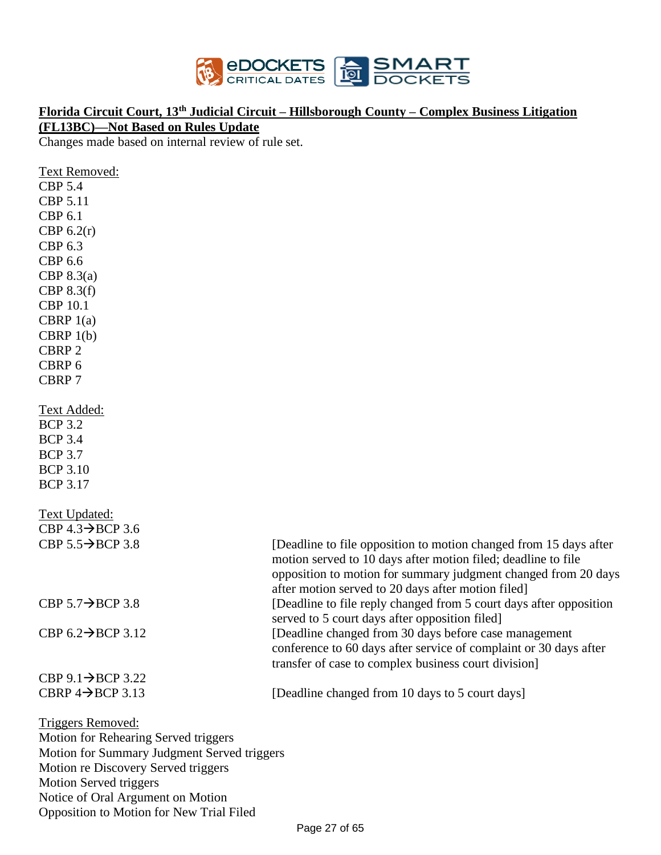

## **Florida Circuit Court, 13th Judicial Circuit – Hillsborough County – Complex Business Litigation**

**(FL13BC)—Not Based on Rules Update** 

Changes made based on internal review of rule set.

| <b>Text Removed:</b>                        |                                                                                                                                                                                                                                                            |
|---------------------------------------------|------------------------------------------------------------------------------------------------------------------------------------------------------------------------------------------------------------------------------------------------------------|
| <b>CBP 5.4</b>                              |                                                                                                                                                                                                                                                            |
| CBP 5.11                                    |                                                                                                                                                                                                                                                            |
| <b>CBP 6.1</b>                              |                                                                                                                                                                                                                                                            |
| CBP $6.2(r)$                                |                                                                                                                                                                                                                                                            |
| CBP 6.3                                     |                                                                                                                                                                                                                                                            |
| <b>CBP 6.6</b>                              |                                                                                                                                                                                                                                                            |
| CBP $8.3(a)$                                |                                                                                                                                                                                                                                                            |
| CBP $8.3(f)$                                |                                                                                                                                                                                                                                                            |
| <b>CBP 10.1</b>                             |                                                                                                                                                                                                                                                            |
| CBRP $1(a)$                                 |                                                                                                                                                                                                                                                            |
| CBRP $1(b)$                                 |                                                                                                                                                                                                                                                            |
| CBRP <sub>2</sub>                           |                                                                                                                                                                                                                                                            |
| CBRP 6                                      |                                                                                                                                                                                                                                                            |
| CBRP 7                                      |                                                                                                                                                                                                                                                            |
| <u>Text Added:</u>                          |                                                                                                                                                                                                                                                            |
| <b>BCP 3.2</b>                              |                                                                                                                                                                                                                                                            |
| <b>BCP 3.4</b>                              |                                                                                                                                                                                                                                                            |
| <b>BCP 3.7</b>                              |                                                                                                                                                                                                                                                            |
| <b>BCP 3.10</b>                             |                                                                                                                                                                                                                                                            |
| <b>BCP 3.17</b>                             |                                                                                                                                                                                                                                                            |
| <b>Text Updated:</b>                        |                                                                                                                                                                                                                                                            |
| CBP $4.3 \rightarrow BCP$ 3.6               |                                                                                                                                                                                                                                                            |
| CBP $5.5 \rightarrow BCP$ 3.8               | [Deadline to file opposition to motion changed from 15 days after<br>motion served to 10 days after motion filed; deadline to file<br>opposition to motion for summary judgment changed from 20 days<br>after motion served to 20 days after motion filed] |
| CBP $5.7 \rightarrow$ BCP 3.8               | [Deadline to file reply changed from 5 court days after opposition<br>served to 5 court days after opposition filed]                                                                                                                                       |
| CBP $6.2 \rightarrow BCP$ 3.12              | [Deadline changed from 30 days before case management                                                                                                                                                                                                      |
|                                             | conference to 60 days after service of complaint or 30 days after                                                                                                                                                                                          |
|                                             | transfer of case to complex business court division]                                                                                                                                                                                                       |
| CBP $9.1 \rightarrow BCP$ 3.22              |                                                                                                                                                                                                                                                            |
| CBRP $4 \rightarrow$ BCP 3.13               | [Deadline changed from 10 days to 5 court days]                                                                                                                                                                                                            |
| <b>Triggers Removed:</b>                    |                                                                                                                                                                                                                                                            |
| Motion for Rehearing Served triggers        |                                                                                                                                                                                                                                                            |
| Motion for Summary Judgment Served triggers |                                                                                                                                                                                                                                                            |
| Motion re Discovery Served triggers         |                                                                                                                                                                                                                                                            |

Motion Served triggers Notice of Oral Argument on Motion Opposition to Motion for New Trial Filed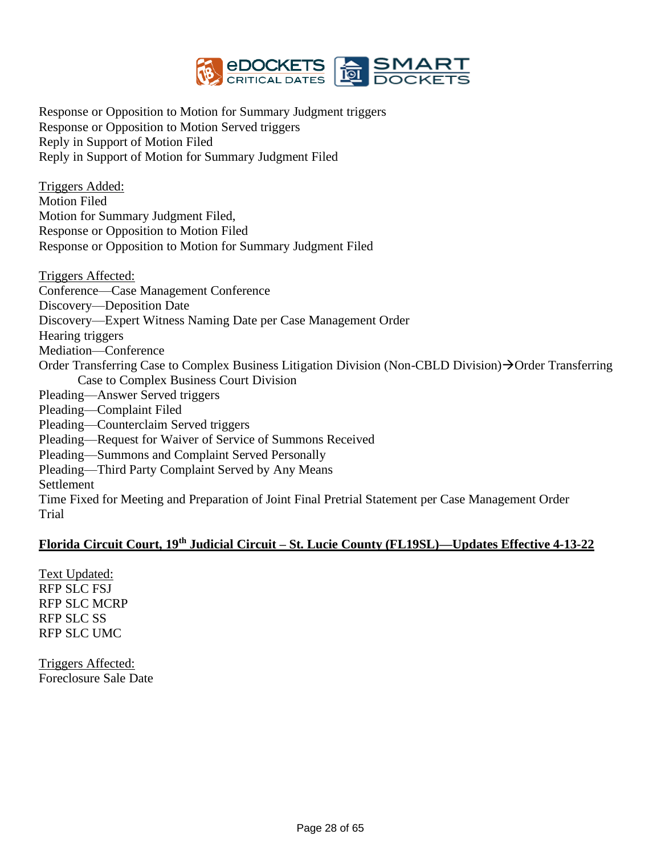

Response or Opposition to Motion for Summary Judgment triggers Response or Opposition to Motion Served triggers Reply in Support of Motion Filed Reply in Support of Motion for Summary Judgment Filed

Triggers Added: Motion Filed Motion for Summary Judgment Filed, Response or Opposition to Motion Filed Response or Opposition to Motion for Summary Judgment Filed

Triggers Affected: Conference—Case Management Conference Discovery—Deposition Date Discovery—Expert Witness Naming Date per Case Management Order Hearing triggers Mediation—Conference Order Transferring Case to Complex Business Litigation Division (Non-CBLD Division)→Order Transferring Case to Complex Business Court Division Pleading—Answer Served triggers Pleading—Complaint Filed Pleading—Counterclaim Served triggers Pleading—Request for Waiver of Service of Summons Received Pleading—Summons and Complaint Served Personally Pleading—Third Party Complaint Served by Any Means Settlement Time Fixed for Meeting and Preparation of Joint Final Pretrial Statement per Case Management Order Trial

### **Florida Circuit Court, 19th Judicial Circuit – St. Lucie County (FL19SL)—Updates Effective 4-13-22**

Text Updated: RFP SLC FSJ RFP SLC MCRP RFP SLC SS RFP SLC UMC

Triggers Affected: Foreclosure Sale Date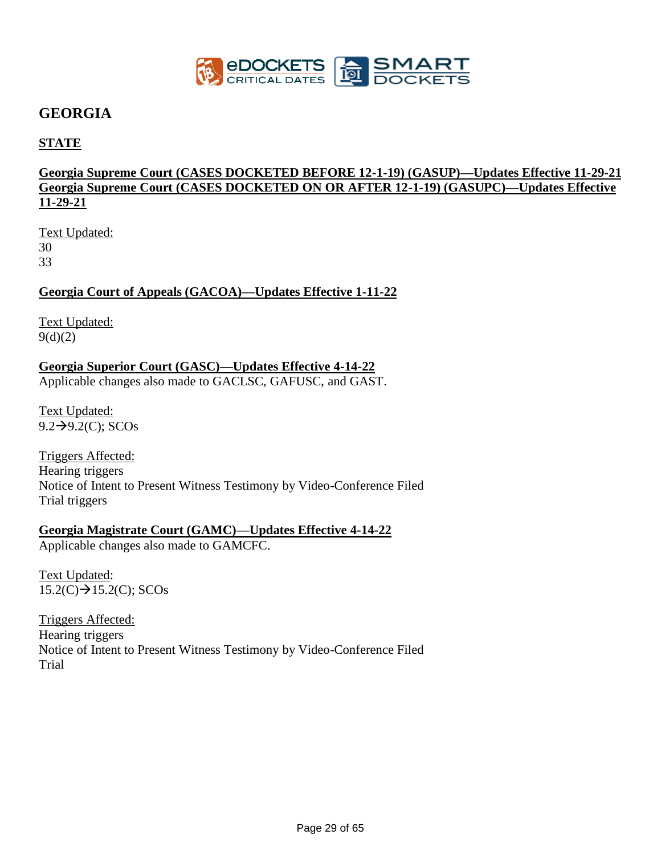

# **GEORGIA**

## **STATE**

## **Georgia Supreme Court (CASES DOCKETED BEFORE 12-1-19) (GASUP)—Updates Effective 11-29-21 Georgia Supreme Court (CASES DOCKETED ON OR AFTER 12-1-19) (GASUPC)—Updates Effective 11-29-21**

Text Updated: 30 33

### **Georgia Court of Appeals (GACOA)—Updates Effective 1-11-22**

Text Updated: 9(d)(2)

### **Georgia Superior Court (GASC)—Updates Effective 4-14-22**

Applicable changes also made to GACLSC, GAFUSC, and GAST.

Text Updated: 9.2→9.2(C); SCOs

Triggers Affected: Hearing triggers Notice of Intent to Present Witness Testimony by Video-Conference Filed Trial triggers

## **Georgia Magistrate Court (GAMC)—Updates Effective 4-14-22**

Applicable changes also made to GAMCFC.

Text Updated:  $15.2(C) \rightarrow 15.2(C)$ ; SCOs

Triggers Affected: Hearing triggers Notice of Intent to Present Witness Testimony by Video-Conference Filed Trial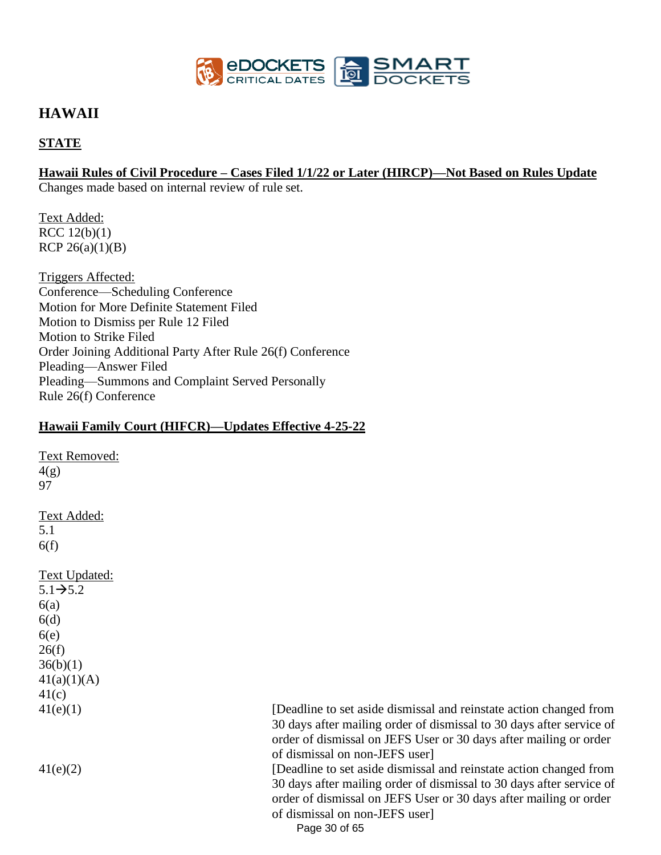

# **HAWAII**

## **STATE**

### **Hawaii Rules of Civil Procedure – Cases Filed 1/1/22 or Later (HIRCP)—Not Based on Rules Update**

Changes made based on internal review of rule set.

Text Added: RCC 12(b)(1) RCP  $26(a)(1)(B)$ 

Triggers Affected: Conference—Scheduling Conference Motion for More Definite Statement Filed Motion to Dismiss per Rule 12 Filed Motion to Strike Filed Order Joining Additional Party After Rule 26(f) Conference Pleading—Answer Filed Pleading—Summons and Complaint Served Personally Rule 26(f) Conference

### **Hawaii Family Court (HIFCR)—Updates Effective 4-25-22**

Text Removed:  $4(g)$ 97 Text Added: 5.1 6(f) Text Updated:  $5.1\rightarrow 5.2$  $6(a)$ 6(d)  $6(e)$  $26(f)$  $36(b)(1)$  $41(a)(1)(A)$ 41(c)

41(e)(1) [Deadline to set aside dismissal and reinstate action changed from 30 days after mailing order of dismissal to 30 days after service of order of dismissal on JEFS User or 30 days after mailing or order of dismissal on non-JEFS user] 41(e)(2) [Deadline to set aside dismissal and reinstate action changed from

30 days after mailing order of dismissal to 30 days after service of order of dismissal on JEFS User or 30 days after mailing or order of dismissal on non-JEFS user]

Page 30 of 65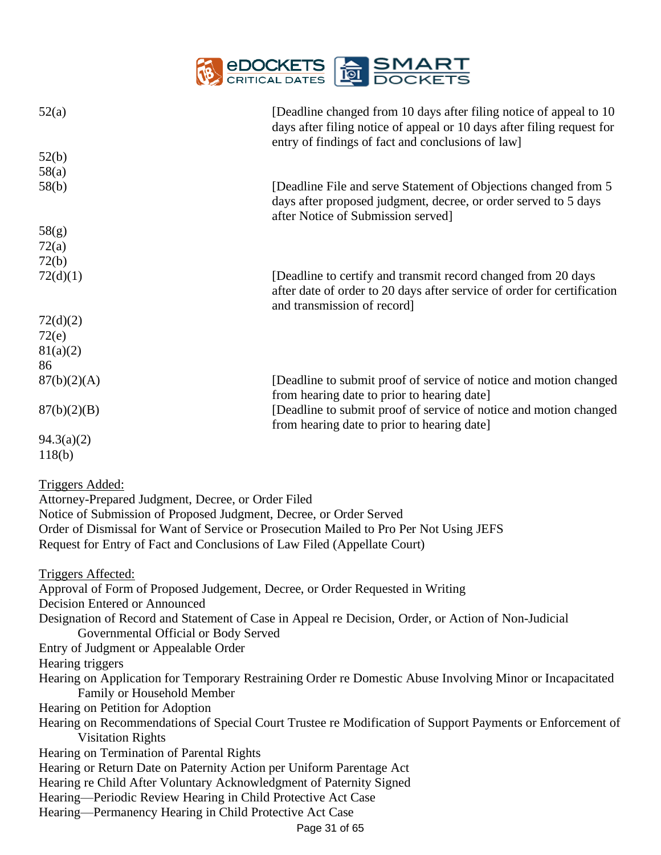

| 52(a)                                                                         | [Deadline changed from 10 days after filing notice of appeal to 10<br>days after filing notice of appeal or 10 days after filing request for |  |  |
|-------------------------------------------------------------------------------|----------------------------------------------------------------------------------------------------------------------------------------------|--|--|
|                                                                               | entry of findings of fact and conclusions of law]                                                                                            |  |  |
| 52(b)                                                                         |                                                                                                                                              |  |  |
| 58(a)                                                                         |                                                                                                                                              |  |  |
| 58(b)                                                                         | [Deadline File and serve Statement of Objections changed from 5                                                                              |  |  |
|                                                                               | days after proposed judgment, decree, or order served to 5 days<br>after Notice of Submission served]                                        |  |  |
| 58(g)                                                                         |                                                                                                                                              |  |  |
| 72(a)                                                                         |                                                                                                                                              |  |  |
| 72(b)                                                                         |                                                                                                                                              |  |  |
| 72(d)(1)                                                                      | [Deadline to certify and transmit record changed from 20 days                                                                                |  |  |
|                                                                               | after date of order to 20 days after service of order for certification                                                                      |  |  |
|                                                                               | and transmission of record]                                                                                                                  |  |  |
| 72(d)(2)                                                                      |                                                                                                                                              |  |  |
| 72(e)                                                                         |                                                                                                                                              |  |  |
| 81(a)(2)                                                                      |                                                                                                                                              |  |  |
| 86                                                                            |                                                                                                                                              |  |  |
| 87(b)(2)(A)                                                                   | [Deadline to submit proof of service of notice and motion changed                                                                            |  |  |
|                                                                               | from hearing date to prior to hearing date]                                                                                                  |  |  |
| 87(b)(2)(B)                                                                   | [Deadline to submit proof of service of notice and motion changed                                                                            |  |  |
|                                                                               | from hearing date to prior to hearing date]                                                                                                  |  |  |
| 94.3(a)(2)                                                                    |                                                                                                                                              |  |  |
| 118(b)                                                                        |                                                                                                                                              |  |  |
|                                                                               |                                                                                                                                              |  |  |
| <u>Triggers Added:</u>                                                        |                                                                                                                                              |  |  |
| Attorney-Prepared Judgment, Decree, or Order Filed                            |                                                                                                                                              |  |  |
| Notice of Submission of Proposed Judgment, Decree, or Order Served            |                                                                                                                                              |  |  |
|                                                                               | Order of Dismissal for Want of Service or Prosecution Mailed to Pro Per Not Using JEFS                                                       |  |  |
| Request for Entry of Fact and Conclusions of Law Filed (Appellate Court)      |                                                                                                                                              |  |  |
|                                                                               |                                                                                                                                              |  |  |
| <b>Triggers Affected:</b>                                                     |                                                                                                                                              |  |  |
| Approval of Form of Proposed Judgement, Decree, or Order Requested in Writing |                                                                                                                                              |  |  |
| <b>Decision Entered or Announced</b>                                          |                                                                                                                                              |  |  |
|                                                                               | Designation of Record and Statement of Case in Appeal re Decision, Order, or Action of Non-Judicial                                          |  |  |
| Governmental Official or Body Served                                          |                                                                                                                                              |  |  |
| Entry of Judgment or Appealable Order                                         |                                                                                                                                              |  |  |
| Hearing triggers                                                              |                                                                                                                                              |  |  |
|                                                                               | Hearing on Application for Temporary Restraining Order re Domestic Abuse Involving Minor or Incapacitated                                    |  |  |
| Family or Household Member                                                    |                                                                                                                                              |  |  |
| Hearing on Petition for Adoption                                              |                                                                                                                                              |  |  |
|                                                                               | Hearing on Recommendations of Special Court Trustee re Modification of Support Payments or Enforcement of                                    |  |  |
| <b>Visitation Rights</b>                                                      |                                                                                                                                              |  |  |
| Hearing on Termination of Parental Rights                                     |                                                                                                                                              |  |  |
| Hearing or Return Date on Paternity Action per Uniform Parentage Act          |                                                                                                                                              |  |  |
| Hearing re Child After Voluntary Acknowledgment of Paternity Signed           |                                                                                                                                              |  |  |
|                                                                               | Hearing—Periodic Review Hearing in Child Protective Act Case                                                                                 |  |  |
| Hearing—Permanency Hearing in Child Protective Act Case                       |                                                                                                                                              |  |  |
| Page 31 of 65                                                                 |                                                                                                                                              |  |  |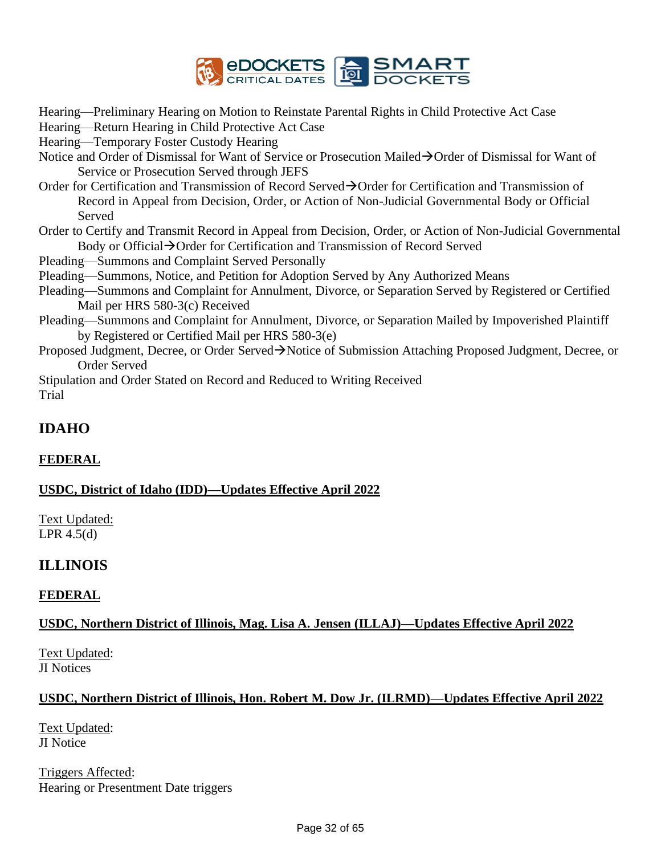

Hearing—Preliminary Hearing on Motion to Reinstate Parental Rights in Child Protective Act Case

Hearing—Return Hearing in Child Protective Act Case

Hearing—Temporary Foster Custody Hearing

- Notice and Order of Dismissal for Want of Service or Prosecution Mailed→Order of Dismissal for Want of Service or Prosecution Served through JEFS
- Order for Certification and Transmission of Record Served→Order for Certification and Transmission of Record in Appeal from Decision, Order, or Action of Non-Judicial Governmental Body or Official Served
- Order to Certify and Transmit Record in Appeal from Decision, Order, or Action of Non-Judicial Governmental Body or Official→Order for Certification and Transmission of Record Served
- Pleading—Summons and Complaint Served Personally
- Pleading—Summons, Notice, and Petition for Adoption Served by Any Authorized Means
- Pleading—Summons and Complaint for Annulment, Divorce, or Separation Served by Registered or Certified Mail per HRS 580-3(c) Received
- Pleading—Summons and Complaint for Annulment, Divorce, or Separation Mailed by Impoverished Plaintiff by Registered or Certified Mail per HRS 580-3(e)
- Proposed Judgment, Decree, or Order Served→Notice of Submission Attaching Proposed Judgment, Decree, or Order Served

Stipulation and Order Stated on Record and Reduced to Writing Received Trial

# **IDAHO**

# **FEDERAL**

## **USDC, District of Idaho (IDD)—Updates Effective April 2022**

Text Updated: LPR 4.5(d)

# **ILLINOIS**

## **FEDERAL**

## **USDC, Northern District of Illinois, Mag. Lisa A. Jensen (ILLAJ)—Updates Effective April 2022**

Text Updated: JI Notices

## **USDC, Northern District of Illinois, Hon. Robert M. Dow Jr. (ILRMD)—Updates Effective April 2022**

Text Updated: JI Notice

Triggers Affected: Hearing or Presentment Date triggers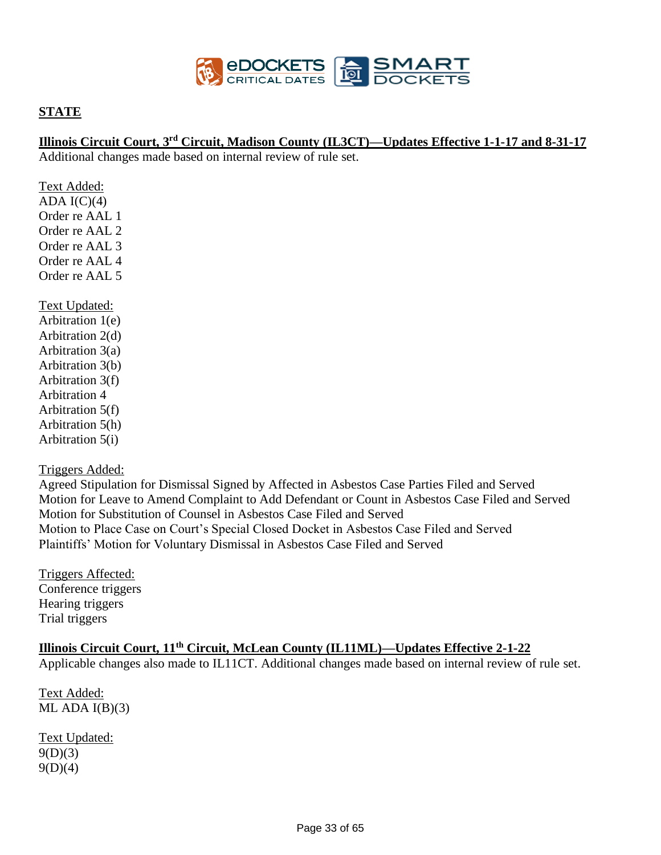

### **STATE**

### **Illinois Circuit Court, 3rd Circuit, Madison County (IL3CT)—Updates Effective 1-1-17 and 8-31-17**

Additional changes made based on internal review of rule set.

Text Added: ADA  $I(C)(4)$ Order re AAL 1 Order re AAL 2 Order re AAL 3 Order re AAL 4 Order re AAL 5 Text Updated: Arbitration 1(e) Arbitration 2(d) Arbitration 3(a) Arbitration 3(b) Arbitration 3(f) Arbitration 4 Arbitration 5(f) Arbitration 5(h) Arbitration 5(i)

### Triggers Added:

Agreed Stipulation for Dismissal Signed by Affected in Asbestos Case Parties Filed and Served Motion for Leave to Amend Complaint to Add Defendant or Count in Asbestos Case Filed and Served Motion for Substitution of Counsel in Asbestos Case Filed and Served Motion to Place Case on Court's Special Closed Docket in Asbestos Case Filed and Served Plaintiffs' Motion for Voluntary Dismissal in Asbestos Case Filed and Served

Triggers Affected: Conference triggers Hearing triggers Trial triggers

# **Illinois Circuit Court, 11th Circuit, McLean County (IL11ML)—Updates Effective 2-1-22**

Applicable changes also made to IL11CT. Additional changes made based on internal review of rule set.

Text Added: ML ADA  $I(B)(3)$ 

Text Updated:  $9(D)(3)$  $9(D)(4)$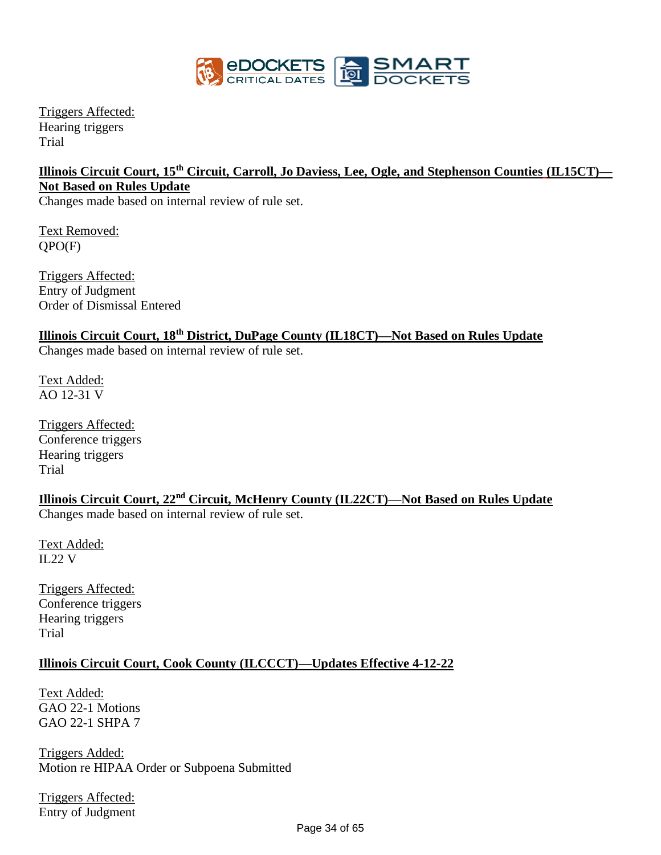

Triggers Affected: Hearing triggers Trial

# **Illinois Circuit Court, 15th Circuit, Carroll, Jo Daviess, Lee, Ogle, and Stephenson Counties (IL15CT)— Not Based on Rules Update**

Changes made based on internal review of rule set.

Text Removed: QPO(F)

Triggers Affected: Entry of Judgment Order of Dismissal Entered

## **Illinois Circuit Court, 18th District, DuPage County (IL18CT)—Not Based on Rules Update**

Changes made based on internal review of rule set.

Text Added: AO 12-31 V

Triggers Affected: Conference triggers Hearing triggers Trial

**Illinois Circuit Court, 22nd Circuit, McHenry County (IL22CT)—Not Based on Rules Update**

Changes made based on internal review of rule set.

Text Added: IL22 V

Triggers Affected: Conference triggers Hearing triggers Trial

# **Illinois Circuit Court, Cook County (ILCCCT)—Updates Effective 4-12-22**

Text Added: GAO 22-1 Motions GAO 22-1 SHPA 7

Triggers Added: Motion re HIPAA Order or Subpoena Submitted

Triggers Affected: Entry of Judgment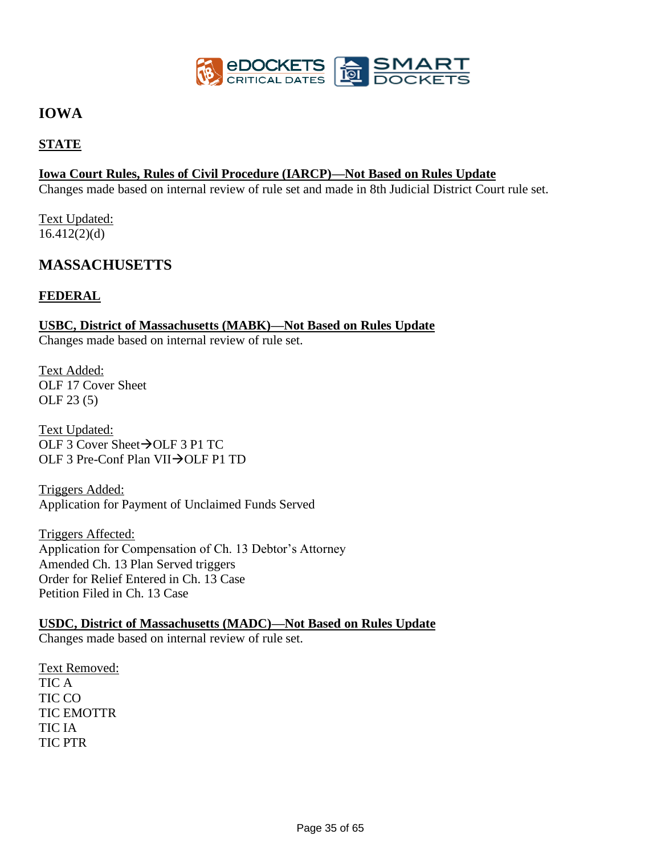

# **IOWA**

## **STATE**

### **Iowa Court Rules, Rules of Civil Procedure (IARCP)—Not Based on Rules Update**

Changes made based on internal review of rule set and made in 8th Judicial District Court rule set.

Text Updated:  $16.412(2)(d)$ 

# **MASSACHUSETTS**

### **FEDERAL**

# **USBC, District of Massachusetts (MABK)—Not Based on Rules Update**

Changes made based on internal review of rule set.

Text Added: OLF 17 Cover Sheet OLF 23 (5)

Text Updated: OLF 3 Cover Sheet→OLF 3 P1 TC OLF 3 Pre-Conf Plan VII→OLF P1 TD

Triggers Added: Application for Payment of Unclaimed Funds Served

Triggers Affected: Application for Compensation of Ch. 13 Debtor's Attorney Amended Ch. 13 Plan Served triggers Order for Relief Entered in Ch. 13 Case Petition Filed in Ch. 13 Case

# **USDC, District of Massachusetts (MADC)—Not Based on Rules Update**

Changes made based on internal review of rule set.

Text Removed: TIC A TIC CO TIC EMOTTR TIC IA TIC PTR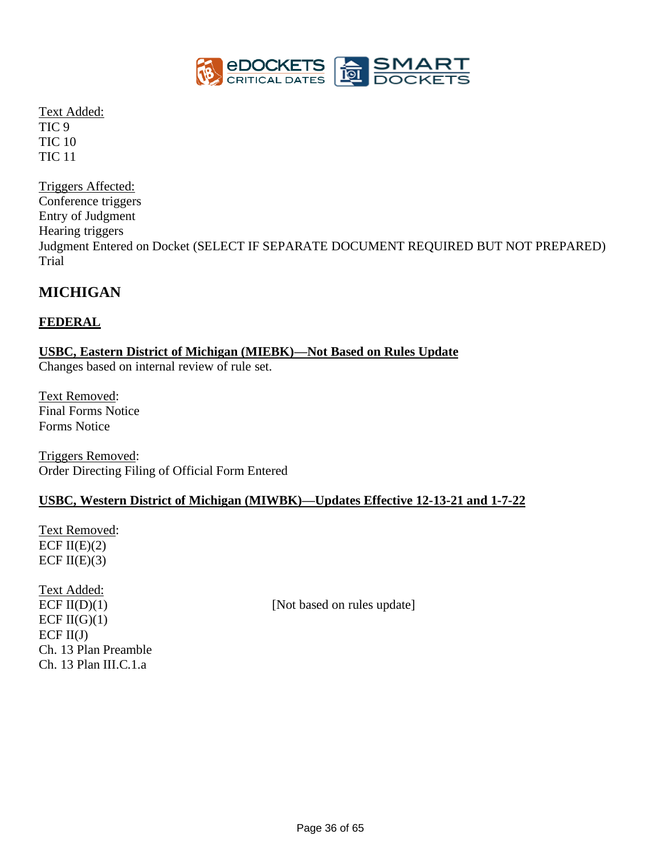

Text Added: TIC 9 TIC 10 TIC 11

Triggers Affected: Conference triggers Entry of Judgment Hearing triggers Judgment Entered on Docket (SELECT IF SEPARATE DOCUMENT REQUIRED BUT NOT PREPARED) Trial

# **MICHIGAN**

## **FEDERAL**

## **USBC, Eastern District of Michigan (MIEBK)—Not Based on Rules Update**

Changes based on internal review of rule set.

Text Removed: Final Forms Notice Forms Notice

Triggers Removed: Order Directing Filing of Official Form Entered

### **USBC, Western District of Michigan (MIWBK)—Updates Effective 12-13-21 and 1-7-22**

Text Removed: ECF  $II(E)(2)$ ECF  $II(E)(3)$ 

Text Added: ECF  $II(G)(1)$  $ECF II(J)$ Ch. 13 Plan Preamble Ch. 13 Plan III.C.1.a

 $ECF II(D)(1)$  [Not based on rules update]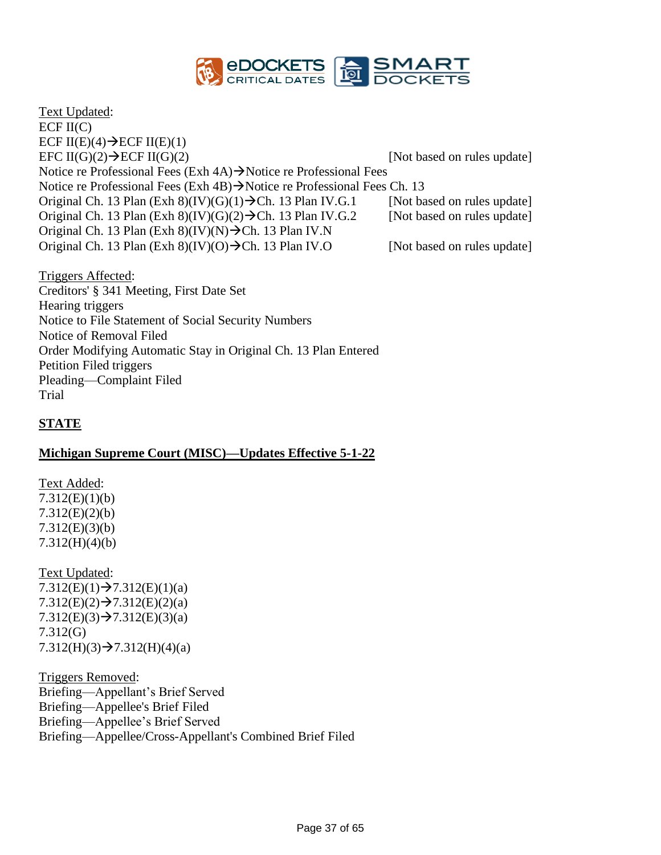

Text Updated: ECF  $II(C)$ ECF II(E)(4) $\rightarrow$ ECF II(E)(1) EFC  $II(G)(2) \rightarrow ECF II(G)(2)$  [Not based on rules update] Notice re Professional Fees (Exh 4A)→Notice re Professional Fees Notice re Professional Fees (Exh 4B)→Notice re Professional Fees Ch. 13 Original Ch. 13 Plan (Exh 8)(IV)(G)(1)  $\rightarrow$  Ch. 13 Plan IV.G.1 [Not based on rules update] Original Ch. 13 Plan (Exh 8)(IV)(G)(2) $\rightarrow$ Ch. 13 Plan IV.G.2 [Not based on rules update] Original Ch. 13 Plan (Exh 8)(IV)(N) $\rightarrow$ Ch. 13 Plan IV.N Original Ch. 13 Plan (Exh 8)(IV)(O) $\rightarrow$ Ch. 13 Plan IV.O [Not based on rules update]

Triggers Affected: Creditors' § 341 Meeting, First Date Set Hearing triggers Notice to File Statement of Social Security Numbers Notice of Removal Filed Order Modifying Automatic Stay in Original Ch. 13 Plan Entered Petition Filed triggers Pleading—Complaint Filed Trial

## **STATE**

### **Michigan Supreme Court (MISC)—Updates Effective 5-1-22**

Text Added: 7.312(E)(1)(b) 7.312(E)(2)(b) 7.312(E)(3)(b) 7.312(H)(4)(b)

Text Updated:  $7.312(E)(1) \rightarrow 7.312(E)(1)(a)$  $7.312(E)(2) \rightarrow 7.312(E)(2)(a)$  $7.312(E)(3) \rightarrow 7.312(E)(3)(a)$ 7.312(G)  $7.312(H)(3) \rightarrow 7.312(H)(4)(a)$ 

Triggers Removed: Briefing—Appellant's Brief Served Briefing—Appellee's Brief Filed Briefing—Appellee's Brief Served Briefing—Appellee/Cross-Appellant's Combined Brief Filed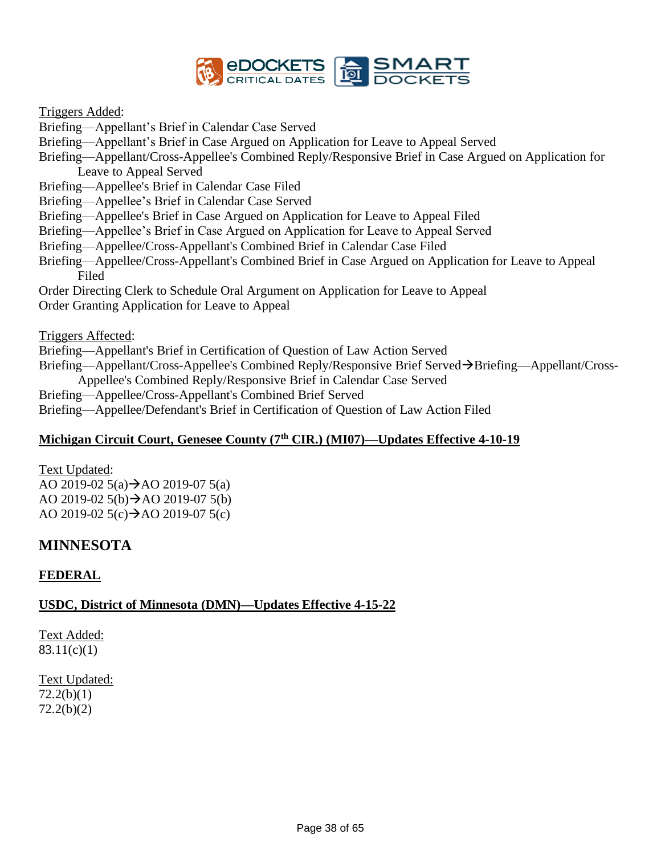

### Triggers Added:

Briefing—Appellant's Brief in Calendar Case Served

Briefing—Appellant's Brief in Case Argued on Application for Leave to Appeal Served

Briefing—Appellant/Cross-Appellee's Combined Reply/Responsive Brief in Case Argued on Application for Leave to Appeal Served

Briefing—Appellee's Brief in Calendar Case Filed

Briefing—Appellee's Brief in Calendar Case Served

Briefing—Appellee's Brief in Case Argued on Application for Leave to Appeal Filed

Briefing—Appellee's Brief in Case Argued on Application for Leave to Appeal Served

- Briefing—Appellee/Cross-Appellant's Combined Brief in Calendar Case Filed
- Briefing—Appellee/Cross-Appellant's Combined Brief in Case Argued on Application for Leave to Appeal Filed

Order Directing Clerk to Schedule Oral Argument on Application for Leave to Appeal Order Granting Application for Leave to Appeal

Triggers Affected:

Briefing—Appellant's Brief in Certification of Question of Law Action Served

Briefing—Appellant/Cross-Appellee's Combined Reply/Responsive Brief Served→Briefing—Appellant/Cross-Appellee's Combined Reply/Responsive Brief in Calendar Case Served

Briefing—Appellee/Cross-Appellant's Combined Brief Served

Briefing—Appellee/Defendant's Brief in Certification of Question of Law Action Filed

# **Michigan Circuit Court, Genesee County (7th CIR.) (MI07)—Updates Effective 4-10-19**

Text Updated: AO 2019-02  $5(a) \rightarrow$ AO 2019-07  $5(a)$ AO 2019-02 5(b) $\rightarrow$ AO 2019-07 5(b) AO 2019-02  $5(c) \rightarrow$ AO 2019-07  $5(c)$ 

# **MINNESOTA**

## **FEDERAL**

## **USDC, District of Minnesota (DMN)—Updates Effective 4-15-22**

Text Added: 83.11(c)(1)

# Text Updated:

72.2(b)(1) 72.2(b)(2)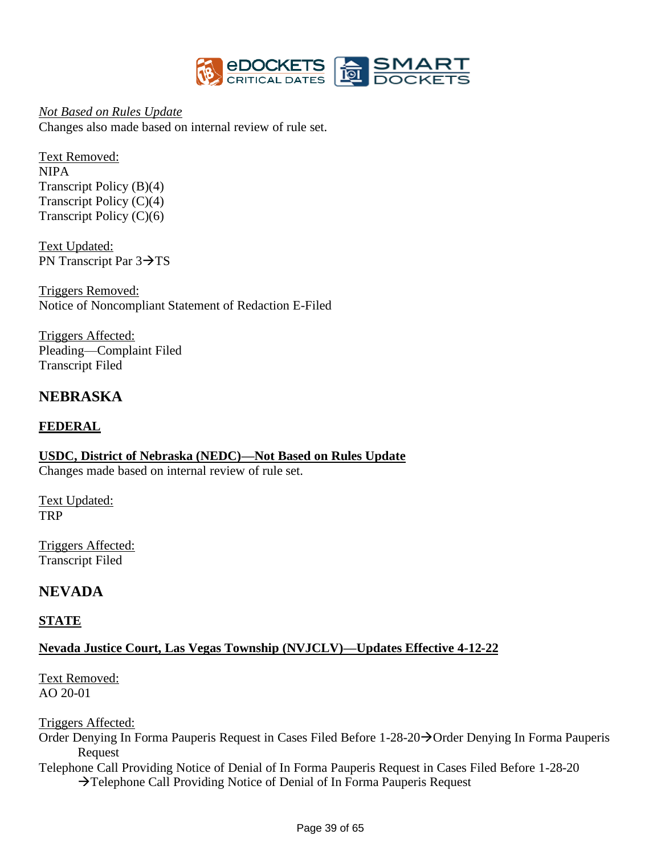

*Not Based on Rules Update* Changes also made based on internal review of rule set.

Text Removed: NIPA Transcript Policy (B)(4) Transcript Policy (C)(4) Transcript Policy (C)(6)

Text Updated: PN Transcript Par 3→TS

Triggers Removed: Notice of Noncompliant Statement of Redaction E-Filed

Triggers Affected: Pleading—Complaint Filed Transcript Filed

# **NEBRASKA**

## **FEDERAL**

**USDC, District of Nebraska (NEDC)—Not Based on Rules Update** Changes made based on internal review of rule set.

Text Updated: TRP

Triggers Affected: Transcript Filed

# **NEVADA**

### **STATE**

# **Nevada Justice Court, Las Vegas Township (NVJCLV)—Updates Effective 4-12-22**

Text Removed: AO 20-01

Triggers Affected:

Order Denying In Forma Pauperis Request in Cases Filed Before 1-28-20→Order Denying In Forma Pauperis Request

Telephone Call Providing Notice of Denial of In Forma Pauperis Request in Cases Filed Before 1-28-20 →Telephone Call Providing Notice of Denial of In Forma Pauperis Request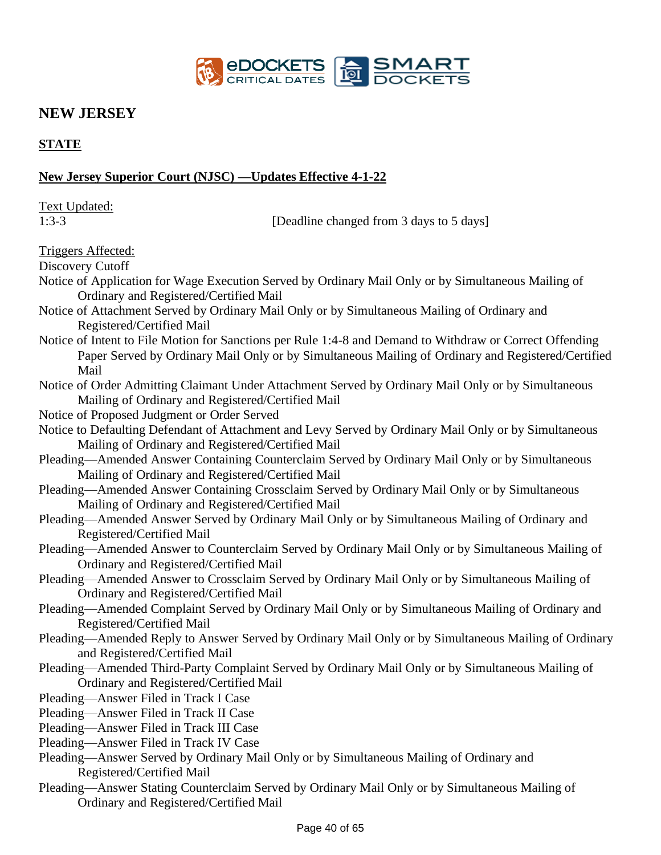

# **NEW JERSEY**

## **STATE**

### **New Jersey Superior Court (NJSC) —Updates Effective 4-1-22**

Text Updated: 1:3-3 [Deadline changed from 3 days to 5 days] Triggers Affected: Discovery Cutoff Notice of Application for Wage Execution Served by Ordinary Mail Only or by Simultaneous Mailing of Ordinary and Registered/Certified Mail Notice of Attachment Served by Ordinary Mail Only or by Simultaneous Mailing of Ordinary and Registered/Certified Mail Notice of Intent to File Motion for Sanctions per Rule 1:4-8 and Demand to Withdraw or Correct Offending Paper Served by Ordinary Mail Only or by Simultaneous Mailing of Ordinary and Registered/Certified Mail Notice of Order Admitting Claimant Under Attachment Served by Ordinary Mail Only or by Simultaneous Mailing of Ordinary and Registered/Certified Mail Notice of Proposed Judgment or Order Served Notice to Defaulting Defendant of Attachment and Levy Served by Ordinary Mail Only or by Simultaneous Mailing of Ordinary and Registered/Certified Mail Pleading—Amended Answer Containing Counterclaim Served by Ordinary Mail Only or by Simultaneous Mailing of Ordinary and Registered/Certified Mail Pleading—Amended Answer Containing Crossclaim Served by Ordinary Mail Only or by Simultaneous Mailing of Ordinary and Registered/Certified Mail Pleading—Amended Answer Served by Ordinary Mail Only or by Simultaneous Mailing of Ordinary and Registered/Certified Mail Pleading—Amended Answer to Counterclaim Served by Ordinary Mail Only or by Simultaneous Mailing of Ordinary and Registered/Certified Mail Pleading—Amended Answer to Crossclaim Served by Ordinary Mail Only or by Simultaneous Mailing of Ordinary and Registered/Certified Mail Pleading—Amended Complaint Served by Ordinary Mail Only or by Simultaneous Mailing of Ordinary and Registered/Certified Mail Pleading—Amended Reply to Answer Served by Ordinary Mail Only or by Simultaneous Mailing of Ordinary and Registered/Certified Mail Pleading—Amended Third-Party Complaint Served by Ordinary Mail Only or by Simultaneous Mailing of Ordinary and Registered/Certified Mail Pleading—Answer Filed in Track I Case Pleading—Answer Filed in Track II Case Pleading—Answer Filed in Track III Case Pleading—Answer Filed in Track IV Case Pleading—Answer Served by Ordinary Mail Only or by Simultaneous Mailing of Ordinary and Registered/Certified Mail Pleading—Answer Stating Counterclaim Served by Ordinary Mail Only or by Simultaneous Mailing of Ordinary and Registered/Certified Mail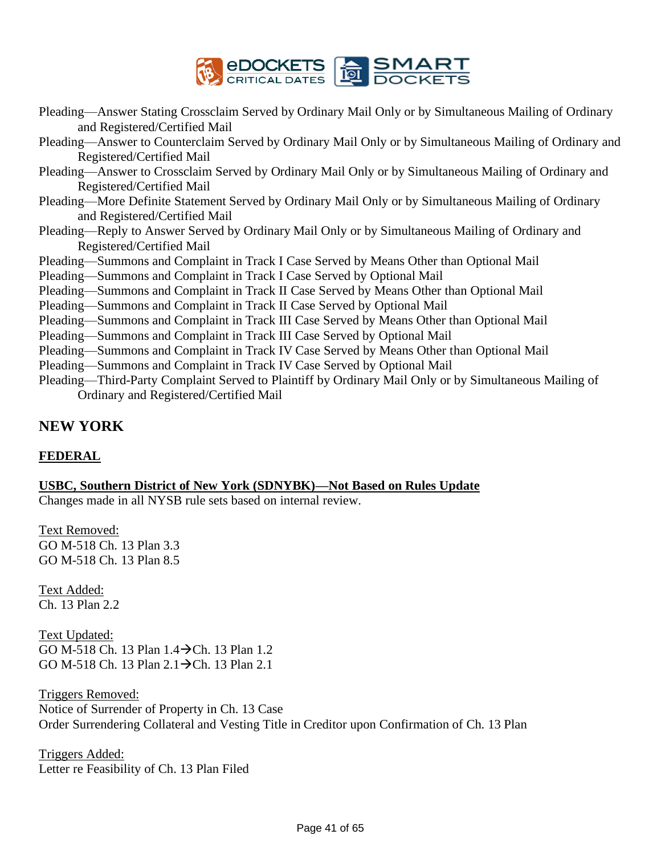

- Pleading—Answer Stating Crossclaim Served by Ordinary Mail Only or by Simultaneous Mailing of Ordinary and Registered/Certified Mail
- Pleading—Answer to Counterclaim Served by Ordinary Mail Only or by Simultaneous Mailing of Ordinary and Registered/Certified Mail
- Pleading—Answer to Crossclaim Served by Ordinary Mail Only or by Simultaneous Mailing of Ordinary and Registered/Certified Mail
- Pleading—More Definite Statement Served by Ordinary Mail Only or by Simultaneous Mailing of Ordinary and Registered/Certified Mail
- Pleading—Reply to Answer Served by Ordinary Mail Only or by Simultaneous Mailing of Ordinary and Registered/Certified Mail
- Pleading—Summons and Complaint in Track I Case Served by Means Other than Optional Mail
- Pleading—Summons and Complaint in Track I Case Served by Optional Mail
- Pleading—Summons and Complaint in Track II Case Served by Means Other than Optional Mail
- Pleading—Summons and Complaint in Track II Case Served by Optional Mail
- Pleading—Summons and Complaint in Track III Case Served by Means Other than Optional Mail
- Pleading—Summons and Complaint in Track III Case Served by Optional Mail
- Pleading—Summons and Complaint in Track IV Case Served by Means Other than Optional Mail
- Pleading—Summons and Complaint in Track IV Case Served by Optional Mail
- Pleading—Third-Party Complaint Served to Plaintiff by Ordinary Mail Only or by Simultaneous Mailing of Ordinary and Registered/Certified Mail

# **NEW YORK**

## **FEDERAL**

## **USBC, Southern District of New York (SDNYBK)—Not Based on Rules Update**

Changes made in all NYSB rule sets based on internal review.

Text Removed: GO M-518 Ch. 13 Plan 3.3 GO M-518 Ch. 13 Plan 8.5

Text Added: Ch. 13 Plan 2.2

Text Updated: GO M-518 Ch. 13 Plan 1.4→Ch. 13 Plan 1.2 GO M-518 Ch. 13 Plan 2.1→Ch. 13 Plan 2.1

Triggers Removed: Notice of Surrender of Property in Ch. 13 Case Order Surrendering Collateral and Vesting Title in Creditor upon Confirmation of Ch. 13 Plan

Triggers Added: Letter re Feasibility of Ch. 13 Plan Filed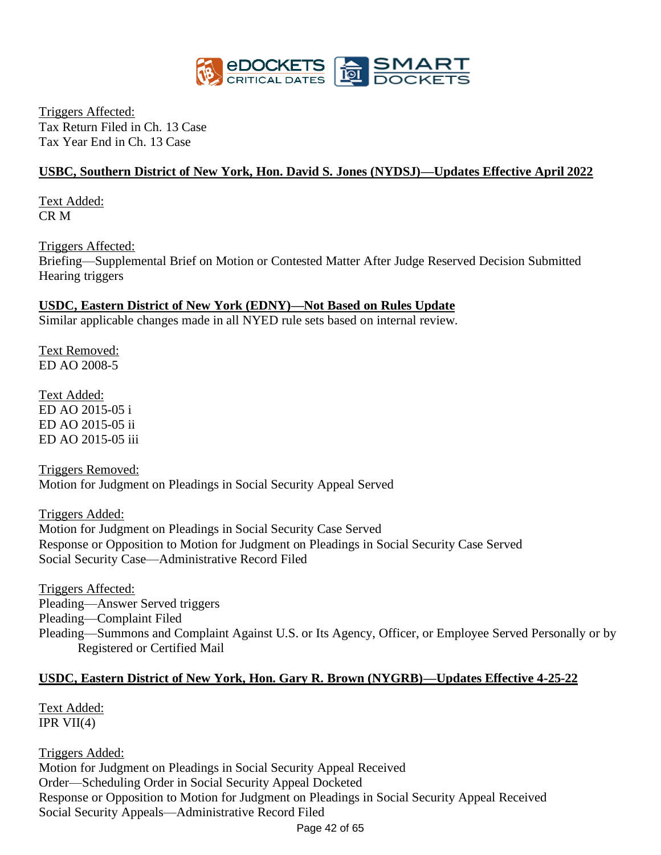

Triggers Affected: Tax Return Filed in Ch. 13 Case Tax Year End in Ch. 13 Case

## **USBC, Southern District of New York, Hon. David S. Jones (NYDSJ)—Updates Effective April 2022**

Text Added: CR M

Triggers Affected: Briefing—Supplemental Brief on Motion or Contested Matter After Judge Reserved Decision Submitted Hearing triggers

# **USDC, Eastern District of New York (EDNY)—Not Based on Rules Update**

Similar applicable changes made in all NYED rule sets based on internal review.

Text Removed: ED AO 2008-5

Text Added: ED AO 2015-05 i ED AO 2015-05 ii ED AO 2015-05 iii

Triggers Removed: Motion for Judgment on Pleadings in Social Security Appeal Served

Triggers Added: Motion for Judgment on Pleadings in Social Security Case Served Response or Opposition to Motion for Judgment on Pleadings in Social Security Case Served Social Security Case—Administrative Record Filed

Triggers Affected: Pleading—Answer Served triggers Pleading—Complaint Filed Pleading—Summons and Complaint Against U.S. or Its Agency, Officer, or Employee Served Personally or by Registered or Certified Mail

## **USDC, Eastern District of New York, Hon. Gary R. Brown (NYGRB)—Updates Effective 4-25-22**

Text Added: IPR  $VII(4)$ 

Page 42 of 65 Triggers Added: Motion for Judgment on Pleadings in Social Security Appeal Received Order—Scheduling Order in Social Security Appeal Docketed Response or Opposition to Motion for Judgment on Pleadings in Social Security Appeal Received Social Security Appeals—Administrative Record Filed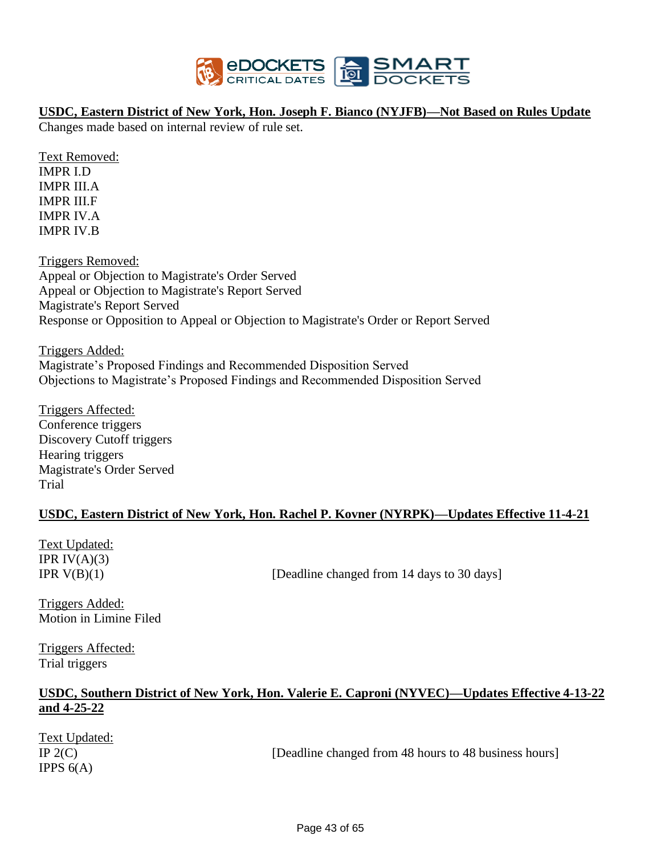

### **USDC, Eastern District of New York, Hon. Joseph F. Bianco (NYJFB)—Not Based on Rules Update**

Changes made based on internal review of rule set.

Text Removed: IMPR I.D IMPR III.A IMPR III.F IMPR IV.A IMPR IV.B

Triggers Removed: Appeal or Objection to Magistrate's Order Served Appeal or Objection to Magistrate's Report Served Magistrate's Report Served Response or Opposition to Appeal or Objection to Magistrate's Order or Report Served

Triggers Added: Magistrate's Proposed Findings and Recommended Disposition Served Objections to Magistrate's Proposed Findings and Recommended Disposition Served

Triggers Affected: Conference triggers Discovery Cutoff triggers Hearing triggers Magistrate's Order Served Trial

## **USDC, Eastern District of New York, Hon. Rachel P. Kovner (NYRPK)—Updates Effective 11-4-21**

Text Updated: IPR  $IV(A)(3)$ 

IPR  $V(B)(1)$  [Deadline changed from 14 days to 30 days]

Triggers Added: Motion in Limine Filed

Triggers Affected: Trial triggers

## **USDC, Southern District of New York, Hon. Valerie E. Caproni (NYVEC)—Updates Effective 4-13-22 and 4-25-22**

Text Updated: IPPS  $6(A)$ 

IP  $2(C)$  [Deadline changed from 48 hours to 48 business hours]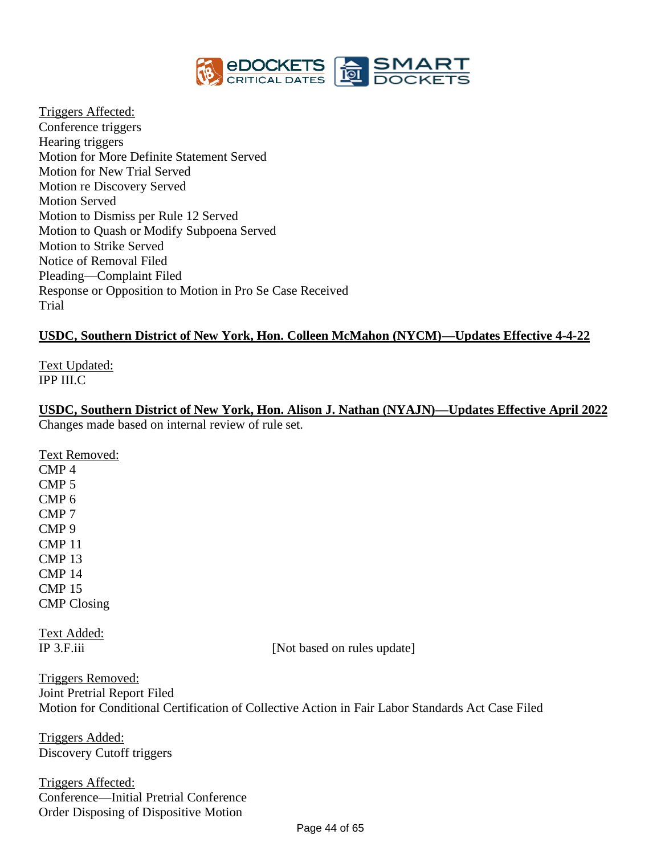

Triggers Affected: Conference triggers Hearing triggers Motion for More Definite Statement Served Motion for New Trial Served Motion re Discovery Served Motion Served Motion to Dismiss per Rule 12 Served Motion to Quash or Modify Subpoena Served Motion to Strike Served Notice of Removal Filed Pleading—Complaint Filed Response or Opposition to Motion in Pro Se Case Received Trial

### **USDC, Southern District of New York, Hon. Colleen McMahon (NYCM)—Updates Effective 4-4-22**

Text Updated: IPP III.C

**USDC, Southern District of New York, Hon. Alison J. Nathan (NYAJN)—Updates Effective April 2022** Changes made based on internal review of rule set.

Text Removed: CMP 4 CMP 5 CMP 6 CMP 7 CMP 9 CMP 11 CMP 13 CMP 14 CMP 15 CMP Closing

Text Added:

IP 3.F.iii [Not based on rules update]

Triggers Removed: Joint Pretrial Report Filed Motion for Conditional Certification of Collective Action in Fair Labor Standards Act Case Filed

Triggers Added: Discovery Cutoff triggers

Triggers Affected: Conference—Initial Pretrial Conference Order Disposing of Dispositive Motion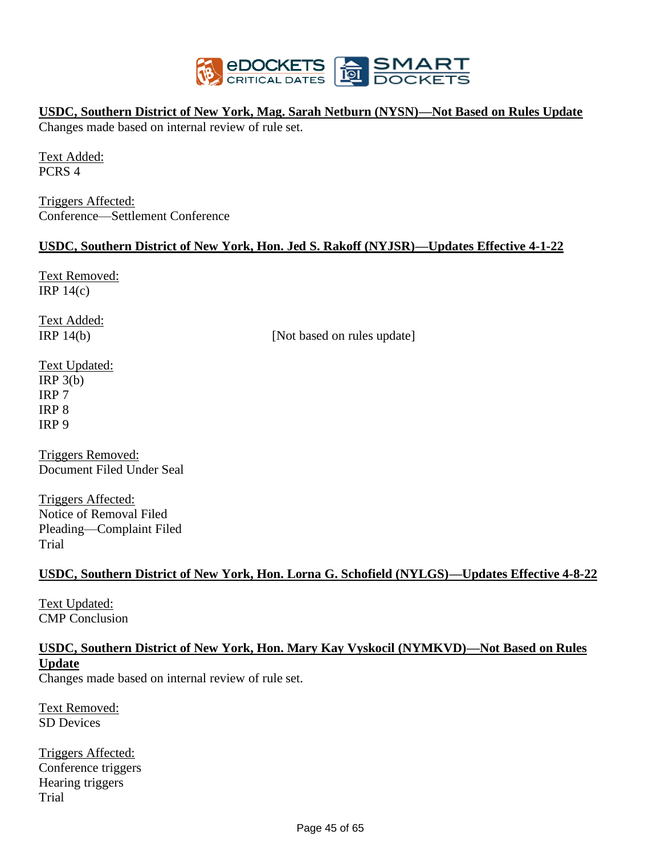

## **USDC, Southern District of New York, Mag. Sarah Netburn (NYSN)—Not Based on Rules Update**

Changes made based on internal review of rule set.

Text Added: PCRS 4

Triggers Affected: Conference—Settlement Conference

### **USDC, Southern District of New York, Hon. Jed S. Rakoff (NYJSR)—Updates Effective 4-1-22**

Text Removed: IRP 14(c)

Text Added:

IRP 14(b) [Not based on rules update]

Text Updated:  $IRP_3(b)$ IRP 7 IRP 8 IRP 9

Triggers Removed: Document Filed Under Seal

Triggers Affected: Notice of Removal Filed Pleading—Complaint Filed Trial

## **USDC, Southern District of New York, Hon. Lorna G. Schofield (NYLGS)—Updates Effective 4-8-22**

Text Updated: CMP Conclusion

# **USDC, Southern District of New York, Hon. Mary Kay Vyskocil (NYMKVD)—Not Based on Rules Update**

Changes made based on internal review of rule set.

Text Removed: SD Devices

Triggers Affected: Conference triggers Hearing triggers Trial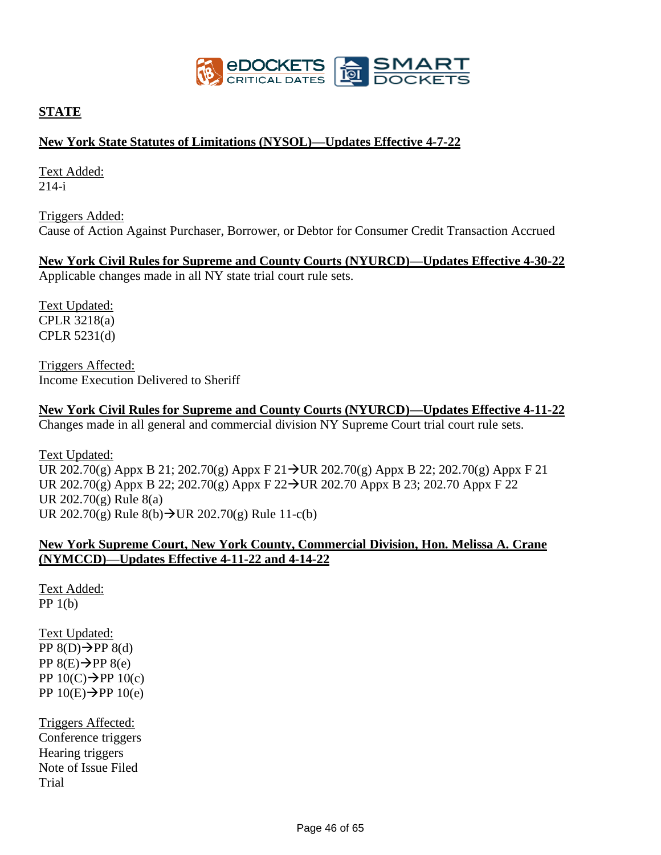

## **STATE**

### **New York State Statutes of Limitations (NYSOL)—Updates Effective 4-7-22**

Text Added: 214-i

Triggers Added: Cause of Action Against Purchaser, Borrower, or Debtor for Consumer Credit Transaction Accrued

**New York Civil Rules for Supreme and County Courts (NYURCD)—Updates Effective 4-30-22**

Applicable changes made in all NY state trial court rule sets.

Text Updated: CPLR 3218(a) CPLR 5231(d)

Triggers Affected: Income Execution Delivered to Sheriff

**New York Civil Rules for Supreme and County Courts (NYURCD)—Updates Effective 4-11-22** Changes made in all general and commercial division NY Supreme Court trial court rule sets.

Text Updated: UR 202.70(g) Appx B 21; 202.70(g) Appx F 21→UR 202.70(g) Appx B 22; 202.70(g) Appx F 21 UR 202.70(g) Appx B 22; 202.70(g) Appx F 22→UR 202.70 Appx B 23; 202.70 Appx F 22 UR 202.70(g) Rule 8(a) UR 202.70(g) Rule 8(b)→UR 202.70(g) Rule 11-c(b)

### **New York Supreme Court, New York County, Commercial Division, Hon. Melissa A. Crane (NYMCCD)—Updates Effective 4-11-22 and 4-14-22**

Text Added: PP 1(b)

Text Updated:  $PP(8(D) \rightarrow PP(8(d))$  $PP(8(E) \rightarrow PP(8(e))$ PP  $10(C) \rightarrow PP 10(c)$ PP  $10(E)$  → PP  $10(e)$ 

Triggers Affected: Conference triggers Hearing triggers Note of Issue Filed Trial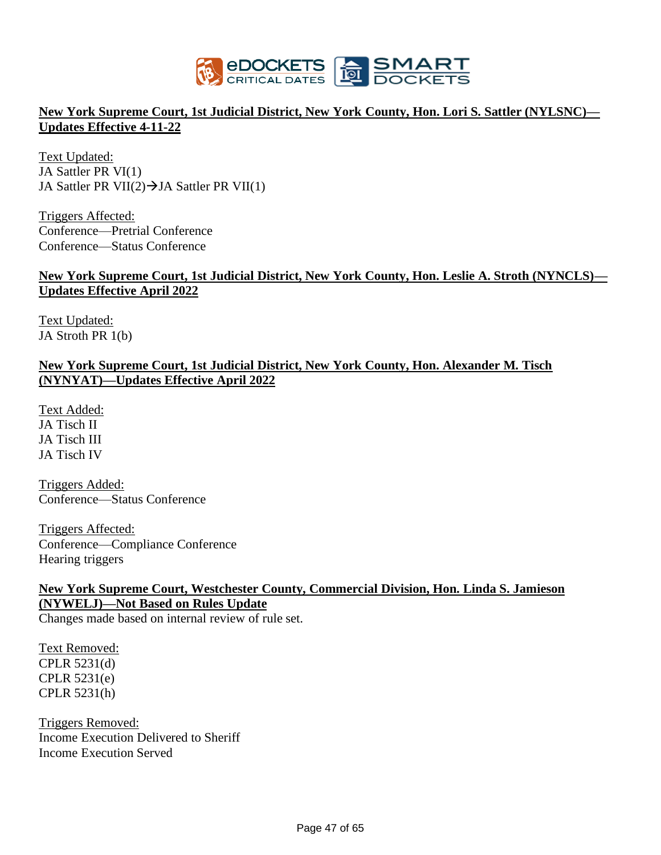

## **New York Supreme Court, 1st Judicial District, New York County, Hon. Lori S. Sattler (NYLSNC)— Updates Effective 4-11-22**

Text Updated: JA Sattler PR VI(1) JA Sattler PR VII(2) $\rightarrow$ JA Sattler PR VII(1)

Triggers Affected: Conference—Pretrial Conference Conference—Status Conference

### **New York Supreme Court, 1st Judicial District, New York County, Hon. Leslie A. Stroth (NYNCLS)— Updates Effective April 2022**

Text Updated: JA Stroth PR 1(b)

## **New York Supreme Court, 1st Judicial District, New York County, Hon. Alexander M. Tisch (NYNYAT)—Updates Effective April 2022**

Text Added: JA Tisch II JA Tisch III JA Tisch IV

Triggers Added: Conference—Status Conference

Triggers Affected: Conference—Compliance Conference Hearing triggers

### **New York Supreme Court, Westchester County, Commercial Division, Hon. Linda S. Jamieson (NYWELJ)—Not Based on Rules Update**

Changes made based on internal review of rule set.

Text Removed: CPLR 5231(d) CPLR 5231(e) CPLR 5231(h)

Triggers Removed: Income Execution Delivered to Sheriff Income Execution Served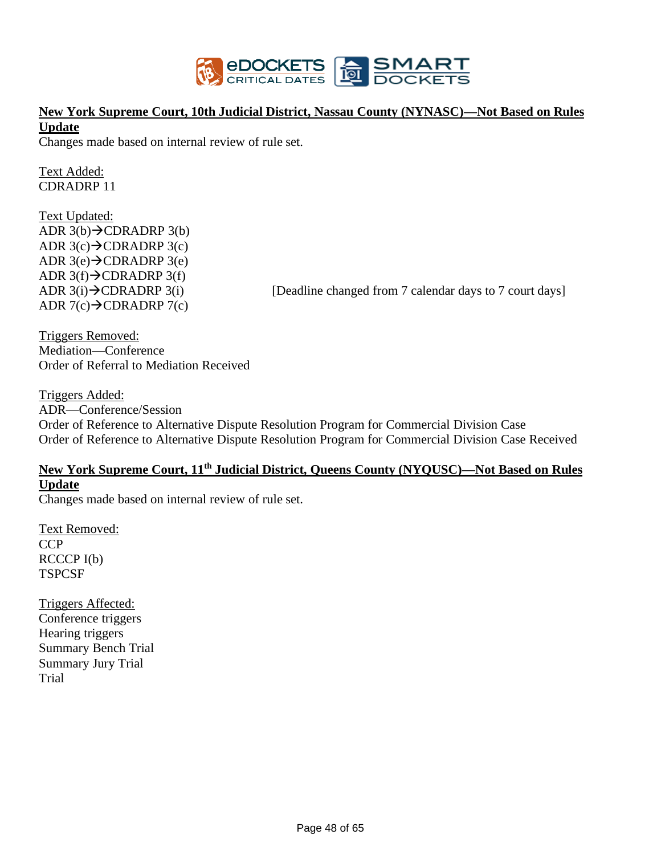

# **New York Supreme Court, 10th Judicial District, Nassau County (NYNASC)—Not Based on Rules Update**

Changes made based on internal review of rule set.

Text Added: CDRADRP 11

Text Updated: ADR  $3(b)$  $\rightarrow$ CDRADRP  $3(b)$ ADR  $3(c) \rightarrow$ CDRADRP  $3(c)$ ADR  $3(e) \rightarrow$ CDRADRP  $3(e)$ ADR  $3(f) \rightarrow$ CDRADRP  $3(f)$ ADR  $7(c) \rightarrow$ CDRADRP  $7(c)$ 

ADR  $3(i) \rightarrow$ CDRADRP  $3(i)$  [Deadline changed from 7 calendar days to 7 court days]

Triggers Removed: Mediation—Conference Order of Referral to Mediation Received

Triggers Added: ADR—Conference/Session Order of Reference to Alternative Dispute Resolution Program for Commercial Division Case Order of Reference to Alternative Dispute Resolution Program for Commercial Division Case Received

# **New York Supreme Court, 11th Judicial District, Queens County (NYQUSC)—Not Based on Rules Update**

Changes made based on internal review of rule set.

Text Removed: **CCP** RCCCP I(b) **TSPCSF** 

Triggers Affected: Conference triggers Hearing triggers Summary Bench Trial Summary Jury Trial Trial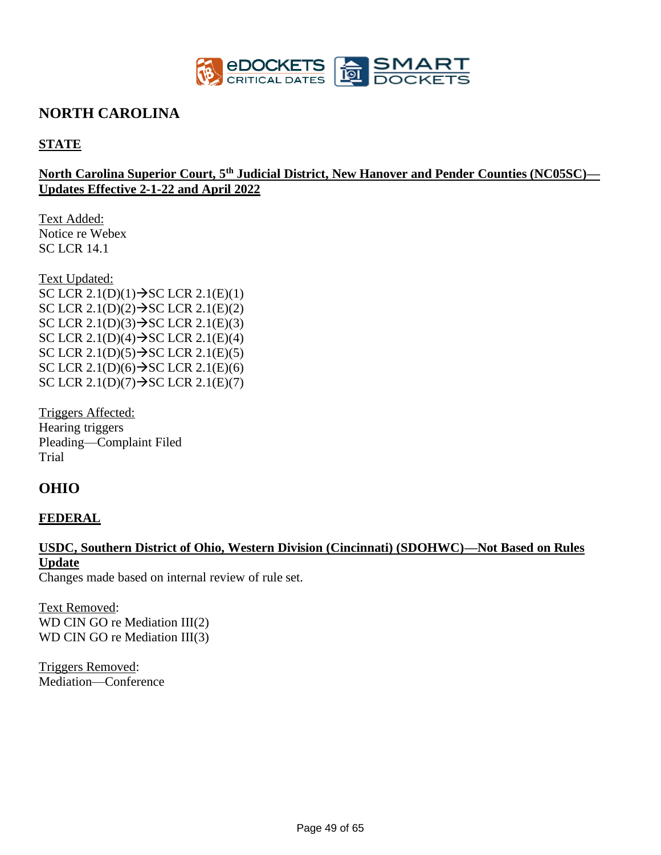

# **NORTH CAROLINA**

## **STATE**

## **North Carolina Superior Court, 5th Judicial District, New Hanover and Pender Counties (NC05SC)— Updates Effective 2-1-22 and April 2022**

Text Added: Notice re Webex SC LCR 14.1

Text Updated: SC LCR  $2.1(D)(1) \rightarrow$ SC LCR  $2.1(E)(1)$ SC LCR  $2.1(D)(2) \rightarrow$ SC LCR  $2.1(E)(2)$ SC LCR  $2.1(D)(3) \rightarrow SC LCR$   $2.1(E)(3)$ SC LCR  $2.1(D)(4) \rightarrow$  SC LCR  $2.1(E)(4)$ SC LCR  $2.1(D)(5) \rightarrow$  SC LCR  $2.1(E)(5)$ SC LCR  $2.1(D)(6) \rightarrow SC LCR$   $2.1(E)(6)$ SC LCR  $2.1(D)(7) \rightarrow$ SC LCR  $2.1(E)(7)$ 

Triggers Affected: Hearing triggers Pleading—Complaint Filed Trial

# **OHIO**

### **FEDERAL**

# **USDC, Southern District of Ohio, Western Division (Cincinnati) (SDOHWC)—Not Based on Rules Update**

Changes made based on internal review of rule set.

Text Removed: WD CIN GO re Mediation III(2) WD CIN GO re Mediation III(3)

Triggers Removed: Mediation—Conference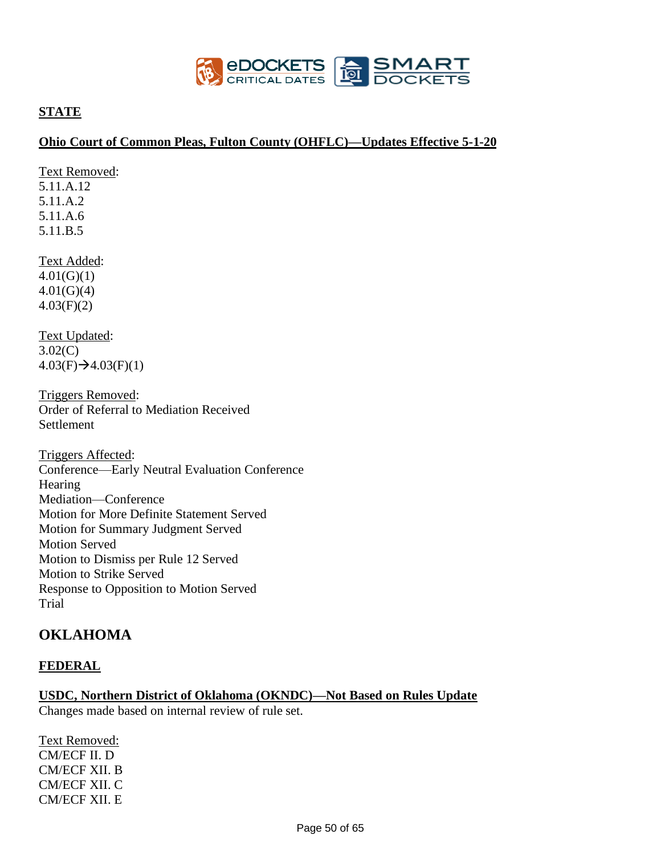

## **STATE**

### **Ohio Court of Common Pleas, Fulton County (OHFLC)—Updates Effective 5-1-20**

Text Removed: 5.11.A.12

5.11.A.2

5.11.A.6 5.11.B.5

Text Added:  $4.01(G)(1)$ 4.01(G)(4) 4.03(F)(2)

Text Updated: 3.02(C)  $4.03(F) \rightarrow 4.03(F)(1)$ 

Triggers Removed: Order of Referral to Mediation Received **Settlement** 

Triggers Affected: Conference—Early Neutral Evaluation Conference Hearing Mediation—Conference Motion for More Definite Statement Served Motion for Summary Judgment Served Motion Served Motion to Dismiss per Rule 12 Served Motion to Strike Served Response to Opposition to Motion Served Trial

# **OKLAHOMA**

## **FEDERAL**

**USDC, Northern District of Oklahoma (OKNDC)—Not Based on Rules Update** Changes made based on internal review of rule set.

Text Removed: CM/ECF II. D CM/ECF XII. B CM/ECF XII. C CM/ECF XII. E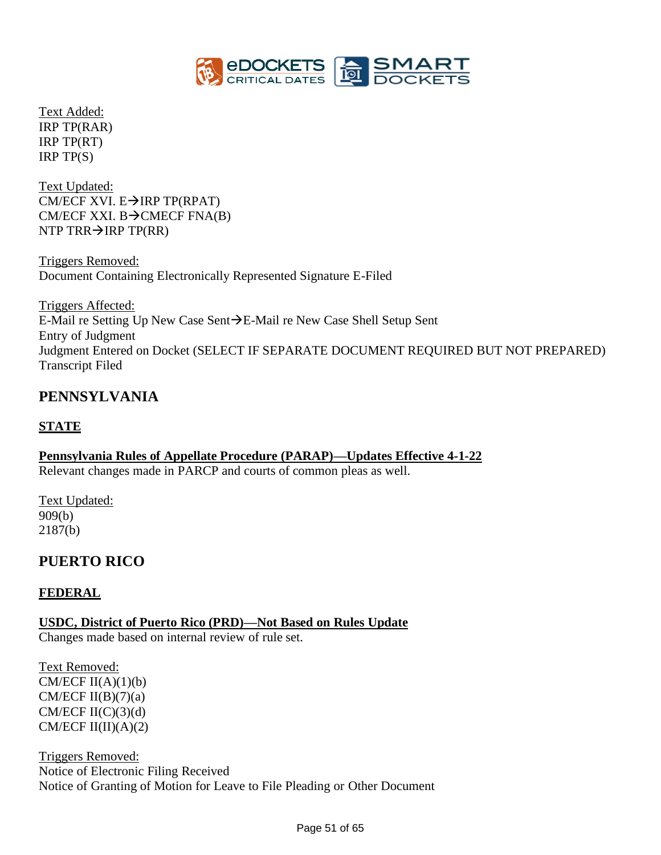

Text Added: IRP TP(RAR) IRP TP(RT) IRP TP(S)

Text Updated: CM/ECF XVI.  $E\rightarrow IRP$  TP(RPAT) CM/ECF XXI. B $\rightarrow$ CMECF FNA(B) NTP TRR $\rightarrow$ IRP TP(RR)

Triggers Removed: Document Containing Electronically Represented Signature E-Filed

Triggers Affected: E-Mail re Setting Up New Case Sent→E-Mail re New Case Shell Setup Sent Entry of Judgment Judgment Entered on Docket (SELECT IF SEPARATE DOCUMENT REQUIRED BUT NOT PREPARED) Transcript Filed

# **PENNSYLVANIA**

## **STATE**

**Pennsylvania Rules of Appellate Procedure (PARAP)—Updates Effective 4-1-22**  Relevant changes made in PARCP and courts of common pleas as well.

Text Updated: 909(b) 2187(b)

# **PUERTO RICO**

## **FEDERAL**

**USDC, District of Puerto Rico (PRD)—Not Based on Rules Update** Changes made based on internal review of rule set.

Text Removed: CM/ECF  $II(A)(1)(b)$ CM/ECF  $II(B)(7)(a)$ CM/ECF  $II(C)(3)(d)$ CM/ECF  $II(II)(A)(2)$ 

Triggers Removed: Notice of Electronic Filing Received Notice of Granting of Motion for Leave to File Pleading or Other Document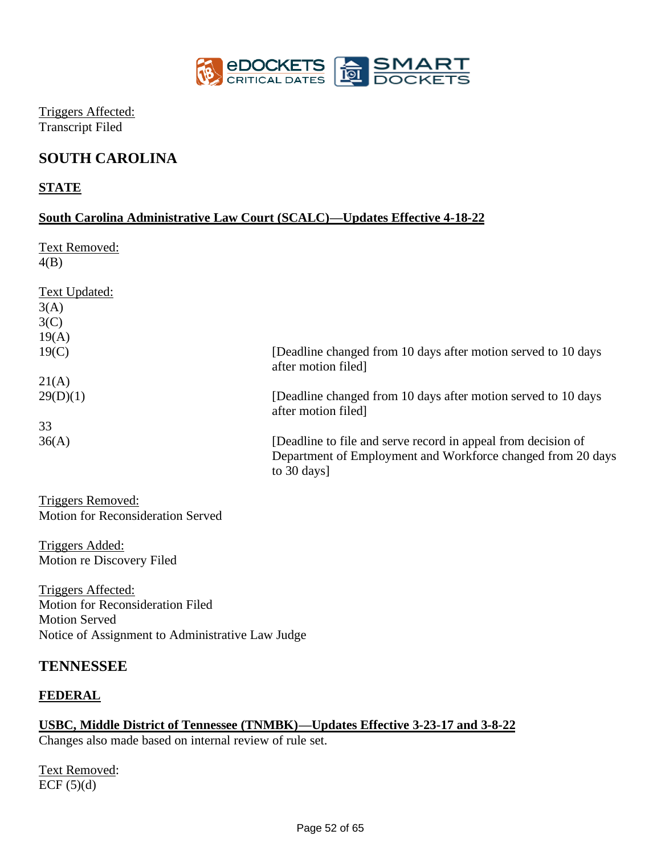

Triggers Affected: Transcript Filed

# **SOUTH CAROLINA**

## **STATE**

## **South Carolina Administrative Law Court (SCALC)—Updates Effective 4-18-22**

Text Removed: 4(B)

| <b>Text Updated:</b> |                                                                                                                                                      |
|----------------------|------------------------------------------------------------------------------------------------------------------------------------------------------|
| 3(A)                 |                                                                                                                                                      |
| 3(C)                 |                                                                                                                                                      |
| 19(A)                |                                                                                                                                                      |
| 19(C)                | [Deadline changed from 10 days after motion served to 10 days<br>after motion filed                                                                  |
| 21(A)                |                                                                                                                                                      |
| 29(D)(1)             | [Deadline changed from 10 days after motion served to 10 days<br>after motion filed.                                                                 |
| 33                   |                                                                                                                                                      |
| 36(A)                | [Deadline to file and serve record in appeal from decision of<br>Department of Employment and Workforce changed from 20 days<br>to $30 \text{ days}$ |

Triggers Removed: Motion for Reconsideration Served

Triggers Added: Motion re Discovery Filed

Triggers Affected: Motion for Reconsideration Filed Motion Served Notice of Assignment to Administrative Law Judge

# **TENNESSEE**

## **FEDERAL**

## **USBC, Middle District of Tennessee (TNMBK)—Updates Effective 3-23-17 and 3-8-22**

Changes also made based on internal review of rule set.

Text Removed: ECF  $(5)(d)$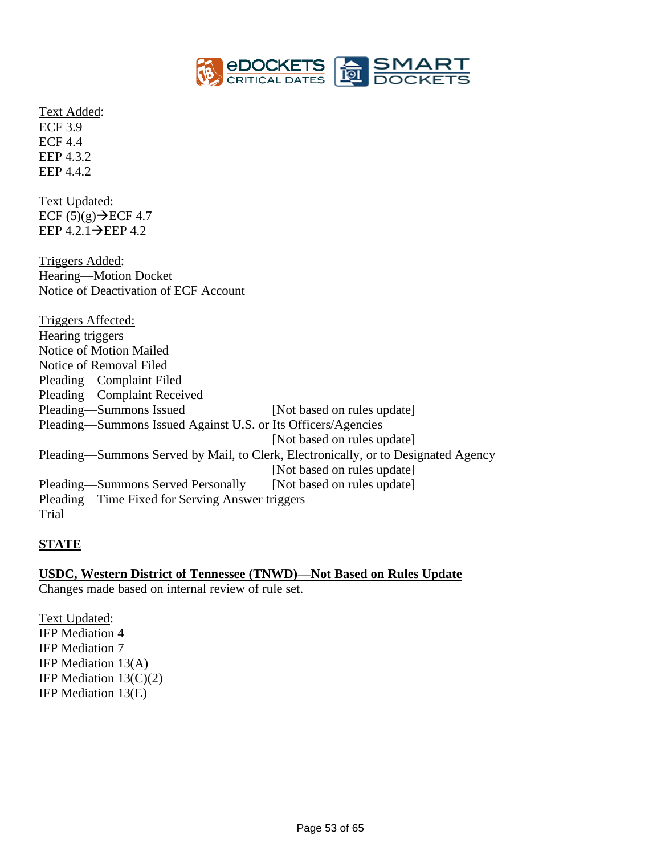

Text Added: ECF 3.9 ECF 4.4 EEP 4.3.2 EEP 4.4.2

Text Updated: ECF  $(5)(g) \rightarrow$  ECF 4.7 EEP  $4.2.1 \rightarrow$ EEP  $4.2$ 

Triggers Added: Hearing—Motion Docket Notice of Deactivation of ECF Account

Triggers Affected: Hearing triggers Notice of Motion Mailed Notice of Removal Filed Pleading—Complaint Filed Pleading—Complaint Received Pleading—Summons Issued [Not based on rules update] Pleading—Summons Issued Against U.S. or Its Officers/Agencies [Not based on rules update] Pleading—Summons Served by Mail, to Clerk, Electronically, or to Designated Agency [Not based on rules update] Pleading—Summons Served Personally [Not based on rules update] Pleading—Time Fixed for Serving Answer triggers Trial

## **STATE**

### **USDC, Western District of Tennessee (TNWD)—Not Based on Rules Update**

Changes made based on internal review of rule set.

Text Updated: IFP Mediation 4 IFP Mediation 7 IFP Mediation 13(A) IFP Mediation  $13(C)(2)$ IFP Mediation 13(E)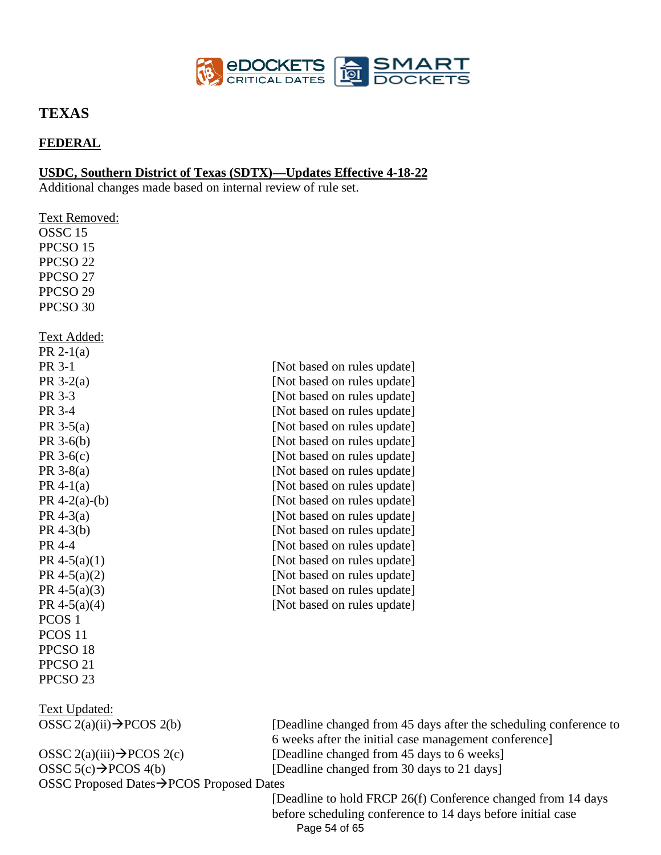

# **TEXAS**

## **FEDERAL**

### **USDC, Southern District of Texas (SDTX)—Updates Effective 4-18-22**

Additional changes made based on internal review of rule set.

| Text Removed:                         |                                                             |
|---------------------------------------|-------------------------------------------------------------|
| OSSC <sub>15</sub>                    |                                                             |
| PPCSO <sub>15</sub>                   |                                                             |
| PPCSO <sub>22</sub>                   |                                                             |
| PPCSO <sub>27</sub>                   |                                                             |
| PPCSO <sub>29</sub>                   |                                                             |
| PPCSO 30                              |                                                             |
| <u> Text Added:</u>                   |                                                             |
| PR $2-1(a)$                           |                                                             |
| PR 3-1                                | [Not based on rules update]                                 |
| PR $3-2(a)$                           | [Not based on rules update]                                 |
| PR 3-3                                | [Not based on rules update]                                 |
| PR 3-4                                | [Not based on rules update]                                 |
| PR $3-5(a)$                           | [Not based on rules update]                                 |
| $PR 3-6(b)$                           | [Not based on rules update]                                 |
| PR $3-6(c)$                           | [Not based on rules update]                                 |
| PR $3-8(a)$                           | [Not based on rules update]                                 |
| PR 4-1(a)                             | [Not based on rules update]                                 |
| PR $4-2(a)-(b)$                       | [Not based on rules update]                                 |
| PR $4-3(a)$                           | [Not based on rules update]                                 |
| $PR$ 4-3(b)                           | [Not based on rules update]                                 |
| PR 4-4                                | [Not based on rules update]                                 |
| PR 4-5(a)(1)                          | [Not based on rules update]                                 |
| PR 4-5(a)(2)                          | [Not based on rules update]                                 |
| PR 4-5(a)(3)                          | [Not based on rules update]                                 |
| PR 4-5(a)(4)                          | [Not based on rules update]                                 |
| PCOS <sub>1</sub>                     |                                                             |
| PCOS <sub>11</sub>                    |                                                             |
| PPCSO <sub>18</sub>                   |                                                             |
| PPCSO <sub>21</sub>                   |                                                             |
| PPCSO <sub>23</sub>                   |                                                             |
| <b>Text Updated:</b>                  |                                                             |
| OSSC 2(a)(ii) $\rightarrow$ PCOS 2(b) | [Deadline changed from 45<br>6 weeks after the initial case |

OSSC  $5(c) \rightarrow PCOS$  4(b) [Deadline changed from 30 days to 21 days] OSSC Proposed Dates→PCOS Proposed Dates

days after the scheduling conference to e management conference] OSSC  $2(a)(iii) \rightarrow PCOS 2(c)$  [Deadline changed from 45 days to 6 weeks]

> Page 54 of 65 [Deadline to hold FRCP 26(f) Conference changed from 14 days before scheduling conference to 14 days before initial case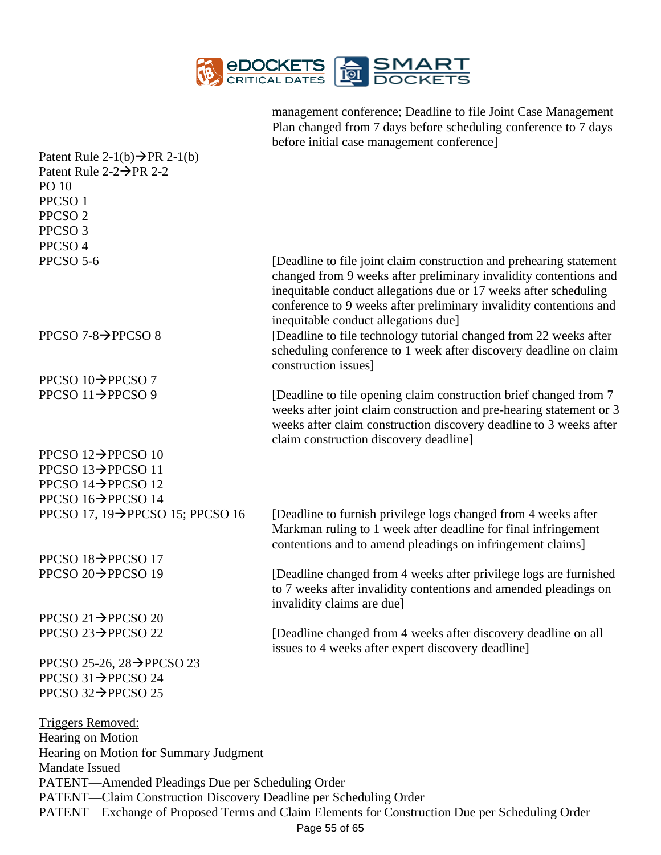

management conference; Deadline to file Joint Case Management Plan changed from 7 days before scheduling conference to 7 days before initial case management conference]

| Patent Rule 2-1(b) $\rightarrow$ PR 2-1(b)                        |                                                                                                                                                                                                                                                                                                                            |  |  |
|-------------------------------------------------------------------|----------------------------------------------------------------------------------------------------------------------------------------------------------------------------------------------------------------------------------------------------------------------------------------------------------------------------|--|--|
| Patent Rule $2-2\rightarrow$ PR 2-2                               |                                                                                                                                                                                                                                                                                                                            |  |  |
| PO 10                                                             |                                                                                                                                                                                                                                                                                                                            |  |  |
| PPCSO <sub>1</sub>                                                |                                                                                                                                                                                                                                                                                                                            |  |  |
| PPCSO <sub>2</sub>                                                |                                                                                                                                                                                                                                                                                                                            |  |  |
| PPCSO <sub>3</sub>                                                |                                                                                                                                                                                                                                                                                                                            |  |  |
| PPCSO <sub>4</sub>                                                |                                                                                                                                                                                                                                                                                                                            |  |  |
| PPCSO 5-6                                                         | [Deadline to file joint claim construction and prehearing statement<br>changed from 9 weeks after preliminary invalidity contentions and<br>inequitable conduct allegations due or 17 weeks after scheduling<br>conference to 9 weeks after preliminary invalidity contentions and<br>inequitable conduct allegations due] |  |  |
| PPCSO 7-8 $\rightarrow$ PPCSO 8                                   | [Deadline to file technology tutorial changed from 22 weeks after<br>scheduling conference to 1 week after discovery deadline on claim<br>construction issues]                                                                                                                                                             |  |  |
| PPCSO $10 \rightarrow$ PPCSO 7                                    |                                                                                                                                                                                                                                                                                                                            |  |  |
| PPCSO $11 \rightarrow$ PPCSO 9                                    | [Deadline to file opening claim construction brief changed from 7<br>weeks after joint claim construction and pre-hearing statement or 3<br>weeks after claim construction discovery deadline to 3 weeks after<br>claim construction discovery deadline]                                                                   |  |  |
| PPCSO $12 \rightarrow$ PPCSO $10$                                 |                                                                                                                                                                                                                                                                                                                            |  |  |
| PPCSO 13 $\rightarrow$ PPCSO 11                                   |                                                                                                                                                                                                                                                                                                                            |  |  |
| PPCSO $14 \rightarrow$ PPCSO 12                                   |                                                                                                                                                                                                                                                                                                                            |  |  |
| PPCSO 16→PPCSO 14                                                 |                                                                                                                                                                                                                                                                                                                            |  |  |
| PPCSO 17, 19 $\rightarrow$ PPCSO 15; PPCSO 16                     | [Deadline to furnish privilege logs changed from 4 weeks after<br>Markman ruling to 1 week after deadline for final infringement<br>contentions and to amend pleadings on infringement claims]                                                                                                                             |  |  |
| PPCSO $18 \rightarrow$ PPCSO 17                                   |                                                                                                                                                                                                                                                                                                                            |  |  |
| PPCSO $20 \rightarrow$ PPCSO 19                                   | [Deadline changed from 4 weeks after privilege logs are furnished<br>to 7 weeks after invalidity contentions and amended pleadings on<br>invalidity claims are due]                                                                                                                                                        |  |  |
| PPCSO 21 $\rightarrow$ PPCSO 20                                   |                                                                                                                                                                                                                                                                                                                            |  |  |
| PPCSO 23→PPCSO 22                                                 | [Deadline changed from 4 weeks after discovery deadline on all<br>issues to 4 weeks after expert discovery deadline]                                                                                                                                                                                                       |  |  |
| PPCSO 25-26, 28 $\rightarrow$ PPCSO 23                            |                                                                                                                                                                                                                                                                                                                            |  |  |
| PPCSO 31 $\rightarrow$ PPCSO 24                                   |                                                                                                                                                                                                                                                                                                                            |  |  |
| PPCSO $32 \rightarrow$ PPCSO 25                                   |                                                                                                                                                                                                                                                                                                                            |  |  |
| Triggers Removed:                                                 |                                                                                                                                                                                                                                                                                                                            |  |  |
| Hearing on Motion                                                 |                                                                                                                                                                                                                                                                                                                            |  |  |
| Hearing on Motion for Summary Judgment<br><b>Mandate Issued</b>   |                                                                                                                                                                                                                                                                                                                            |  |  |
| PATENT—Amended Pleadings Due per Scheduling Order                 |                                                                                                                                                                                                                                                                                                                            |  |  |
| PATENT—Claim Construction Discovery Deadline per Scheduling Order |                                                                                                                                                                                                                                                                                                                            |  |  |
|                                                                   | PATENT-Exchange of Proposed Terms and Claim Elements for Construction Due per Scheduling Order                                                                                                                                                                                                                             |  |  |
| Page 55 of 65                                                     |                                                                                                                                                                                                                                                                                                                            |  |  |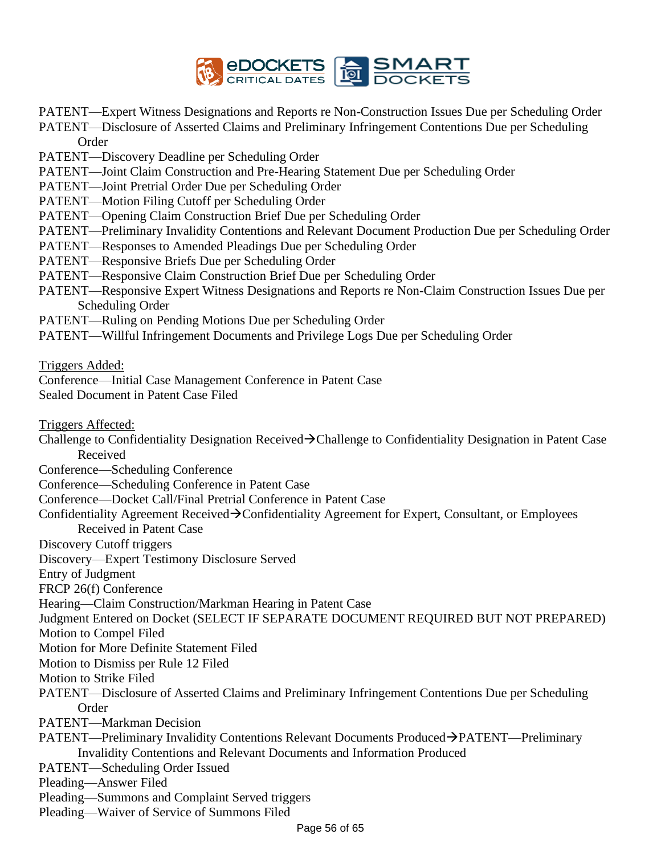

PATENT—Expert Witness Designations and Reports re Non-Construction Issues Due per Scheduling Order PATENT—Disclosure of Asserted Claims and Preliminary Infringement Contentions Due per Scheduling

- Order
- PATENT—Discovery Deadline per Scheduling Order
- PATENT—Joint Claim Construction and Pre-Hearing Statement Due per Scheduling Order
- PATENT—Joint Pretrial Order Due per Scheduling Order
- PATENT—Motion Filing Cutoff per Scheduling Order
- PATENT—Opening Claim Construction Brief Due per Scheduling Order
- PATENT—Preliminary Invalidity Contentions and Relevant Document Production Due per Scheduling Order
- PATENT—Responses to Amended Pleadings Due per Scheduling Order
- PATENT—Responsive Briefs Due per Scheduling Order
- PATENT—Responsive Claim Construction Brief Due per Scheduling Order
- PATENT—Responsive Expert Witness Designations and Reports re Non-Claim Construction Issues Due per Scheduling Order
- PATENT—Ruling on Pending Motions Due per Scheduling Order
- PATENT—Willful Infringement Documents and Privilege Logs Due per Scheduling Order

Triggers Added:

Conference—Initial Case Management Conference in Patent Case Sealed Document in Patent Case Filed

Triggers Affected:

Challenge to Confidentiality Designation Received→Challenge to Confidentiality Designation in Patent Case Received

Conference—Scheduling Conference

Conference—Scheduling Conference in Patent Case

- Conference—Docket Call/Final Pretrial Conference in Patent Case
- Confidentiality Agreement Received→Confidentiality Agreement for Expert, Consultant, or Employees Received in Patent Case
- Discovery Cutoff triggers
- Discovery—Expert Testimony Disclosure Served
- Entry of Judgment

FRCP 26(f) Conference

Hearing—Claim Construction/Markman Hearing in Patent Case

Judgment Entered on Docket (SELECT IF SEPARATE DOCUMENT REQUIRED BUT NOT PREPARED)

Motion to Compel Filed

Motion for More Definite Statement Filed

Motion to Dismiss per Rule 12 Filed

Motion to Strike Filed

PATENT—Disclosure of Asserted Claims and Preliminary Infringement Contentions Due per Scheduling Order

PATENT—Markman Decision

- PATENT—Preliminary Invalidity Contentions Relevant Documents Produced→PATENT—Preliminary Invalidity Contentions and Relevant Documents and Information Produced
- PATENT—Scheduling Order Issued

Pleading—Answer Filed

- Pleading—Summons and Complaint Served triggers
- Pleading—Waiver of Service of Summons Filed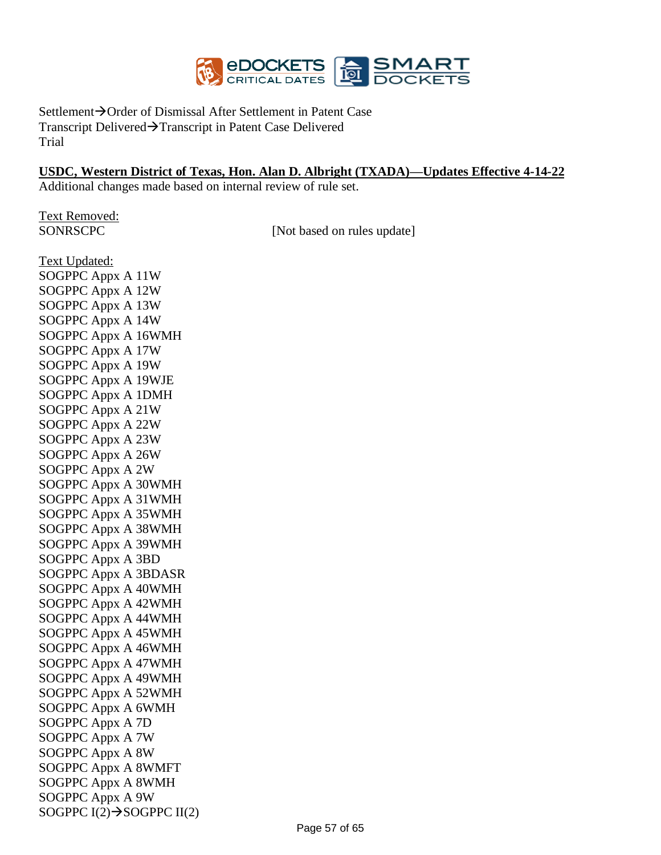

Settlement→Order of Dismissal After Settlement in Patent Case Transcript Delivered→Transcript in Patent Case Delivered Trial

#### **USDC, Western District of Texas, Hon. Alan D. Albright (TXADA)—Updates Effective 4-14-22**

Additional changes made based on internal review of rule set.

Text Removed:

SONRSCPC [Not based on rules update]

Text Updated: SOGPPC Appx A 11W SOGPPC Appx A 12W SOGPPC Appx A 13W SOGPPC Appx A 14W SOGPPC Appx A 16WMH SOGPPC Appx A 17W SOGPPC Appx A 19W SOGPPC Appx A 19WJE SOGPPC Appx A 1DMH SOGPPC Appx A 21W SOGPPC Appx A 22W SOGPPC Appx A 23W SOGPPC Appx A 26W SOGPPC Appx A 2W SOGPPC Appx A 30WMH SOGPPC Appx A 31WMH SOGPPC Appx A 35WMH SOGPPC Appx A 38WMH SOGPPC Appx A 39WMH SOGPPC Appx A 3BD SOGPPC Appx A 3BDASR SOGPPC Appx A 40WMH SOGPPC Appx A 42WMH SOGPPC Appx A 44WMH SOGPPC Appx A 45WMH SOGPPC Appx A 46WMH SOGPPC Appx A 47WMH SOGPPC Appx A 49WMH SOGPPC Appx A 52WMH SOGPPC Appx A 6WMH SOGPPC Appx A 7D SOGPPC Appx A 7W SOGPPC Appx A 8W SOGPPC Appx A 8WMFT SOGPPC Appx A 8WMH SOGPPC Appx A 9W SOGPPC  $I(2) \rightarrow$ SOGPPC  $II(2)$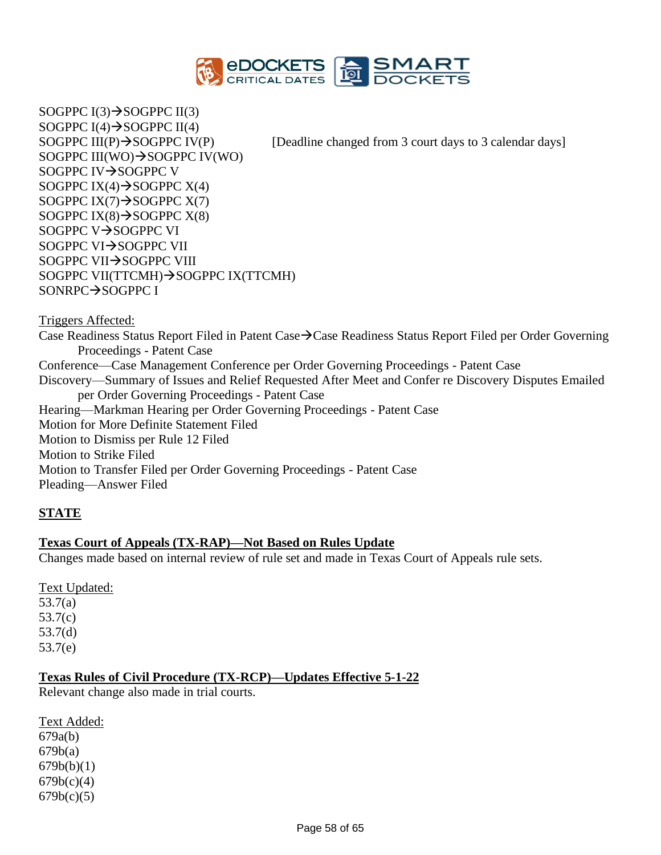

SOGPPC  $I(3) \rightarrow SOG$ PPC  $II(3)$ SOGPPC  $I(4)$   $\rightarrow$  SOGPPC  $II(4)$ SOGPPC III(WO)→SOGPPC IV(WO) SOGPPC IV→SOGPPC V SOGPPC IX $(4)$  $\rightarrow$ SOGPPC X $(4)$ SOGPPC IX $(7) \rightarrow$ SOGPPC X $(7)$ SOGPPC IX $(8) \rightarrow$ SOGPPC X $(8)$ SOGPPC V→SOGPPC VI SOGPPC VI→SOGPPC VII SOGPPC VII→SOGPPC VIII SOGPPC VII(TTCMH)→SOGPPC IX(TTCMH) SONRPC→SOGPPC I

SOGPPC III(P) $\rightarrow$ SOGPPC IV(P) [Deadline changed from 3 court days to 3 calendar days]

Triggers Affected:

Case Readiness Status Report Filed in Patent Case→Case Readiness Status Report Filed per Order Governing Proceedings - Patent Case Conference—Case Management Conference per Order Governing Proceedings - Patent Case Discovery—Summary of Issues and Relief Requested After Meet and Confer re Discovery Disputes Emailed per Order Governing Proceedings - Patent Case Hearing—Markman Hearing per Order Governing Proceedings - Patent Case Motion for More Definite Statement Filed Motion to Dismiss per Rule 12 Filed Motion to Strike Filed Motion to Transfer Filed per Order Governing Proceedings - Patent Case Pleading—Answer Filed

### **STATE**

### **Texas Court of Appeals (TX-RAP)—Not Based on Rules Update**

Changes made based on internal review of rule set and made in Texas Court of Appeals rule sets.

Text Updated: 53.7(a) 53.7(c) 53.7(d) 53.7(e)

### **Texas Rules of Civil Procedure (TX-RCP)—Updates Effective 5-1-22**

Relevant change also made in trial courts.

Text Added: 679a(b) 679b(a)  $679b(b)(1)$  $679b(c)(4)$  $679b(c)(5)$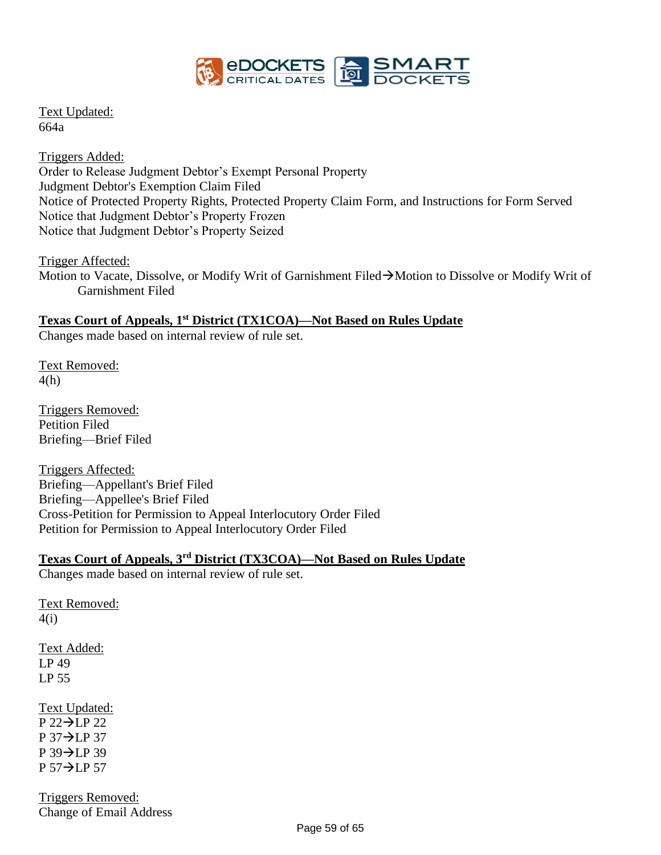

Text Updated: 664a

Triggers Added: Order to Release Judgment Debtor's Exempt Personal Property Judgment Debtor's Exemption Claim Filed Notice of Protected Property Rights, Protected Property Claim Form, and Instructions for Form Served Notice that Judgment Debtor's Property Frozen Notice that Judgment Debtor's Property Seized

Trigger Affected:

Motion to Vacate, Dissolve, or Modify Writ of Garnishment Filed→Motion to Dissolve or Modify Writ of Garnishment Filed

### **Texas Court of Appeals, 1st District (TX1COA)—Not Based on Rules Update**

Changes made based on internal review of rule set.

Text Removed: 4(h)

Triggers Removed: Petition Filed Briefing—Brief Filed

Triggers Affected: Briefing—Appellant's Brief Filed Briefing—Appellee's Brief Filed Cross-Petition for Permission to Appeal Interlocutory Order Filed Petition for Permission to Appeal Interlocutory Order Filed

# **Texas Court of Appeals, 3rd District (TX3COA)—Not Based on Rules Update**

Changes made based on internal review of rule set.

Text Removed: 4(i) Text Added: LP 49 LP 55 Text Updated: P 22→LP 22 P 37→LP 37

P 39→LP 39 P 57→LP 57

Triggers Removed: Change of Email Address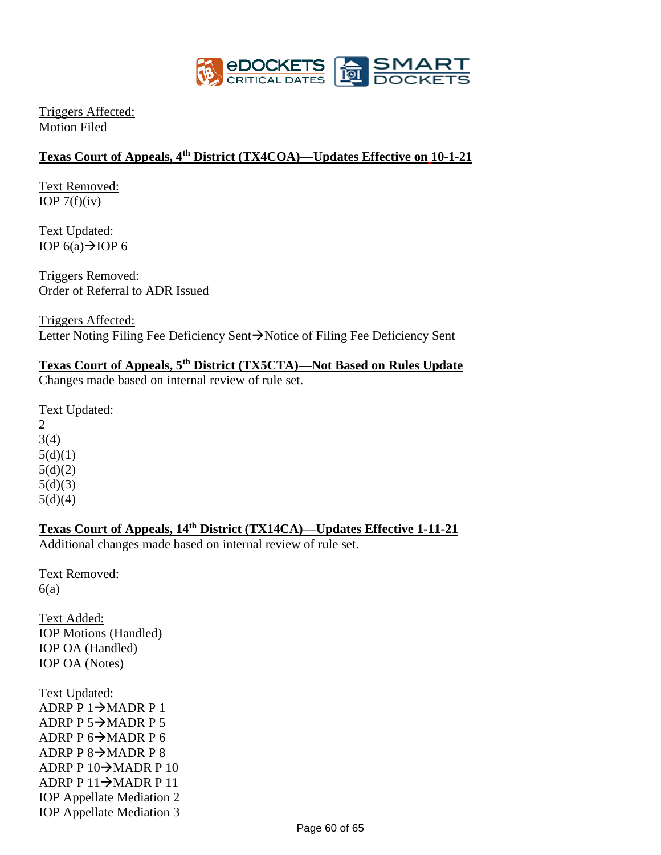

Triggers Affected: Motion Filed

## **Texas Court of Appeals, 4th District (TX4COA)—Updates Effective on 10-1-21**

Text Removed: IOP  $7(f)(iv)$ 

Text Updated: IOP  $6(a) \rightarrow$ IOP 6

Triggers Removed: Order of Referral to ADR Issued

Triggers Affected: Letter Noting Filing Fee Deficiency Sent→Notice of Filing Fee Deficiency Sent

## **Texas Court of Appeals, 5th District (TX5CTA)—Not Based on Rules Update**

Changes made based on internal review of rule set.

Text Updated: 2 3(4)  $5(d)(1)$  $5(d)(2)$  $5(d)(3)$ 

 $5(d)(4)$ 

**Texas Court of Appeals, 14th District (TX14CA)—Updates Effective 1-11-21**

Additional changes made based on internal review of rule set.

Text Removed:  $6(a)$ 

Text Added: IOP Motions (Handled) IOP OA (Handled) IOP OA (Notes)

Text Updated: ADRP P  $1 \rightarrow$ MADR P 1 ADRP P  $5 \rightarrow$ MADR P 5 ADRP P  $6 \rightarrow$ MADR P 6 ADRP P  $8 \rightarrow$ MADR P 8 ADRP P  $10\rightarrow$ MADR P  $10$ ADRP P 11→MADR P 11 IOP Appellate Mediation 2 IOP Appellate Mediation 3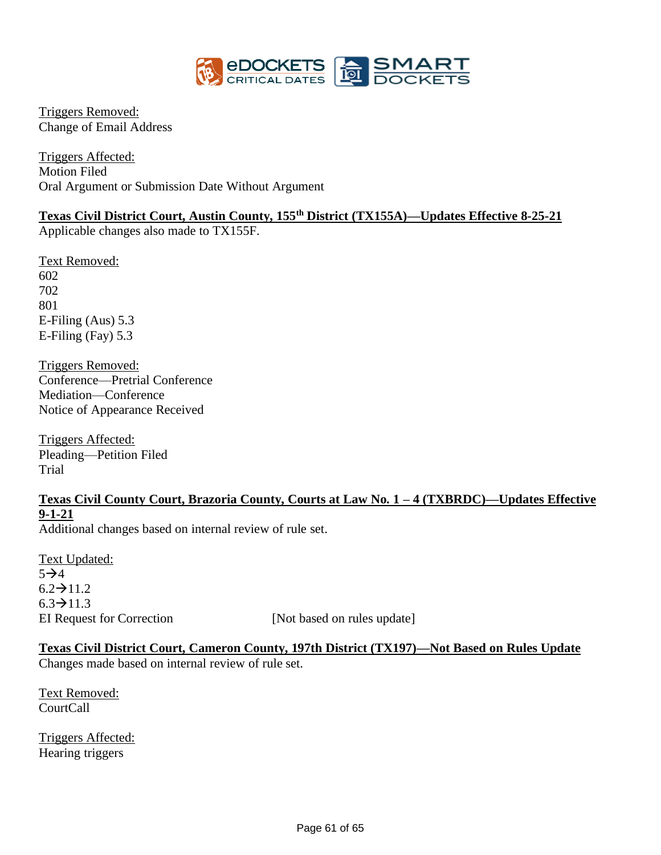

Triggers Removed: Change of Email Address

Triggers Affected: Motion Filed Oral Argument or Submission Date Without Argument

# **Texas Civil District Court, Austin County, 155th District (TX155A)—Updates Effective 8-25-21**

Applicable changes also made to TX155F.

Text Removed: 602 702 801 E-Filing (Aus) 5.3 E-Filing (Fay) 5.3

Triggers Removed: Conference—Pretrial Conference Mediation—Conference Notice of Appearance Received

Triggers Affected: Pleading—Petition Filed Trial

# **Texas Civil County Court, Brazoria County, Courts at Law No. 1 – 4 (TXBRDC)—Updates Effective 9-1-21**

Additional changes based on internal review of rule set.

Text Updated:  $5 \rightarrow 4$  $6.2 \rightarrow 11.2$  $6.3 \rightarrow 11.3$ EI Request for Correction [Not based on rules update]

**Texas Civil District Court, Cameron County, 197th District (TX197)—Not Based on Rules Update** Changes made based on internal review of rule set.

Text Removed: CourtCall

Triggers Affected: Hearing triggers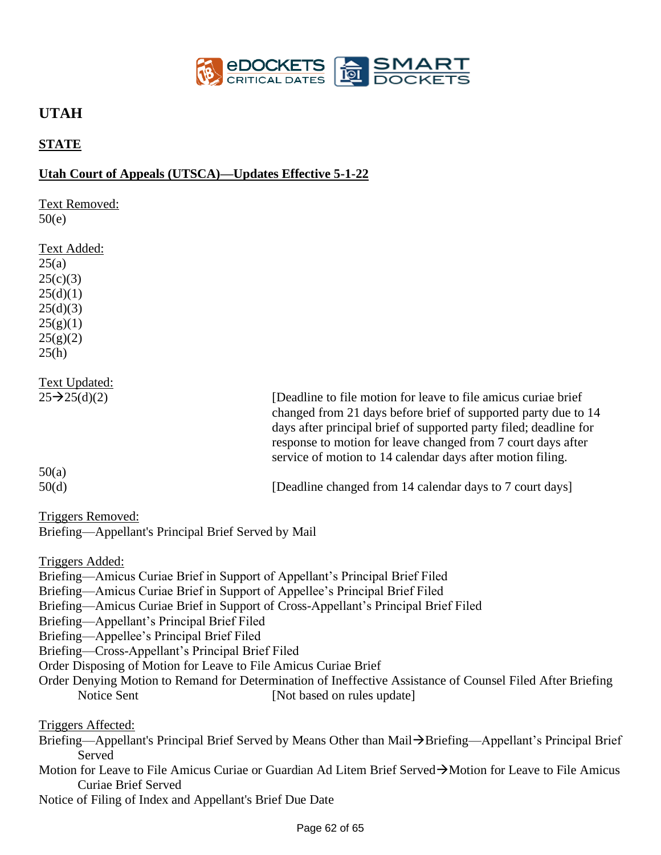

# **UTAH**

# **STATE**

## **Utah Court of Appeals (UTSCA)—Updates Effective 5-1-22**

Text Removed:  $50(e)$ Text Added:  $25(a)$  $25(c)(3)$  $25(d)(1)$  $25(d)(3)$  $25(g)(1)$  $25(g)(2)$  $25(h)$ Text Updated:  $25\rightarrow 25(d)(2)$  [Deadline to file motion for leave to file amicus curiae brief changed from 21 days before brief of supported party due to 14 days after principal brief of supported party filed; deadline for response to motion for leave changed from 7 court days after service of motion to 14 calendar days after motion filing. 50(a) 50(d) [Deadline changed from 14 calendar days to 7 court days] Triggers Removed: Briefing—Appellant's Principal Brief Served by Mail Triggers Added: Briefing—Amicus Curiae Brief in Support of Appellant's Principal Brief Filed Briefing—Amicus Curiae Brief in Support of Appellee's Principal Brief Filed Briefing—Amicus Curiae Brief in Support of Cross-Appellant's Principal Brief Filed Briefing—Appellant's Principal Brief Filed Briefing—Appellee's Principal Brief Filed Briefing—Cross-Appellant's Principal Brief Filed Order Disposing of Motion for Leave to File Amicus Curiae Brief Order Denying Motion to Remand for Determination of Ineffective Assistance of Counsel Filed After Briefing Notice Sent [Not based on rules update] Triggers Affected: Briefing—Appellant's Principal Brief Served by Means Other than Mail→Briefing—Appellant's Principal Brief Served Motion for Leave to File Amicus Curiae or Guardian Ad Litem Brief Served→Motion for Leave to File Amicus Curiae Brief Served Notice of Filing of Index and Appellant's Brief Due Date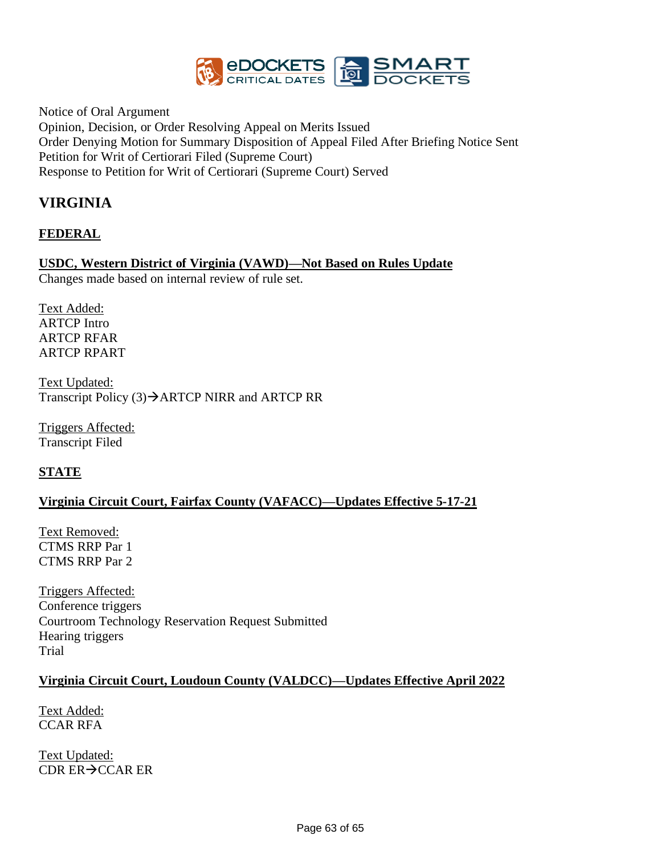

Notice of Oral Argument Opinion, Decision, or Order Resolving Appeal on Merits Issued Order Denying Motion for Summary Disposition of Appeal Filed After Briefing Notice Sent Petition for Writ of Certiorari Filed (Supreme Court) Response to Petition for Writ of Certiorari (Supreme Court) Served

# **VIRGINIA**

## **FEDERAL**

# **USDC, Western District of Virginia (VAWD)—Not Based on Rules Update**

Changes made based on internal review of rule set.

Text Added: ARTCP Intro ARTCP RFAR ARTCP RPART

Text Updated: Transcript Policy (3)→ARTCP NIRR and ARTCP RR

Triggers Affected: Transcript Filed

## **STATE**

## **Virginia Circuit Court, Fairfax County (VAFACC)—Updates Effective 5-17-21**

Text Removed: CTMS RRP Par 1 CTMS RRP Par 2

Triggers Affected: Conference triggers Courtroom Technology Reservation Request Submitted Hearing triggers Trial

## **Virginia Circuit Court, Loudoun County (VALDCC)—Updates Effective April 2022**

Text Added: CCAR RFA

Text Updated: CDR ER→CCAR ER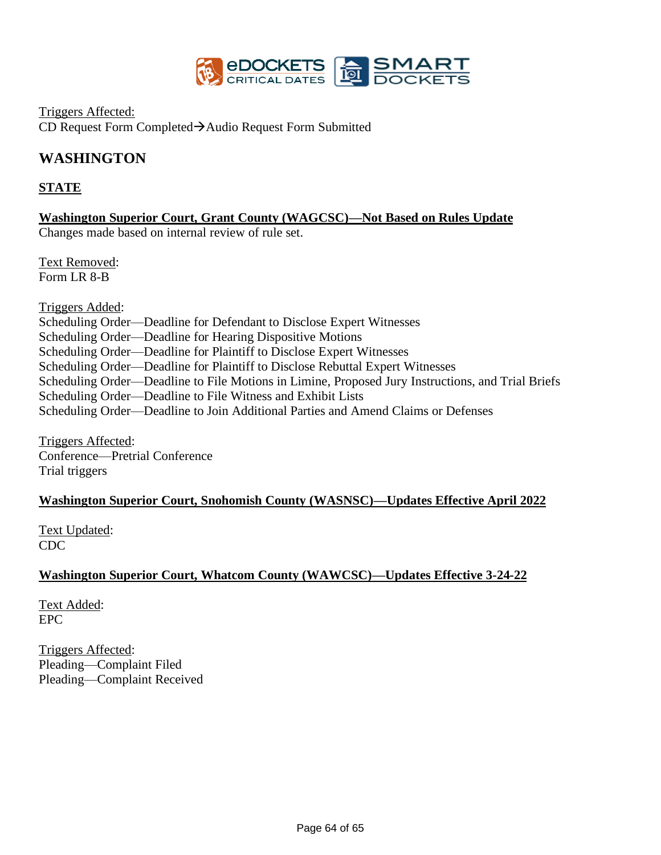

Triggers Affected: CD Request Form Completed→Audio Request Form Submitted

# **WASHINGTON**

## **STATE**

**Washington Superior Court, Grant County (WAGCSC)—Not Based on Rules Update**

Changes made based on internal review of rule set.

Text Removed: Form LR 8-B

Triggers Added: Scheduling Order—Deadline for Defendant to Disclose Expert Witnesses Scheduling Order—Deadline for Hearing Dispositive Motions Scheduling Order—Deadline for Plaintiff to Disclose Expert Witnesses Scheduling Order—Deadline for Plaintiff to Disclose Rebuttal Expert Witnesses Scheduling Order—Deadline to File Motions in Limine, Proposed Jury Instructions, and Trial Briefs Scheduling Order—Deadline to File Witness and Exhibit Lists Scheduling Order—Deadline to Join Additional Parties and Amend Claims or Defenses

Triggers Affected: Conference—Pretrial Conference Trial triggers

## **Washington Superior Court, Snohomish County (WASNSC)—Updates Effective April 2022**

Text Updated: CDC

## **Washington Superior Court, Whatcom County (WAWCSC)—Updates Effective 3-24-22**

Text Added: EPC

Triggers Affected: Pleading—Complaint Filed Pleading—Complaint Received